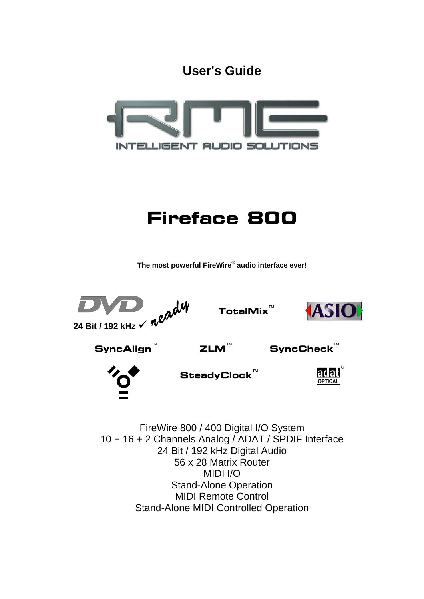**User's Guide**



# **Fireface 800**

**The most powerful FireWire**®  **audio interface ever!** 



FireWire 800 / 400 Digital I/O System 10 + 16 + 2 Channels Analog / ADAT / SPDIF Interface 24 Bit / 192 kHz Digital Audio 56 x 28 Matrix Router MIDI I/O Stand-Alone Operation MIDI Remote Control Stand-Alone MIDI Controlled Operation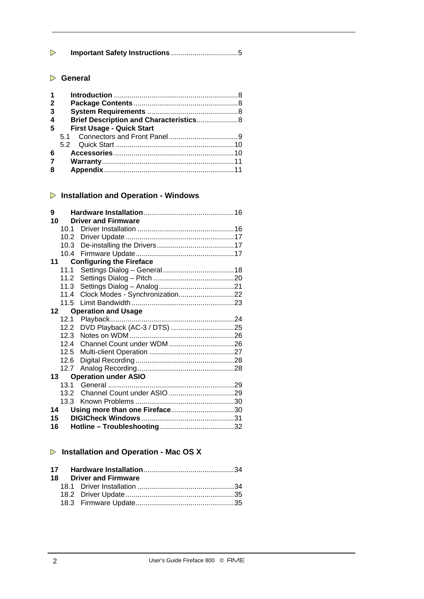| Þ |  |
|---|--|
|   |  |

# **General**

| $\mathbf 1$ |                                         |  |
|-------------|-----------------------------------------|--|
| $\mathbf 2$ |                                         |  |
| 3           |                                         |  |
| 4           | Brief Description and Characteristics 8 |  |
| 5           | <b>First Usage - Quick Start</b>        |  |
|             |                                         |  |
|             |                                         |  |
| 6           |                                         |  |
| 7           |                                         |  |
| 8           |                                         |  |

# **Installation and Operation - Windows**

| 9  |                 |                                 |
|----|-----------------|---------------------------------|
| 10 |                 | <b>Driver and Firmware</b>      |
|    | 10 <sub>1</sub> |                                 |
|    |                 |                                 |
|    | 10.3            |                                 |
|    | 10.4            |                                 |
|    | 11              | <b>Configuring the Fireface</b> |
|    | 11.1            |                                 |
|    |                 |                                 |
|    | 11.3            |                                 |
|    | 11.4            | Clock Modes - Synchronization22 |
|    |                 |                                 |
| 12 |                 | <b>Operation and Usage</b>      |
|    |                 |                                 |
|    |                 |                                 |
|    | 12.3            |                                 |
|    | 12.4            |                                 |
|    | 12.5            |                                 |
|    | 12.6            |                                 |
|    | 12.7            |                                 |
|    |                 | 13 Operation under ASIO         |
|    | 13.1            |                                 |
|    | 13.2            |                                 |
|    | 13.3            |                                 |
| 14 |                 | Using more than one Fireface30  |
| 15 |                 |                                 |
| 16 |                 |                                 |

# **Installation and Operation - Mac OS X**

|  | 18 Driver and Firmware |  |
|--|------------------------|--|
|  |                        |  |
|  |                        |  |
|  |                        |  |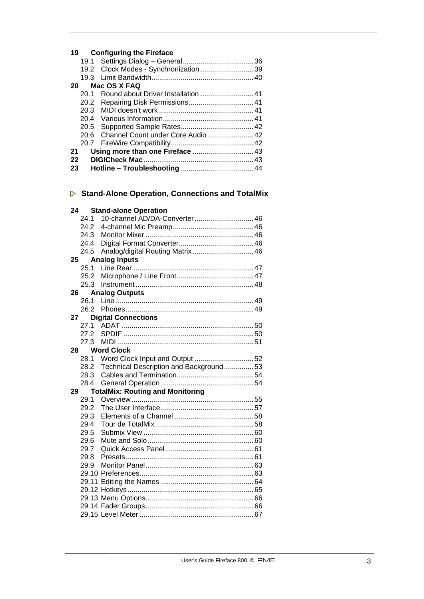# **19 Configuring the Fireface**

|    |      | 19.2 Clock Modes - Synchronization  39  |  |
|----|------|-----------------------------------------|--|
|    |      |                                         |  |
| 20 |      | Mac OS X FAQ                            |  |
|    | 20.1 | Round about Driver Installation  41     |  |
|    |      |                                         |  |
|    |      |                                         |  |
|    |      |                                         |  |
|    |      |                                         |  |
|    |      | 20.6 Channel Count under Core Audio  42 |  |
|    |      |                                         |  |
| 21 |      |                                         |  |
| 22 |      |                                         |  |
| 23 |      |                                         |  |
|    |      |                                         |  |

# **Stand-Alone Operation, Connections and TotalMix**

# **24 Stand-alone Operation**

|    | 24.1 | 10-channel AD/DA-Converter 46           |  |
|----|------|-----------------------------------------|--|
|    | 24.2 |                                         |  |
|    | 24.3 |                                         |  |
|    | 24.4 |                                         |  |
|    | 24.5 | Analog/digital Routing Matrix 46        |  |
| 25 |      | <b>Analog Inputs</b>                    |  |
|    | 25.1 |                                         |  |
|    | 25.2 |                                         |  |
|    | 25.3 |                                         |  |
| 26 |      | <b>Analog Outputs</b>                   |  |
|    | 26.1 |                                         |  |
|    | 26.2 |                                         |  |
| 27 |      | <b>Digital Connections</b>              |  |
|    | 27.1 |                                         |  |
|    | 27.2 |                                         |  |
|    | 27.3 |                                         |  |
| 28 |      | <b>Word Clock</b>                       |  |
|    | 28.1 |                                         |  |
|    | 28.2 | Technical Description and Background53  |  |
|    | 28.3 |                                         |  |
|    | 28.4 |                                         |  |
| 29 |      | <b>TotalMix: Routing and Monitoring</b> |  |
|    | 29.1 |                                         |  |
|    | 29.2 |                                         |  |
|    | 29.3 |                                         |  |
|    | 29.4 |                                         |  |
|    | 29.5 |                                         |  |
|    | 29.6 |                                         |  |
|    | 29.7 |                                         |  |
|    | 29.8 |                                         |  |
|    | 29.9 |                                         |  |
|    |      |                                         |  |
|    |      |                                         |  |
|    |      |                                         |  |
|    |      |                                         |  |
|    |      |                                         |  |
|    |      |                                         |  |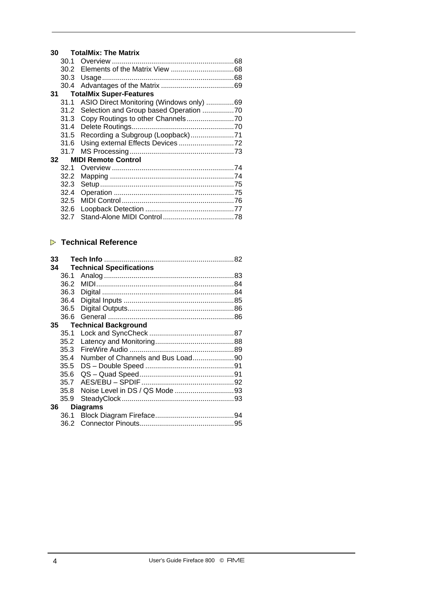# **30 TotalMix: The Matrix**

|    | 30.1 |                                          |  |
|----|------|------------------------------------------|--|
|    | 30.2 |                                          |  |
|    | 30.3 |                                          |  |
|    | 30.4 |                                          |  |
| 31 |      | <b>TotalMix Super-Features</b>           |  |
|    | 31.1 | ASIO Direct Monitoring (Windows only) 69 |  |
|    | 31.2 | Selection and Group based Operation 70   |  |
|    | 31.3 |                                          |  |
|    | 31.4 |                                          |  |
|    | 31.5 |                                          |  |
|    | 31.6 |                                          |  |
|    | 31.7 |                                          |  |
| 32 |      | <b>MIDI Remote Control</b>               |  |
|    | 32.1 |                                          |  |
|    | 32.2 |                                          |  |
|    | 32.3 |                                          |  |
|    | 32.4 |                                          |  |
|    | 32.5 |                                          |  |
|    | 32.6 |                                          |  |
|    | 32.7 |                                          |  |
|    |      |                                          |  |

# **Technical Reference**

| 33 |      |                                 |  |
|----|------|---------------------------------|--|
| 34 |      | <b>Technical Specifications</b> |  |
|    | 36.1 |                                 |  |
|    | 36.2 |                                 |  |
|    | 36.3 |                                 |  |
|    | 36.4 |                                 |  |
|    | 36.5 |                                 |  |
|    | 36.6 |                                 |  |
| 35 |      | <b>Technical Background</b>     |  |
|    | 35.1 |                                 |  |
|    | 35.2 |                                 |  |
|    | 35.3 |                                 |  |
|    | 35.4 |                                 |  |
|    | 35.5 |                                 |  |
|    | 35.6 |                                 |  |
|    | 35.7 |                                 |  |
|    | 35.8 |                                 |  |
|    | 35.9 |                                 |  |
| 36 |      | <b>Diagrams</b>                 |  |
|    | 36.1 |                                 |  |
|    | 36.2 |                                 |  |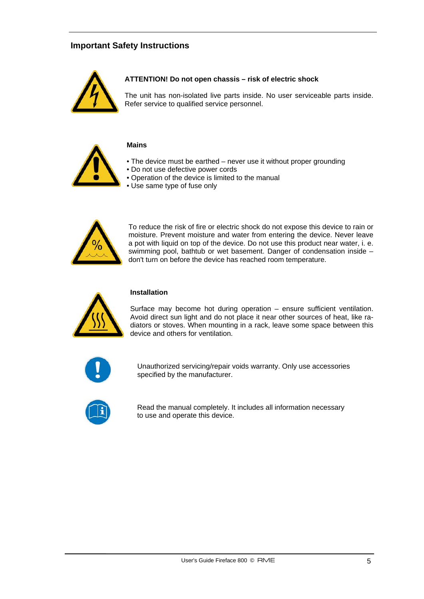# **Important Safety Instructions**



## **ATTENTION! Do not open chassis – risk of electric shock**

The unit has non-isolated live parts inside. No user serviceable parts inside. Refer service to qualified service personnel.



# **Mains**

- The device must be earthed never use it without proper grounding
- Do not use defective power cords
- Operation of the device is limited to the manual
- Use same type of fuse only



To reduce the risk of fire or electric shock do not expose this device to rain or moisture. Prevent moisture and water from entering the device. Never leave a pot with liquid on top of the device. Do not use this product near water, i. e. swimming pool, bathtub or wet basement. Danger of condensation inside – don't turn on before the device has reached room temperature.



## **Installation**

Surface may become hot during operation – ensure sufficient ventilation. Avoid direct sun light and do not place it near other sources of heat, like radiators or stoves. When mounting in a rack, leave some space between this device and others for ventilation.



Unauthorized servicing/repair voids warranty. Only use accessories specified by the manufacturer.



Read the manual completely. It includes all information necessary to use and operate this device.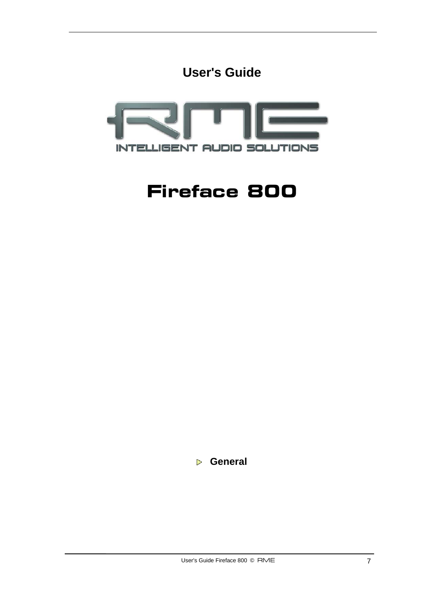



# **Fireface 800**

 **General**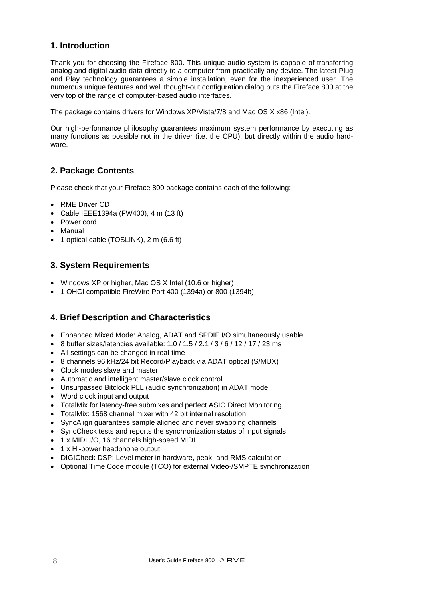# **1. Introduction**

Thank you for choosing the Fireface 800. This unique audio system is capable of transferring analog and digital audio data directly to a computer from practically any device. The latest Plug and Play technology guarantees a simple installation, even for the inexperienced user. The numerous unique features and well thought-out configuration dialog puts the Fireface 800 at the very top of the range of computer-based audio interfaces.

The package contains drivers for Windows XP/Vista/7/8 and Mac OS X x86 (Intel).

Our high-performance philosophy guarantees maximum system performance by executing as many functions as possible not in the driver (i.e. the CPU), but directly within the audio hardware.

# **2. Package Contents**

Please check that your Fireface 800 package contains each of the following:

- RME Driver CD
- Cable IEEE1394a (FW400), 4 m (13 ft)
- Power cord
- Manual
- 1 optical cable (TOSLINK), 2 m (6.6 ft)

# **3. System Requirements**

- Windows XP or higher, Mac OS X Intel (10.6 or higher)
- 1 OHCI compatible FireWire Port 400 (1394a) or 800 (1394b)

# **4. Brief Description and Characteristics**

- Enhanced Mixed Mode: Analog, ADAT and SPDIF I/O simultaneously usable
- 8 buffer sizes/latencies available: 1.0 / 1.5 / 2.1 / 3 / 6 / 12 / 17 / 23 ms
- All settings can be changed in real-time
- 8 channels 96 kHz/24 bit Record/Playback via ADAT optical (S/MUX)
- Clock modes slave and master
- Automatic and intelligent master/slave clock control
- Unsurpassed Bitclock PLL (audio synchronization) in ADAT mode
- Word clock input and output
- TotalMix for latency-free submixes and perfect ASIO Direct Monitoring
- TotalMix: 1568 channel mixer with 42 bit internal resolution
- SyncAlign guarantees sample aligned and never swapping channels
- SyncCheck tests and reports the synchronization status of input signals
- 1 x MIDI I/O, 16 channels high-speed MIDI
- 1 x Hi-power headphone output
- DIGICheck DSP: Level meter in hardware, peak- and RMS calculation
- Optional Time Code module (TCO) for external Video-/SMPTE synchronization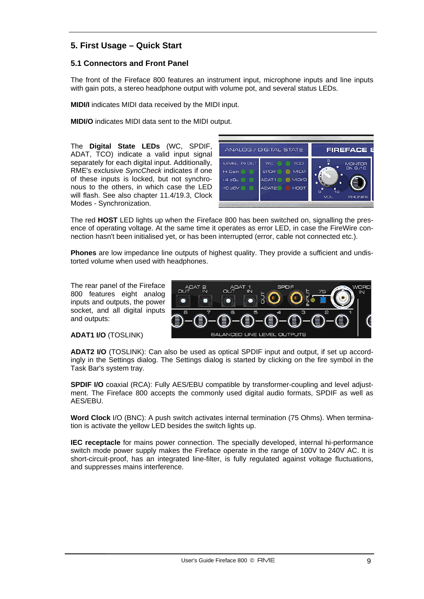# **5. First Usage – Quick Start**

# **5.1 Connectors and Front Panel**

The front of the Fireface 800 features an instrument input, microphone inputs and line inputs with gain pots, a stereo headphone output with volume pot, and several status LEDs.

**MIDI/I** indicates MIDI data received by the MIDI input.

**MIDI/O** indicates MIDI data sent to the MIDI output.

The **Digital State LEDs** (WC, SPDIF, ADAT, TCO) indicate a valid input signal separately for each digital input. Additionally, RME's exclusive *SyncCheck* indicates if one of these inputs is locked, but not synchronous to the others, in which case the LED will flash. See also chapter 11.4/19.3, Clock Modes - Synchronization.



The red **HOST** LED lights up when the Fireface 800 has been switched on, signalling the presence of operating voltage. At the same time it operates as error LED, in case the FireWire connection hasn't been initialised yet, or has been interrupted (error, cable not connected etc.).

**Phones** are low impedance line outputs of highest quality. They provide a sufficient and undistorted volume when used with headphones.

The rear panel of the Fireface 800 features eight analog inputs and outputs, the power socket, and all digital inputs and outputs:



**ADAT1 I/O** (TOSLINK)

**ADAT2 I/O** (TOSLINK): Can also be used as optical SPDIF input and output, if set up accordingly in the Settings dialog. The Settings dialog is started by clicking on the fire symbol in the Task Bar's system tray.

**SPDIF I/O** coaxial (RCA): Fully AES/EBU compatible by transformer-coupling and level adjustment. The Fireface 800 accepts the commonly used digital audio formats, SPDIF as well as AES/EBU.

**Word Clock** I/O (BNC): A push switch activates internal termination (75 Ohms). When termination is activate the yellow LED besides the switch lights up.

**IEC receptacle** for mains power connection. The specially developed, internal hi-performance switch mode power supply makes the Fireface operate in the range of 100V to 240V AC. It is short-circuit-proof, has an integrated line-filter, is fully regulated against voltage fluctuations, and suppresses mains interference.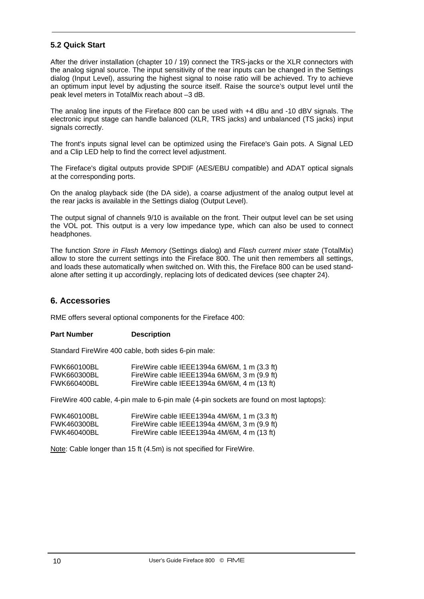# **5.2 Quick Start**

After the driver installation (chapter 10 / 19) connect the TRS-jacks or the XLR connectors with the analog signal source. The input sensitivity of the rear inputs can be changed in the Settings dialog (Input Level), assuring the highest signal to noise ratio will be achieved. Try to achieve an optimum input level by adjusting the source itself. Raise the source's output level until the peak level meters in TotalMix reach about –3 dB.

The analog line inputs of the Fireface 800 can be used with +4 dBu and -10 dBV signals. The electronic input stage can handle balanced (XLR, TRS jacks) and unbalanced (TS jacks) input signals correctly.

The front's inputs signal level can be optimized using the Fireface's Gain pots. A Signal LED and a Clip LED help to find the correct level adjustment.

The Fireface's digital outputs provide SPDIF (AES/EBU compatible) and ADAT optical signals at the corresponding ports.

On the analog playback side (the DA side), a coarse adjustment of the analog output level at the rear jacks is available in the Settings dialog (Output Level).

The output signal of channels 9/10 is available on the front. Their output level can be set using the VOL pot. This output is a very low impedance type, which can also be used to connect headphones.

The function *Store in Flash Memory* (Settings dialog) and *Flash current mixer state* (TotalMix) allow to store the current settings into the Fireface 800. The unit then remembers all settings, and loads these automatically when switched on. With this, the Fireface 800 can be used standalone after setting it up accordingly, replacing lots of dedicated devices (see chapter 24).

## **6. Accessories**

RME offers several optional components for the Fireface 400:

## **Part Number Description**

Standard FireWire 400 cable, both sides 6-pin male:

| <b>FWK660100BL</b> | FireWire cable IEEE1394a $6M/6M$ , 1 m $(3.3 \text{ ft})$ |
|--------------------|-----------------------------------------------------------|
| <b>FWK660300BL</b> | FireWire cable IEEE1394a 6M/6M, 3 m $(9.9 \text{ ft})$    |
| <b>FWK660400BL</b> | FireWire cable IEEE1394a 6M/6M, 4 m (13 ft)               |

FireWire 400 cable, 4-pin male to 6-pin male (4-pin sockets are found on most laptops):

| <b>FWK460100BL</b> | FireWire cable IEEE1394a $4M/6M$ , 1 m $(3.3 \text{ ft})$ |
|--------------------|-----------------------------------------------------------|
| <b>FWK460300BL</b> | FireWire cable IEEE1394a $4M/6M$ , 3 m (9.9 ft)           |
| <b>FWK460400BL</b> | FireWire cable IEEE1394a 4M/6M, 4 m (13 ft)               |

Note: Cable longer than 15 ft (4.5m) is not specified for FireWire.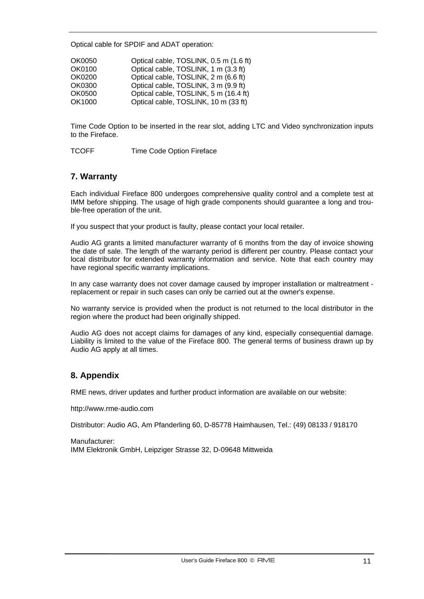Optical cable for SPDIF and ADAT operation:

| OK0050 | Optical cable, TOSLINK, 0.5 m (1.6 ft) |
|--------|----------------------------------------|
| OK0100 | Optical cable, TOSLINK, 1 m (3.3 ft)   |
| OK0200 | Optical cable, TOSLINK, 2 m (6.6 ft)   |
| OK0300 | Optical cable, TOSLINK, 3 m (9.9 ft)   |
| OK0500 | Optical cable, TOSLINK, 5 m (16.4 ft)  |
| OK1000 | Optical cable, TOSLINK, 10 m (33 ft)   |

Time Code Option to be inserted in the rear slot, adding LTC and Video synchronization inputs to the Fireface.

TCOFF Time Code Option Fireface

# **7. Warranty**

Each individual Fireface 800 undergoes comprehensive quality control and a complete test at IMM before shipping. The usage of high grade components should guarantee a long and trouble-free operation of the unit.

If you suspect that your product is faulty, please contact your local retailer.

Audio AG grants a limited manufacturer warranty of 6 months from the day of invoice showing the date of sale. The length of the warranty period is different per country. Please contact your local distributor for extended warranty information and service. Note that each country may have regional specific warranty implications.

In any case warranty does not cover damage caused by improper installation or maltreatment replacement or repair in such cases can only be carried out at the owner's expense.

No warranty service is provided when the product is not returned to the local distributor in the region where the product had been originally shipped.

Audio AG does not accept claims for damages of any kind, especially consequential damage. Liability is limited to the value of the Fireface 800. The general terms of business drawn up by Audio AG apply at all times.

# **8. Appendix**

RME news, driver updates and further product information are available on our website:

http://www.rme-audio.com

Distributor: Audio AG, Am Pfanderling 60, D-85778 Haimhausen, Tel.: (49) 08133 / 918170

Manufacturer: IMM Elektronik GmbH, Leipziger Strasse 32, D-09648 Mittweida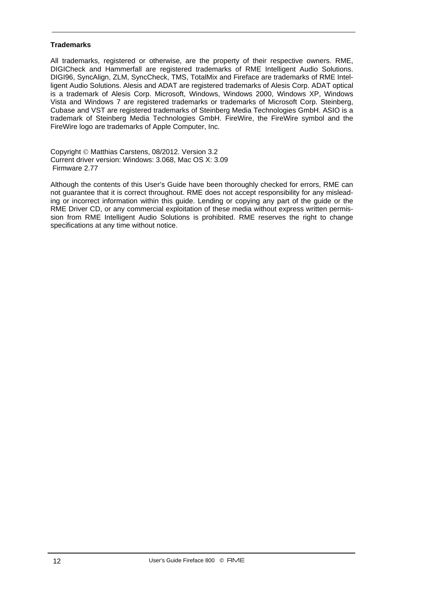#### **Trademarks**

All trademarks, registered or otherwise, are the property of their respective owners. RME, DIGICheck and Hammerfall are registered trademarks of RME Intelligent Audio Solutions. DIGI96, SyncAlign, ZLM, SyncCheck, TMS, TotalMix and Fireface are trademarks of RME Intelligent Audio Solutions. Alesis and ADAT are registered trademarks of Alesis Corp. ADAT optical is a trademark of Alesis Corp. Microsoft, Windows, Windows 2000, Windows XP, Windows Vista and Windows 7 are registered trademarks or trademarks of Microsoft Corp. Steinberg, Cubase and VST are registered trademarks of Steinberg Media Technologies GmbH. ASIO is a trademark of Steinberg Media Technologies GmbH. FireWire, the FireWire symbol and the FireWire logo are trademarks of Apple Computer, Inc.

Copyright © Matthias Carstens, 08/2012. Version 3.2 Current driver version: Windows: 3.068, Mac OS X: 3.09 Firmware 2.77

Although the contents of this User's Guide have been thoroughly checked for errors, RME can not guarantee that it is correct throughout. RME does not accept responsibility for any misleading or incorrect information within this guide. Lending or copying any part of the guide or the RME Driver CD, or any commercial exploitation of these media without express written permission from RME Intelligent Audio Solutions is prohibited. RME reserves the right to change specifications at any time without notice.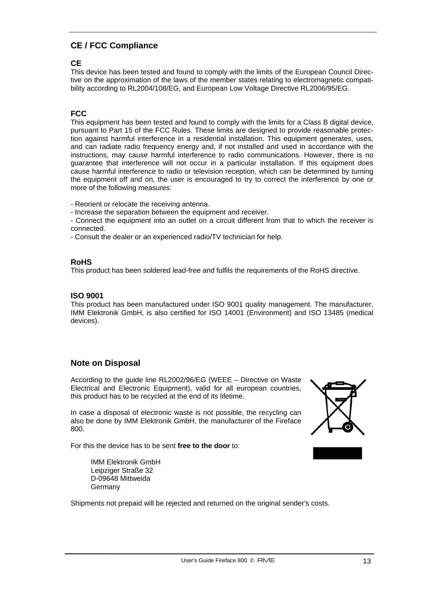# **CE / FCC Compliance**

# **CE**

This device has been tested and found to comply with the limits of the European Council Directive on the approximation of the laws of the member states relating to electromagnetic compatibility according to RL2004/108/EG, and European Low Voltage Directive RL2006/95/EG.

# **FCC**

This equipment has been tested and found to comply with the limits for a Class B digital device, pursuant to Part 15 of the FCC Rules. These limits are designed to provide reasonable protection against harmful interference in a residential installation. This equipment generates, uses, and can radiate radio frequency energy and, if not installed and used in accordance with the instructions, may cause harmful interference to radio communications. However, there is no guarantee that interference will not occur in a particular installation. If this equipment does cause harmful interference to radio or television reception, which can be determined by turning the equipment off and on, the user is encouraged to try to correct the interference by one or more of the following measures:

- Reorient or relocate the receiving antenna.

- Increase the separation between the equipment and receiver.
- Connect the equipment into an outlet on a circuit different from that to which the receiver is connected.
- Consult the dealer or an experienced radio/TV technician for help.

## **RoHS**

This product has been soldered lead-free and fulfils the requirements of the RoHS directive.

## **ISO 9001**

This product has been manufactured under ISO 9001 quality management. The manufacturer, IMM Elektronik GmbH, is also certified for ISO 14001 (Environment) and ISO 13485 (medical devices).

## **Note on Disposal**

According to the guide line RL2002/96/EG (WEEE – Directive on Waste Electrical and Electronic Equipment), valid for all european countries, this product has to be recycled at the end of its lifetime.

In case a disposal of electronic waste is not possible, the recycling can also be done by IMM Elektronik GmbH, the manufacturer of the Fireface 800.

For this the device has to be sent **free to the door** to:

 IMM Elektronik GmbH Leipziger Straße 32 D-09648 Mittweida Germany

Shipments not prepaid will be rejected and returned on the original sender's costs.

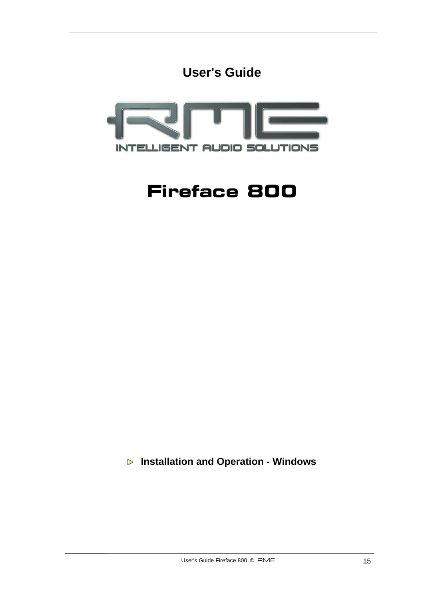



# **Fireface 800**

 **Installation and Operation - Windows**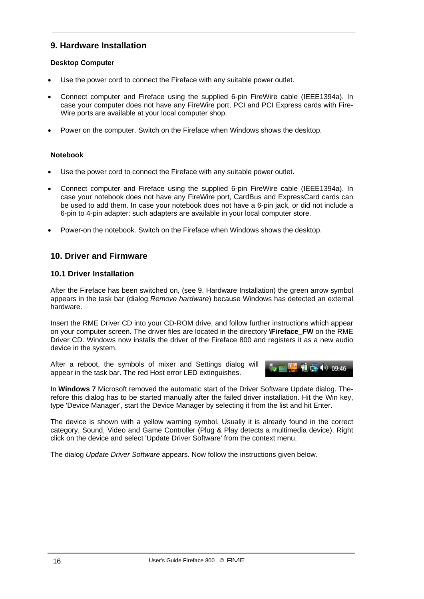# **9. Hardware Installation**

## **Desktop Computer**

- Use the power cord to connect the Fireface with any suitable power outlet.
- Connect computer and Fireface using the supplied 6-pin FireWire cable (IEEE1394a). In case your computer does not have any FireWire port, PCI and PCI Express cards with Fire-Wire ports are available at your local computer shop.
- Power on the computer. Switch on the Fireface when Windows shows the desktop.

## **Notebook**

- Use the power cord to connect the Fireface with any suitable power outlet.
- Connect computer and Fireface using the supplied 6-pin FireWire cable (IEEE1394a). In case your notebook does not have any FireWire port, CardBus and ExpressCard cards can be used to add them. In case your notebook does not have a 6-pin jack, or did not include a 6-pin to 4-pin adapter: such adapters are available in your local computer store.
- Power-on the notebook. Switch on the Fireface when Windows shows the desktop.

# **10. Driver and Firmware**

## **10.1 Driver Installation**

After the Fireface has been switched on, (see 9. Hardware Installation) the green arrow symbol appears in the task bar (dialog *Remove hardware*) because Windows has detected an external hardware.

Insert the RME Driver CD into your CD-ROM drive, and follow further instructions which appear on your computer screen. The driver files are located in the directory **\Fireface\_FW** on the RME Driver CD. Windows now installs the driver of the Fireface 800 and registers it as a new audio device in the system.

After a reboot, the symbols of mixer and Settings dialog will appear in the task bar. The red Host error LED extinguishes.



In **Windows 7** Microsoft removed the automatic start of the Driver Software Update dialog. Therefore this dialog has to be started manually after the failed driver installation. Hit the Win key, type 'Device Manager', start the Device Manager by selecting it from the list and hit Enter.

The device is shown with a yellow warning symbol. Usually it is already found in the correct category, Sound, Video and Game Controller (Plug & Play detects a multimedia device). Right click on the device and select 'Update Driver Software' from the context menu.

The dialog *Update Driver Software* appears. Now follow the instructions given below.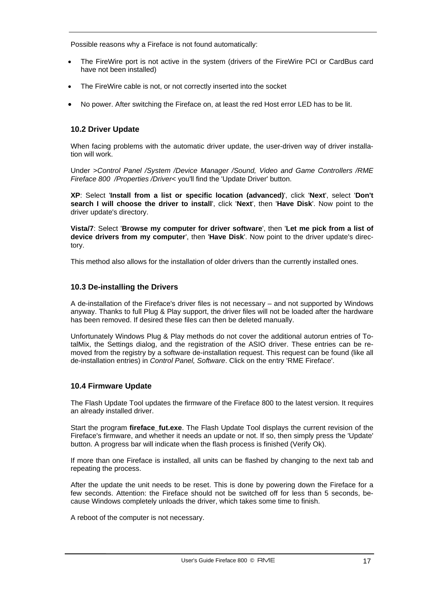Possible reasons why a Fireface is not found automatically:

- The FireWire port is not active in the system (drivers of the FireWire PCI or CardBus card have not been installed)
- The FireWire cable is not, or not correctly inserted into the socket
- No power. After switching the Fireface on, at least the red Host error LED has to be lit.

# **10.2 Driver Update**

When facing problems with the automatic driver update, the user-driven way of driver installation will work.

Under >*Control Panel /System /Device Manager /Sound, Video and Game Controllers /RME Fireface 800 /Properties /Driver*< you'll find the 'Update Driver' button.

**XP**: Select '**Install from a list or specific location (advanced)**', click '**Next**', select '**Don't search I will choose the driver to install**', click '**Next**', then '**Have Disk**'. Now point to the driver update's directory.

**Vista/7**: Select '**Browse my computer for driver software**', then '**Let me pick from a list of device drivers from my computer**', then '**Have Disk**'. Now point to the driver update's directory.

This method also allows for the installation of older drivers than the currently installed ones.

## **10.3 De-installing the Drivers**

A de-installation of the Fireface's driver files is not necessary – and not supported by Windows anyway. Thanks to full Plug & Play support, the driver files will not be loaded after the hardware has been removed. If desired these files can then be deleted manually.

Unfortunately Windows Plug & Play methods do not cover the additional autorun entries of TotalMix, the Settings dialog, and the registration of the ASIO driver. These entries can be removed from the registry by a software de-installation request. This request can be found (like all de-installation entries) in *Control Panel, Software*. Click on the entry 'RME Fireface'.

## **10.4 Firmware Update**

The Flash Update Tool updates the firmware of the Fireface 800 to the latest version. It requires an already installed driver.

Start the program **fireface fut.exe**. The Flash Update Tool displays the current revision of the Fireface's firmware, and whether it needs an update or not. If so, then simply press the 'Update' button. A progress bar will indicate when the flash process is finished (Verify Ok).

If more than one Fireface is installed, all units can be flashed by changing to the next tab and repeating the process.

After the update the unit needs to be reset. This is done by powering down the Fireface for a few seconds. Attention: the Fireface should not be switched off for less than 5 seconds, because Windows completely unloads the driver, which takes some time to finish.

A reboot of the computer is not necessary.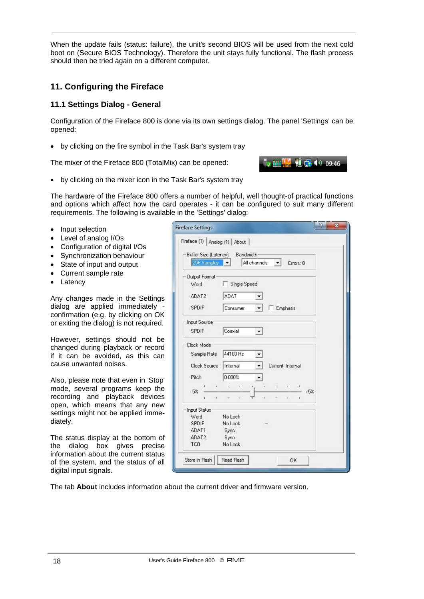When the update fails (status: failure), the unit's second BIOS will be used from the next cold boot on (Secure BIOS Technology). Therefore the unit stays fully functional. The flash process should then be tried again on a different computer.

# **11. Configuring the Fireface**

# **11.1 Settings Dialog - General**

Configuration of the Fireface 800 is done via its own settings dialog. The panel 'Settings' can be opened:

• by clicking on the fire symbol in the Task Bar's system tray

The mixer of the Fireface 800 (TotalMix) can be opened:



• by clicking on the mixer icon in the Task Bar's system tray

The hardware of the Fireface 800 offers a number of helpful, well thought-of practical functions and options which affect how the card operates - it can be configured to suit many different requirements. The following is available in the 'Settings' dialog:

- Input selection
- Level of analog I/Os
- Configuration of digital I/Os
- Synchronization behaviour
- State of input and output
- Current sample rate
- Latency

Any changes made in the Settings dialog are applied immediately confirmation (e.g. by clicking on OK or exiting the dialog) is not required.

However, settings should not be changed during playback or record if it can be avoided, as this can cause unwanted noises.

Also, please note that even in 'Stop' mode, several programs keep the recording and playback devices open, which means that any new settings might not be applied immediately.

The status display at the bottom of the dialog box gives precise information about the current status of the system, and the status of all digital input signals.

| <b>Fireface Settings</b>             | P                                                                                                             | $\mathbf x$ |
|--------------------------------------|---------------------------------------------------------------------------------------------------------------|-------------|
| Fireface (1) Analog (1) About        |                                                                                                               |             |
| Buffer Size (Latency)<br>256 Samples | <b>Bandwidth</b><br>All channels<br>Errors: 0                                                                 |             |
| Output Format<br>Word                | Single Speed                                                                                                  |             |
| ADAT2                                | ADAT<br>۰                                                                                                     |             |
| SPDIF                                | Consumer<br><b>Emphasis</b>                                                                                   |             |
| <b>Input Source</b>                  |                                                                                                               |             |
| <b>SPDIF</b>                         | Coaxial<br>▼                                                                                                  |             |
| Clock Mode                           |                                                                                                               |             |
| Sample Rate                          | 44100 Hz                                                                                                      |             |
| <b>Clock Source</b>                  | Internal<br>Current Internal                                                                                  |             |
| Pitch                                | 0.000%                                                                                                        |             |
| $-5%$<br>i.<br>r                     | ï<br>ï<br>r.<br>ı<br>×,<br>$+5%$<br>¥.<br>ï<br>$\ddot{\phantom{0}}$<br>$\blacksquare$<br>c.<br>$\blacksquare$ |             |
| <b>Input Status</b>                  |                                                                                                               |             |
| Word                                 | No Lock                                                                                                       |             |
| <b>SPDIF</b>                         | No Lock                                                                                                       |             |
| ADAT1                                | Sync                                                                                                          |             |
| ADAT2<br><b>TCO</b>                  | Sync<br>No Lock                                                                                               |             |
|                                      |                                                                                                               |             |
| Store in Flash                       | Read Flash<br>OK                                                                                              |             |

The tab **About** includes information about the current driver and firmware version.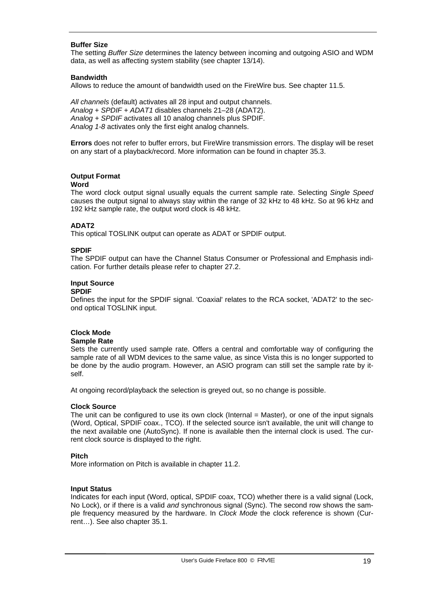#### **Buffer Size**

The setting *Buffer Size* determines the latency between incoming and outgoing ASIO and WDM data, as well as affecting system stability (see chapter 13/14).

#### **Bandwidth**

Allows to reduce the amount of bandwidth used on the FireWire bus. See chapter 11.5.

*All channels* (default) activates all 28 input and output channels. *Analog + SPDIF + ADAT1* disables channels 21–28 (ADAT2). *Analog + SPDIF* activates all 10 analog channels plus SPDIF. *Analog 1-8* activates only the first eight analog channels.

**Errors** does not refer to buffer errors, but FireWire transmission errors. The display will be reset on any start of a playback/record. More information can be found in chapter 35.3.

#### **Output Format**

#### **Word**

The word clock output signal usually equals the current sample rate. Selecting *Single Speed* causes the output signal to always stay within the range of 32 kHz to 48 kHz. So at 96 kHz and 192 kHz sample rate, the output word clock is 48 kHz.

#### **ADAT2**

This optical TOSLINK output can operate as ADAT or SPDIF output.

#### **SPDIF**

The SPDIF output can have the Channel Status Consumer or Professional and Emphasis indication. For further details please refer to chapter 27.2.

## **Input Source**

#### **SPDIF**

Defines the input for the SPDIF signal. 'Coaxial' relates to the RCA socket, 'ADAT2' to the second optical TOSLINK input.

## **Clock Mode**

#### **Sample Rate**

Sets the currently used sample rate. Offers a central and comfortable way of configuring the sample rate of all WDM devices to the same value, as since Vista this is no longer supported to be done by the audio program. However, an ASIO program can still set the sample rate by itself.

At ongoing record/playback the selection is greyed out, so no change is possible.

#### **Clock Source**

The unit can be configured to use its own clock (Internal = Master), or one of the input signals (Word, Optical, SPDIF coax., TCO). If the selected source isn't available, the unit will change to the next available one (AutoSync). If none is available then the internal clock is used. The current clock source is displayed to the right.

#### **Pitch**

More information on Pitch is available in chapter 11.2.

#### **Input Status**

Indicates for each input (Word, optical, SPDIF coax, TCO) whether there is a valid signal (Lock, No Lock), or if there is a valid *and* synchronous signal (Sync). The second row shows the sample frequency measured by the hardware. In *Clock Mode* the clock reference is shown (Current…). See also chapter 35.1.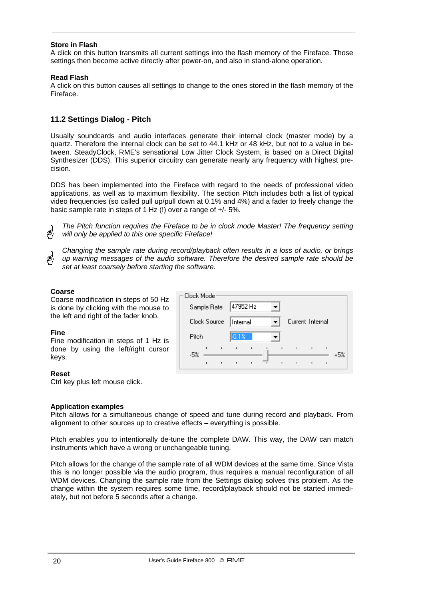## **Store in Flash**

A click on this button transmits all current settings into the flash memory of the Fireface. Those settings then become active directly after power-on, and also in stand-alone operation.

## **Read Flash**

A click on this button causes all settings to change to the ones stored in the flash memory of the Fireface.

# **11.2 Settings Dialog - Pitch**

Usually soundcards and audio interfaces generate their internal clock (master mode) by a quartz. Therefore the internal clock can be set to 44.1 kHz or 48 kHz, but not to a value in between. SteadyClock, RME's sensational Low Jitter Clock System, is based on a Direct Digital Synthesizer (DDS). This superior circuitry can generate nearly any frequency with highest precision.

DDS has been implemented into the Fireface with regard to the needs of professional video applications, as well as to maximum flexibility. The section Pitch includes both a list of typical video frequencies (so called pull up/pull down at 0.1% and 4%) and a fader to freely change the basic sample rate in steps of 1 Hz (!) over a range of +/- 5%.

*The Pitch function requires the Fireface to be in clock mode Master! The frequency setting will only be applied to this one specific Fireface!* 

*Changing the sample rate during record/playback often results in a loss of audio, or brings up warning messages of the audio software. Therefore the desired sample rate should be set at least coarsely before starting the software.* 

## **Coarse**

Coarse modification in steps of 50 Hz is done by clicking with the mouse to the left and right of the fader knob.

## **Fine**

Fine modification in steps of 1 Hz is done by using the left/right cursor keys.

## **Reset**

Ctrl key plus left mouse click.

## **Application examples**

Pitch allows for a simultaneous change of speed and tune during record and playback. From alignment to other sources up to creative effects – everything is possible.

Pitch enables you to intentionally de-tune the complete DAW. This way, the DAW can match instruments which have a wrong or unchangeable tuning.

Pitch allows for the change of the sample rate of all WDM devices at the same time. Since Vista this is no longer possible via the audio program, thus requires a manual reconfiguration of all WDM devices. Changing the sample rate from the Settings dialog solves this problem. As the change within the system requires some time, record/playback should not be started immediately, but not before 5 seconds after a change.

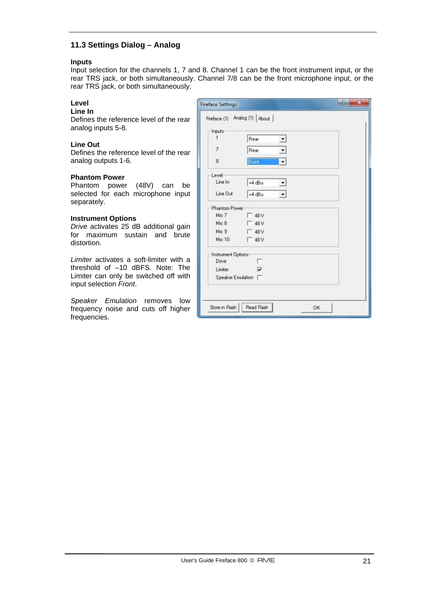# **11.3 Settings Dialog – Analog**

#### **Inputs**

Input selection for the channels 1, 7 and 8. Channel 1 can be the front instrument input, or the rear TRS jack, or both simultaneously. Channel 7/8 can be the front microphone input, or the rear TRS jack, or both simultaneously.

## **Level**

**Line In** 

Defines the reference level of the rear analog inputs 5-8.

#### **Line Out**

Defines the reference level of the rear analog outputs 1-6.

#### **Phantom Power**

Phantom power (48V) can be selected for each microphone input separately.

#### **Instrument Options**

*Drive* activates 25 dB additional gain for maximum sustain and brute distortion.

*Limiter* activates a soft-limiter with a threshold of –10 dBFS. Note: The Limiter can only be switched off with input selection *Front*.

*Speaker Emulation* removes low frequency noise and cuts off higher frequencies.

| Inputs               |               |  |
|----------------------|---------------|--|
| 1                    | Rear<br>▼     |  |
| $\overline{7}$       | Rear<br>▼     |  |
| 8                    | Front<br>▾    |  |
| Level                |               |  |
| Line In              | $+4 dBu$<br>▼ |  |
| Line Out             | $+4 dBu$      |  |
| <b>Phantom Power</b> |               |  |
| Mic 7                | $\Gamma$ 48 V |  |
| Mic 8                | 48 V          |  |
| Mic 9                | 48 V          |  |
| Mic 10               | 48 V          |  |
| Instrument Options   |               |  |
| Drive                | г             |  |
| Limiter              | ⊽             |  |
| Speaker Emulation    |               |  |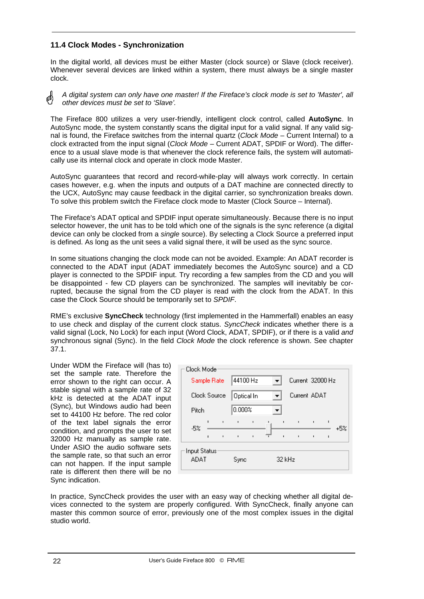## **11.4 Clock Modes - Synchronization**

In the digital world, all devices must be either Master (clock source) or Slave (clock receiver). Whenever several devices are linked within a system, there must always be a single master clock.

*A digital system can only have one master! If the Fireface's clock mode is set to 'Master', all*  ๗ *other devices must be set to 'Slave'.*

The Fireface 800 utilizes a very user-friendly, intelligent clock control, called **AutoSync**. In AutoSync mode, the system constantly scans the digital input for a valid signal. If any valid signal is found, the Fireface switches from the internal quartz (*Clock Mode* – Current Internal) to a clock extracted from the input signal (*Clock Mode* – Current ADAT, SPDIF or Word). The difference to a usual slave mode is that whenever the clock reference fails, the system will automatically use its internal clock and operate in clock mode Master.

AutoSync guarantees that record and record-while-play will always work correctly. In certain cases however, e.g. when the inputs and outputs of a DAT machine are connected directly to the UCX, AutoSync may cause feedback in the digital carrier, so synchronization breaks down. To solve this problem switch the Fireface clock mode to Master (Clock Source – Internal).

The Fireface's ADAT optical and SPDIF input operate simultaneously. Because there is no input selector however, the unit has to be told which one of the signals is the sync reference (a digital device can only be clocked from a *single* source). By selecting a Clock Source a preferred input is defined. As long as the unit sees a valid signal there, it will be used as the sync source.

In some situations changing the clock mode can not be avoided. Example: An ADAT recorder is connected to the ADAT input (ADAT immediately becomes the AutoSync source) and a CD player is connected to the SPDIF input. Try recording a few samples from the CD and you will be disappointed - few CD players can be synchronized. The samples will inevitably be corrupted, because the signal from the CD player is read with the clock from the ADAT. In this case the Clock Source should be temporarily set to *SPDIF*.

RME's exclusive **SyncCheck** technology (first implemented in the Hammerfall) enables an easy to use check and display of the current clock status. *SyncCheck* indicates whether there is a valid signal (Lock, No Lock) for each input (Word Clock, ADAT, SPDIF), or if there is a valid *and* synchronous signal (Sync). In the field *Clock Mode* the clock reference is shown. See chapter 37.1.

Under WDM the Fireface will (has to) set the sample rate. Therefore the error shown to the right can occur. A stable signal with a sample rate of 32 kHz is detected at the ADAT input (Sync), but Windows audio had been set to 44100 Hz before. The red color of the text label signals the error condition, and prompts the user to set 32000 Hz manually as sample rate. Under ASIO the audio software sets the sample rate, so that such an error can not happen. If the input sample rate is different then there will be no Sync indication.

| Clock Mode   |                |              |                |                |                |                  |                |              |     |
|--------------|----------------|--------------|----------------|----------------|----------------|------------------|----------------|--------------|-----|
|              |                | Sample Rate  | 44100 Hz       |                |                | Current 32000 Hz |                |              |     |
|              |                | Clock Source |                | Optical In     |                | Current ADAT     |                |              |     |
| Pitch        |                |              | 0.000%         |                |                |                  |                |              |     |
| $-5%$        | $\blacksquare$ | $\mathbf{I}$ | $\mathbf{I}$   | $\blacksquare$ | $\blacksquare$ | $\mathbf{I}$     | $\blacksquare$ | $\mathbf{I}$ | +5% |
|              | $\blacksquare$ | $\mathbf{I}$ | $\blacksquare$ | $\blacksquare$ | $\blacksquare$ |                  | $\blacksquare$ | $\mathbf{I}$ |     |
| Input Status |                |              |                |                |                |                  |                |              |     |
| ADAT         |                |              | Sync           |                | 32 kHz         |                  |                |              |     |
|              |                |              |                |                |                |                  |                |              |     |

In practice, SyncCheck provides the user with an easy way of checking whether all digital devices connected to the system are properly configured. With SyncCheck, finally anyone can master this common source of error, previously one of the most complex issues in the digital studio world.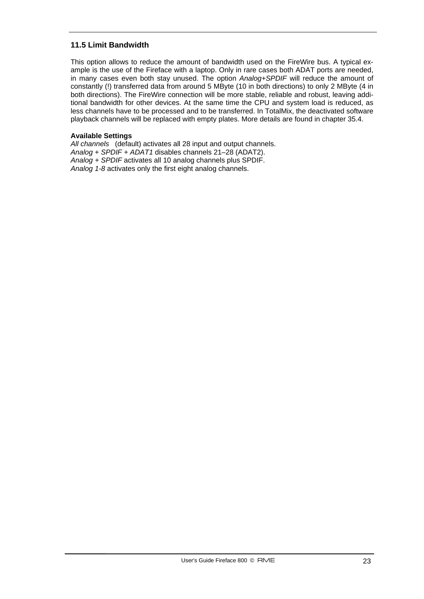# **11.5 Limit Bandwidth**

This option allows to reduce the amount of bandwidth used on the FireWire bus. A typical example is the use of the Fireface with a laptop. Only in rare cases both ADAT ports are needed, in many cases even both stay unused. The option *Analog+SPDIF* will reduce the amount of constantly (!) transferred data from around 5 MByte (10 in both directions) to only 2 MByte (4 in both directions). The FireWire connection will be more stable, reliable and robust, leaving additional bandwidth for other devices. At the same time the CPU and system load is reduced, as less channels have to be processed and to be transferred. In TotalMix, the deactivated software playback channels will be replaced with empty plates. More details are found in chapter 35.4.

## **Available Settings**

*All channels* (default) activates all 28 input and output channels. *Analog + SPDIF + ADAT1* disables channels 21–28 (ADAT2). *Analog + SPDIF* activates all 10 analog channels plus SPDIF. *Analog 1-8* activates only the first eight analog channels.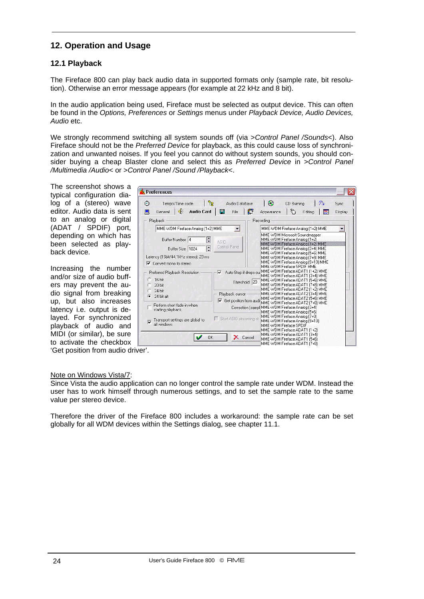# **12. Operation and Usage**

# **12.1 Playback**

The Fireface 800 can play back audio data in supported formats only (sample rate, bit resolution). Otherwise an error message appears (for example at 22 kHz and 8 bit).

In the audio application being used, Fireface must be selected as output device. This can often be found in the *Options, Preferences* or *Settings* menus under *Playback Device, Audio Devices, Audio* etc.

We strongly recommend switching all system sounds off (via >*Control Panel /Sounds*<). Also Fireface should not be the *Preferred Device* for playback, as this could cause loss of synchronization and unwanted noises. If you feel you cannot do without system sounds, you should consider buying a cheap Blaster clone and select this as *Preferred Device* in >*Control Panel /Multimedia /Audio*< or >*Control Panel /Sound /Playback*<.

The screenshot shows a typical configuration dialog of a (stereo) wave editor. Audio data is sent to an analog or digital (ADAT / SPDIF) port, depending on which has been selected as playback device.

Increasing the number and/or size of audio buffers may prevent the audio signal from breaking up, but also increases latency i.e. output is delayed. For synchronized playback of audio and MIDI (or similar), be sure to activate the checkbox

| <b>Preferences</b>                                                                      |                                                                                                                              | x       |
|-----------------------------------------------------------------------------------------|------------------------------------------------------------------------------------------------------------------------------|---------|
| ಜ<br>Θ<br>Tempo/Time code<br>Audio Database                                             | ⊛<br>秘<br>CD Burning                                                                                                         | Sync    |
| G<br>General   $\oint$<br>冐<br><b>Audio Card</b><br>File                                | Q<br>Editing<br>E<br>Appearance                                                                                              | Display |
| Playback                                                                                | Recording                                                                                                                    |         |
| MME-WDM Fireface Analog (1+2) MME                                                       | MME-WDM Fireface Analog (1+2) MME                                                                                            |         |
| ۱÷<br>Buffer Number 4<br>ASIO                                                           | MME-WDM Microsoft Soundmapper<br>MME-WDM Fireface Analog (1+2)                                                               |         |
| Control Panel<br>F<br>Buffer Size 1024                                                  | MME-WDM Fireface Analog (1+2) MME<br>MME-WDM Fireface Analog (3+4) MME<br>MME-WDM Fireface Analog (5+6) MME                  |         |
| Latency (16bit/44.1kHz stereo): 23 ms<br>$\overline{\mathbf{v}}$ Convert mono to stereo | MME-WDM Fireface Analog (7+8) MME<br>MME-WDM Fireface Analog (9+10) MME<br>MME-WDM Fireface SPDIF MME                        |         |
| ⊽<br>Preferred Playback Resolution<br>16 bit                                            | Auto-Stop if drops ou MME-WDM Fireface ADAT1 (1+2) MME<br>MME-WDM Fireface ADAT1 (3+4) MME                                   |         |
| Threshold 20<br>20 bit<br>24 bit                                                        | MME-WDM Fireface ADAT1 (5+6) MME<br>MME-WDM Fireface ADAT1 (7+8) MME<br>MME-WDM Fireface ADAT2 (1+2) MME                     |         |
| Playback cursor<br>24 bit alt<br>G<br>$\overline{\triangledown}$ Get position from audi | MME-WDM Fireface ADAT2 [3+4] MME<br>MME-WDM Fireface ADAT2 (5+6) MME                                                         |         |
| Perform short fade-in when<br>starting playback                                         | MME-WDM Fireface ADAT2 (7+8) MME<br>Correction [sampl  MME-WDM Fireface Analog [3+4]<br>MME-WDM Fireface Analog (5+6)        |         |
| Start ASIO streaming at<br>Transport settings are global to<br>ঢ়<br>all windows        | MME-WDM Fireface Analog (7+8)<br>MME-WDM Fireface Analog (9+10)<br>MME-WDM Fireface SPDIF                                    |         |
| OK<br>Cancel                                                                            | MME-WDM Fireface ADAT1 (1+2)<br>MME-WDM Fireface ADAT1 [3+4]<br>MME-WDM Fireface ADAT1 (5+6)<br>MME-WDM Fireface ADAT1 (7+8) |         |

'Get position from audio driver'.

## Note on Windows Vista/7:

Since Vista the audio application can no longer control the sample rate under WDM. Instead the user has to work himself through numerous settings, and to set the sample rate to the same value per stereo device.

Therefore the driver of the Fireface 800 includes a workaround: the sample rate can be set globally for all WDM devices within the Settings dialog, see chapter 11.1.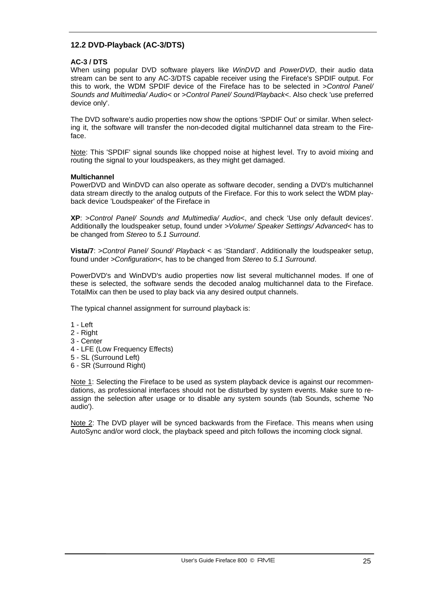# **12.2 DVD-Playback (AC-3/DTS)**

## **AC-3 / DTS**

When using popular DVD software players like *WinDVD* and *PowerDVD*, their audio data stream can be sent to any AC-3/DTS capable receiver using the Fireface's SPDIF output. For this to work, the WDM SPDIF device of the Fireface has to be selected in >*Control Panel/ Sounds and Multimedia/ Audio<* or >*Control Panel/ Sound/Playback<*. Also check 'use preferred device only'.

The DVD software's audio properties now show the options 'SPDIF Out' or similar. When selecting it, the software will transfer the non-decoded digital multichannel data stream to the Fireface.

Note: This 'SPDIF' signal sounds like chopped noise at highest level. Try to avoid mixing and routing the signal to your loudspeakers, as they might get damaged.

#### **Multichannel**

PowerDVD and WinDVD can also operate as software decoder, sending a DVD's multichannel data stream directly to the analog outputs of the Fireface. For this to work select the WDM playback device 'Loudspeaker' of the Fireface in

**XP**: >*Control Panel/ Sounds and Multimedia/ Audio<*, and check 'Use only default devices'. Additionally the loudspeaker setup, found under *>Volume/ Speaker Settings/ Advanced<* has to be changed from *Stereo* to *5.1 Surround*.

**Vista/7**: >*Control Panel/ Sound/ Playback* < as 'Standard'. Additionally the loudspeaker setup, found under *>Configuration<,* has to be changed from *Stereo* to *5.1 Surround*.

PowerDVD's and WinDVD's audio properties now list several multichannel modes. If one of these is selected, the software sends the decoded analog multichannel data to the Fireface. TotalMix can then be used to play back via any desired output channels.

The typical channel assignment for surround playback is:

- $1 I$  eft
- 2 Right
- 3 Center
- 4 LFE (Low Frequency Effects)
- 5 SL (Surround Left)
- 6 SR (Surround Right)

Note 1: Selecting the Fireface to be used as system playback device is against our recommendations, as professional interfaces should not be disturbed by system events. Make sure to reassign the selection after usage or to disable any system sounds (tab Sounds, scheme 'No audio').

Note 2: The DVD player will be synced backwards from the Fireface. This means when using AutoSync and/or word clock, the playback speed and pitch follows the incoming clock signal.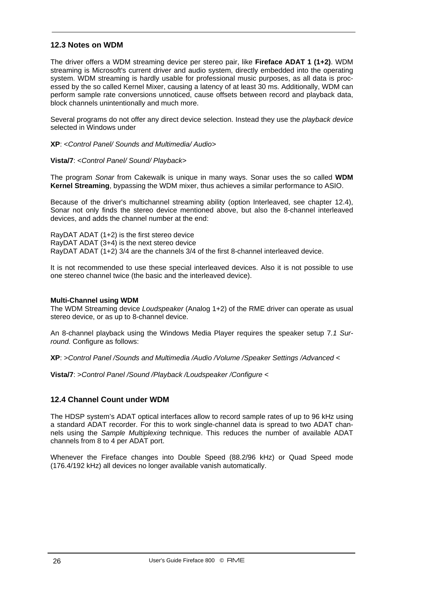## **12.3 Notes on WDM**

The driver offers a WDM streaming device per stereo pair, like **Fireface ADAT 1 (1+2)**. WDM streaming is Microsoft's current driver and audio system, directly embedded into the operating system. WDM streaming is hardly usable for professional music purposes, as all data is processed by the so called Kernel Mixer, causing a latency of at least 30 ms. Additionally, WDM can perform sample rate conversions unnoticed, cause offsets between record and playback data, block channels unintentionally and much more.

Several programs do not offer any direct device selection. Instead they use the *playback device* selected in Windows under

#### **XP**: <*Control Panel/ Sounds and Multimedia/ Audio>*

#### **Vista/7**: <*Control Panel/ Sound/ Playback>*

The program *Sonar* from Cakewalk is unique in many ways. Sonar uses the so called **WDM Kernel Streaming**, bypassing the WDM mixer, thus achieves a similar performance to ASIO.

Because of the driver's multichannel streaming ability (option Interleaved, see chapter 12.4), Sonar not only finds the stereo device mentioned above, but also the 8-channel interleaved devices, and adds the channel number at the end:

RayDAT ADAT (1+2) is the first stereo device RayDAT ADAT (3+4) is the next stereo device RayDAT ADAT (1+2) 3/4 are the channels 3/4 of the first 8-channel interleaved device.

It is not recommended to use these special interleaved devices. Also it is not possible to use one stereo channel twice (the basic and the interleaved device).

#### **Multi-Channel using WDM**

The WDM Streaming device *Loudspeaker* (Analog 1+2) of the RME driver can operate as usual stereo device, or as up to 8-channel device.

An 8-channel playback using the Windows Media Player requires the speaker setup 7*.1 Surround.* Configure as follows:

**XP**: >*Control Panel /Sounds and Multimedia /Audio /Volume /Speaker Settings /Advanced <* 

**Vista/7**: >*Control Panel /Sound /Playback /Loudspeaker /Configure <*

## **12.4 Channel Count under WDM**

The HDSP system's ADAT optical interfaces allow to record sample rates of up to 96 kHz using a standard ADAT recorder. For this to work single-channel data is spread to two ADAT channels using the *Sample Multiplexing* technique. This reduces the number of available ADAT channels from 8 to 4 per ADAT port.

Whenever the Fireface changes into Double Speed (88.2/96 kHz) or Quad Speed mode (176.4/192 kHz) all devices no longer available vanish automatically.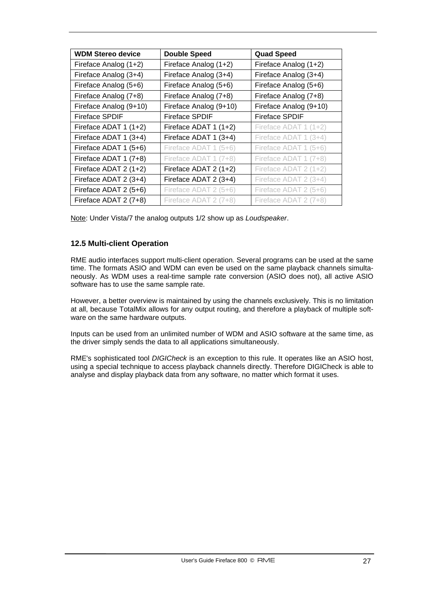| <b>WDM Stereo device</b> | <b>Double Speed</b>    | <b>Quad Speed</b>      |
|--------------------------|------------------------|------------------------|
| Fireface Analog (1+2)    | Fireface Analog (1+2)  | Fireface Analog (1+2)  |
| Fireface Analog (3+4)    | Fireface Analog (3+4)  | Fireface Analog (3+4)  |
| Fireface Analog (5+6)    | Fireface Analog (5+6)  | Fireface Analog (5+6)  |
| Fireface Analog (7+8)    | Fireface Analog (7+8)  | Fireface Analog (7+8)  |
| Fireface Analog (9+10)   | Fireface Analog (9+10) | Fireface Analog (9+10) |
| <b>Fireface SPDIF</b>    | <b>Fireface SPDIF</b>  | <b>Fireface SPDIF</b>  |
| Fireface ADAT 1 (1+2)    | Fireface ADAT 1 (1+2)  | Fireface ADAT 1 (1+2)  |
| Fireface ADAT 1 (3+4)    | Fireface ADAT 1 (3+4)  | Fireface ADAT 1 (3+4)  |
| Fireface ADAT 1 (5+6)    | Fireface ADAT 1 (5+6)  | Fireface ADAT 1 (5+6)  |
| Fireface ADAT 1 (7+8)    | Fireface ADAT 1 (7+8)  | Fireface ADAT 1 (7+8)  |
| Fireface ADAT 2 (1+2)    | Fireface ADAT 2 (1+2)  | Fireface ADAT 2 (1+2)  |
| Fireface ADAT 2 (3+4)    | Fireface ADAT 2 (3+4)  | Fireface ADAT 2 (3+4)  |
| Fireface ADAT 2 (5+6)    | Fireface ADAT 2 (5+6)  | Fireface ADAT 2 (5+6)  |
| Fireface ADAT 2 (7+8)    | Fireface ADAT 2 (7+8)  | Fireface ADAT 2 (7+8)  |

Note: Under Vista/7 the analog outputs 1/2 show up as *Loudspeaker*.

## **12.5 Multi-client Operation**

RME audio interfaces support multi-client operation. Several programs can be used at the same time. The formats ASIO and WDM can even be used on the same playback channels simultaneously. As WDM uses a real-time sample rate conversion (ASIO does not), all active ASIO software has to use the same sample rate.

However, a better overview is maintained by using the channels exclusively. This is no limitation at all, because TotalMix allows for any output routing, and therefore a playback of multiple software on the same hardware outputs.

Inputs can be used from an unlimited number of WDM and ASIO software at the same time, as the driver simply sends the data to all applications simultaneously.

RME's sophisticated tool *DIGICheck* is an exception to this rule. It operates like an ASIO host, using a special technique to access playback channels directly. Therefore DIGICheck is able to analyse and display playback data from any software, no matter which format it uses.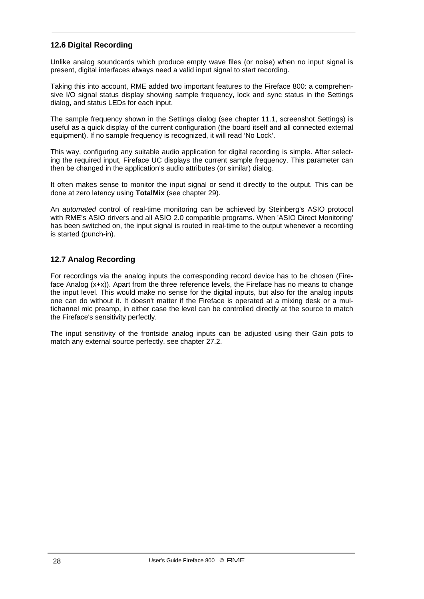# **12.6 Digital Recording**

Unlike analog soundcards which produce empty wave files (or noise) when no input signal is present, digital interfaces always need a valid input signal to start recording.

Taking this into account, RME added two important features to the Fireface 800: a comprehensive I/O signal status display showing sample frequency, lock and sync status in the Settings dialog, and status LEDs for each input.

The sample frequency shown in the Settings dialog (see chapter 11.1, screenshot Settings) is useful as a quick display of the current configuration (the board itself and all connected external equipment). If no sample frequency is recognized, it will read 'No Lock'.

This way, configuring any suitable audio application for digital recording is simple. After selecting the required input, Fireface UC displays the current sample frequency. This parameter can then be changed in the application's audio attributes (or similar) dialog.

It often makes sense to monitor the input signal or send it directly to the output. This can be done at zero latency using **TotalMix** (see chapter 29).

An *automated* control of real-time monitoring can be achieved by Steinberg's ASIO protocol with RME's ASIO drivers and all ASIO 2.0 compatible programs. When 'ASIO Direct Monitoring' has been switched on, the input signal is routed in real-time to the output whenever a recording is started (punch-in).

## **12.7 Analog Recording**

For recordings via the analog inputs the corresponding record device has to be chosen (Fireface Analog (x+x)). Apart from the three reference levels, the Fireface has no means to change the input level. This would make no sense for the digital inputs, but also for the analog inputs one can do without it. It doesn't matter if the Fireface is operated at a mixing desk or a multichannel mic preamp, in either case the level can be controlled directly at the source to match the Fireface's sensitivity perfectly.

The input sensitivity of the frontside analog inputs can be adjusted using their Gain pots to match any external source perfectly, see chapter 27.2.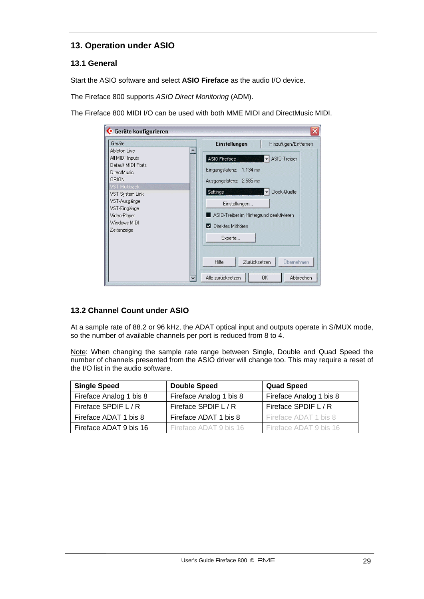# **13. Operation under ASIO**

# **13.1 General**

Start the ASIO software and select **ASIO Fireface** as the audio I/O device.

The Fireface 800 supports *ASIO Direct Monitoring* (ADM).

The Fireface 800 MIDI I/O can be used with both MME MIDI and DirectMusic MIDI.

| ← Geräte konfigurieren                |                                                      |
|---------------------------------------|------------------------------------------------------|
| Geräte<br>Ableton Live                | Einstellungen<br>Hinzufügen/Entfernen                |
| All MIDI Inputs<br>Default MIDI Ports | ASIO-Treiber<br>ASIO Fireface<br>٠                   |
| <b>DirectMusic</b><br>ORION           | Eingangslatenz: 1.134 ms                             |
| VST Multitrack<br>VST System Link     | Ausgangslatenz: 2.585 ms<br>Clock-Quelle<br>Settings |
| VST-Ausgänge<br>VST-Eingänge          | Einstellungen                                        |
| Video-Player<br>Windows MIDI          | ASIO-Treiber im Hintergrund deaktivieren             |
| Zeitanzeige                           | Direktes Mithoren                                    |
|                                       | Experte                                              |
|                                       | Zurücksetzen<br>Hilfe<br>Übernehmen                  |
| $\checkmark$                          | Alle zurücksetzen<br>0K<br>Abbrechen                 |

## **13.2 Channel Count under ASIO**

At a sample rate of 88.2 or 96 kHz, the ADAT optical input and outputs operate in S/MUX mode, so the number of available channels per port is reduced from 8 to 4.

Note: When changing the sample rate range between Single, Double and Quad Speed the number of channels presented from the ASIO driver will change too. This may require a reset of the I/O list in the audio software.

| <b>Single Speed</b>     | <b>Double Speed</b>     | <b>Quad Speed</b>       |
|-------------------------|-------------------------|-------------------------|
| Fireface Analog 1 bis 8 | Fireface Analog 1 bis 8 | Fireface Analog 1 bis 8 |
| Fireface SPDIF L / R    | Fireface SPDIF L / R    | Fireface SPDIF L / R    |
| Fireface ADAT 1 bis 8   | Fireface ADAT 1 bis 8   | Fireface ADAT 1 bis 8   |
| Fireface ADAT 9 bis 16  | Fireface ADAT 9 bis 16  | Fireface ADAT 9 bis 16  |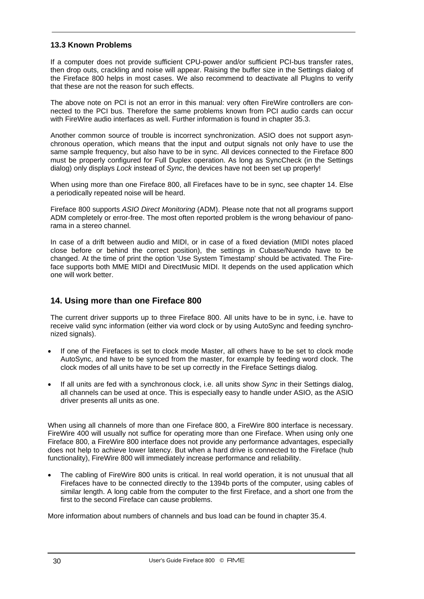# **13.3 Known Problems**

If a computer does not provide sufficient CPU-power and/or sufficient PCI-bus transfer rates, then drop outs, crackling and noise will appear. Raising the buffer size in the Settings dialog of the Fireface 800 helps in most cases. We also recommend to deactivate all PlugIns to verify that these are not the reason for such effects.

The above note on PCI is not an error in this manual: very often FireWire controllers are connected to the PCI bus. Therefore the same problems known from PCI audio cards can occur with FireWire audio interfaces as well. Further information is found in chapter 35.3.

Another common source of trouble is incorrect synchronization. ASIO does not support asynchronous operation, which means that the input and output signals not only have to use the same sample frequency, but also have to be in sync. All devices connected to the Fireface 800 must be properly configured for Full Duplex operation. As long as SyncCheck (in the Settings dialog) only displays *Lock* instead of *Sync*, the devices have not been set up properly!

When using more than one Fireface 800, all Firefaces have to be in sync, see chapter 14. Else a periodically repeated noise will be heard.

Fireface 800 supports *ASIO Direct Monitoring* (ADM). Please note that not all programs support ADM completely or error-free. The most often reported problem is the wrong behaviour of panorama in a stereo channel.

In case of a drift between audio and MIDI, or in case of a fixed deviation (MIDI notes placed close before or behind the correct position), the settings in Cubase/Nuendo have to be changed. At the time of print the option 'Use System Timestamp' should be activated. The Fireface supports both MME MIDI and DirectMusic MIDI. It depends on the used application which one will work better.

# **14. Using more than one Fireface 800**

The current driver supports up to three Fireface 800. All units have to be in sync, i.e. have to receive valid sync information (either via word clock or by using AutoSync and feeding synchronized signals).

- If one of the Firefaces is set to clock mode Master, all others have to be set to clock mode AutoSync, and have to be synced from the master, for example by feeding word clock. The clock modes of all units have to be set up correctly in the Fireface Settings dialog.
- If all units are fed with a synchronous clock, i.e. all units show *Sync* in their Settings dialog, all channels can be used at once. This is especially easy to handle under ASIO, as the ASIO driver presents all units as one.

When using all channels of more than one Fireface 800, a FireWire 800 interface is necessary. FireWire 400 will usually not suffice for operating more than one Fireface. When using only one Fireface 800, a FireWire 800 interface does not provide any performance advantages, especially does not help to achieve lower latency. But when a hard drive is connected to the Fireface (hub functionality), FireWire 800 will immediately increase performance and reliability.

• The cabling of FireWire 800 units is critical. In real world operation, it is not unusual that all Firefaces have to be connected directly to the 1394b ports of the computer, using cables of similar length. A long cable from the computer to the first Fireface, and a short one from the first to the second Fireface can cause problems.

More information about numbers of channels and bus load can be found in chapter 35.4.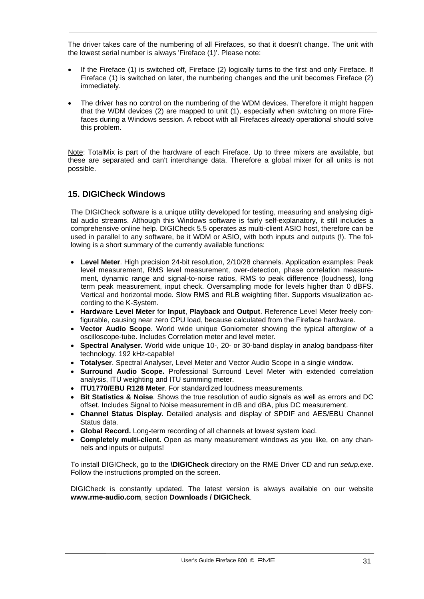The driver takes care of the numbering of all Firefaces, so that it doesn't change. The unit with the lowest serial number is always 'Fireface (1)'. Please note:

- If the Fireface (1) is switched off, Fireface (2) logically turns to the first and only Fireface. If Fireface (1) is switched on later, the numbering changes and the unit becomes Fireface (2) immediately.
- The driver has no control on the numbering of the WDM devices. Therefore it might happen that the WDM devices (2) are mapped to unit (1), especially when switching on more Firefaces during a Windows session. A reboot with all Firefaces already operational should solve this problem.

Note: TotalMix is part of the hardware of each Fireface. Up to three mixers are available, but these are separated and can't interchange data. Therefore a global mixer for all units is not possible.

# **15. DIGICheck Windows**

The DIGICheck software is a unique utility developed for testing, measuring and analysing digital audio streams. Although this Windows software is fairly self-explanatory, it still includes a comprehensive online help. DIGICheck 5.5 operates as multi-client ASIO host, therefore can be used in parallel to any software, be it WDM or ASIO, with both inputs and outputs (!). The following is a short summary of the currently available functions:

- **Level Meter**. High precision 24-bit resolution, 2/10/28 channels. Application examples: Peak level measurement, RMS level measurement, over-detection, phase correlation measurement, dynamic range and signal-to-noise ratios, RMS to peak difference (loudness), long term peak measurement, input check. Oversampling mode for levels higher than 0 dBFS. Vertical and horizontal mode. Slow RMS and RLB weighting filter. Supports visualization according to the K-System.
- **Hardware Level Meter** for **Input**, **Playback** and **Output**. Reference Level Meter freely configurable, causing near zero CPU load, because calculated from the Fireface hardware.
- **Vector Audio Scope**. World wide unique Goniometer showing the typical afterglow of a oscilloscope-tube. Includes Correlation meter and level meter.
- **Spectral Analyser.** World wide unique 10-, 20- or 30-band display in analog bandpass-filter technology. 192 kHz-capable!
- **Totalyser**. Spectral Analyser, Level Meter and Vector Audio Scope in a single window.
- **Surround Audio Scope.** Professional Surround Level Meter with extended correlation analysis, ITU weighting and ITU summing meter.
- **ITU1770/EBU R128 Meter**. For standardized loudness measurements.
- **Bit Statistics & Noise**. Shows the true resolution of audio signals as well as errors and DC offset. Includes Signal to Noise measurement in dB and dBA, plus DC measurement.
- **Channel Status Display**. Detailed analysis and display of SPDIF and AES/EBU Channel Status data.
- **Global Record.** Long-term recording of all channels at lowest system load.
- **Completely multi-client.** Open as many measurement windows as you like, on any channels and inputs or outputs!

To install DIGICheck, go to the **\DIGICheck** directory on the RME Driver CD and run *setup.exe*. Follow the instructions prompted on the screen.

DIGICheck is constantly updated. The latest version is always available on our website **www.rme-audio.com**, section **Downloads / DIGICheck**.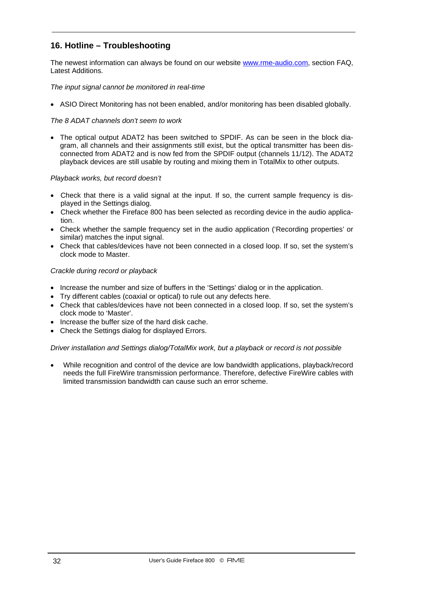# **16. Hotline – Troubleshooting**

The newest information can always be found on our website www.rme-audio.com, section FAQ, Latest Additions.

*The input signal cannot be monitored in real-time* 

• ASIO Direct Monitoring has not been enabled, and/or monitoring has been disabled globally.

#### *The 8 ADAT channels don't seem to work*

• The optical output ADAT2 has been switched to SPDIF. As can be seen in the block diagram, all channels and their assignments still exist, but the optical transmitter has been disconnected from ADAT2 and is now fed from the SPDIF output (channels 11/12). The ADAT2 playback devices are still usable by routing and mixing them in TotalMix to other outputs.

#### *Playback works, but record doesn't*

- Check that there is a valid signal at the input. If so, the current sample frequency is displayed in the Settings dialog.
- Check whether the Fireface 800 has been selected as recording device in the audio application.
- Check whether the sample frequency set in the audio application ('Recording properties' or similar) matches the input signal.
- Check that cables/devices have not been connected in a closed loop. If so, set the system's clock mode to Master.

## *Crackle during record or playback*

- Increase the number and size of buffers in the 'Settings' dialog or in the application.
- Try different cables (coaxial or optical) to rule out any defects here.
- Check that cables/devices have not been connected in a closed loop. If so, set the system's clock mode to 'Master'.
- Increase the buffer size of the hard disk cache.
- Check the Settings dialog for displayed Errors.

#### *Driver installation and Settings dialog/TotalMix work, but a playback or record is not possible*

• While recognition and control of the device are low bandwidth applications, playback/record needs the full FireWire transmission performance. Therefore, defective FireWire cables with limited transmission bandwidth can cause such an error scheme.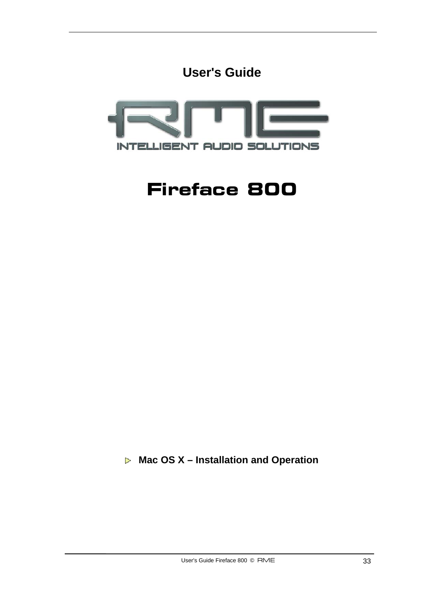



# **Fireface 800**

 **Mac OS X – Installation and Operation**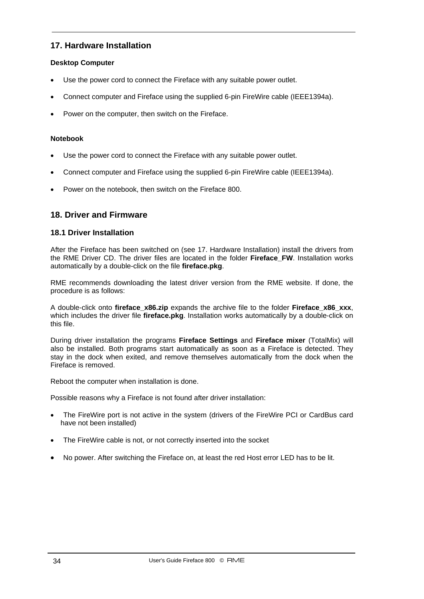# **17. Hardware Installation**

## **Desktop Computer**

- Use the power cord to connect the Fireface with any suitable power outlet.
- Connect computer and Fireface using the supplied 6-pin FireWire cable (IEEE1394a).
- Power on the computer, then switch on the Fireface.

## **Notebook**

- Use the power cord to connect the Fireface with any suitable power outlet.
- Connect computer and Fireface using the supplied 6-pin FireWire cable (IEEE1394a).
- Power on the notebook, then switch on the Fireface 800.

# **18. Driver and Firmware**

## **18.1 Driver Installation**

After the Fireface has been switched on (see 17. Hardware Installation) install the drivers from the RME Driver CD. The driver files are located in the folder **Fireface\_FW**. Installation works automatically by a double-click on the file **fireface.pkg**.

RME recommends downloading the latest driver version from the RME website. If done, the procedure is as follows:

A double-click onto **fireface x86.zip** expands the archive file to the folder **Fireface x86 xxx**, which includes the driver file **fireface.pkg**. Installation works automatically by a double-click on this file.

During driver installation the programs **Fireface Settings** and **Fireface mixer** (TotalMix) will also be installed. Both programs start automatically as soon as a Fireface is detected. They stay in the dock when exited, and remove themselves automatically from the dock when the Fireface is removed.

Reboot the computer when installation is done.

Possible reasons why a Fireface is not found after driver installation:

- The FireWire port is not active in the system (drivers of the FireWire PCI or CardBus card have not been installed)
- The FireWire cable is not, or not correctly inserted into the socket
- No power. After switching the Fireface on, at least the red Host error LED has to be lit.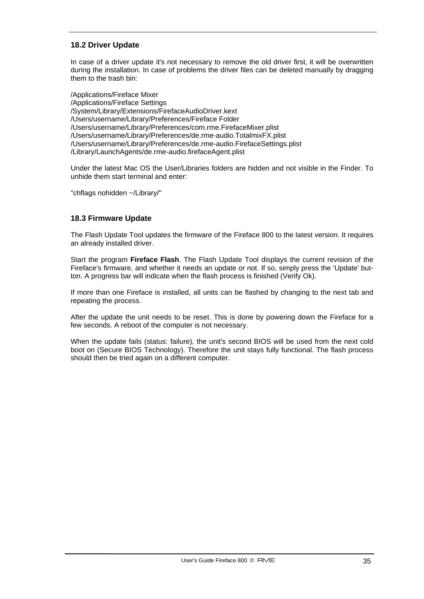# **18.2 Driver Update**

In case of a driver update it's not necessary to remove the old driver first, it will be overwritten during the installation. In case of problems the driver files can be deleted manually by dragging them to the trash bin:

/Applications/Fireface Mixer /Applications/Fireface Settings /System/Library/Extensions/FirefaceAudioDriver.kext /Users/username/Library/Preferences/Fireface Folder /Users/username/Library/Preferences/com.rme.FirefaceMixer.plist /Users/username/Library/Preferences/de.rme-audio.TotalmixFX.plist /Users/username/Library/Preferences/de.rme-audio.FirefaceSettings.plist /Library/LaunchAgents/de.rme-audio.firefaceAgent.plist

Under the latest Mac OS the User/Libraries folders are hidden and not visible in the Finder. To unhide them start terminal and enter:

"chflags nohidden ~/Library/"

## **18.3 Firmware Update**

The Flash Update Tool updates the firmware of the Fireface 800 to the latest version. It requires an already installed driver.

Start the program **Fireface Flash**. The Flash Update Tool displays the current revision of the Fireface's firmware, and whether it needs an update or not. If so, simply press the 'Update' button. A progress bar will indicate when the flash process is finished (Verify Ok).

If more than one Fireface is installed, all units can be flashed by changing to the next tab and repeating the process.

After the update the unit needs to be reset. This is done by powering down the Fireface for a few seconds. A reboot of the computer is not necessary.

When the update fails (status: failure), the unit's second BIOS will be used from the next cold boot on (Secure BIOS Technology). Therefore the unit stays fully functional. The flash process should then be tried again on a different computer.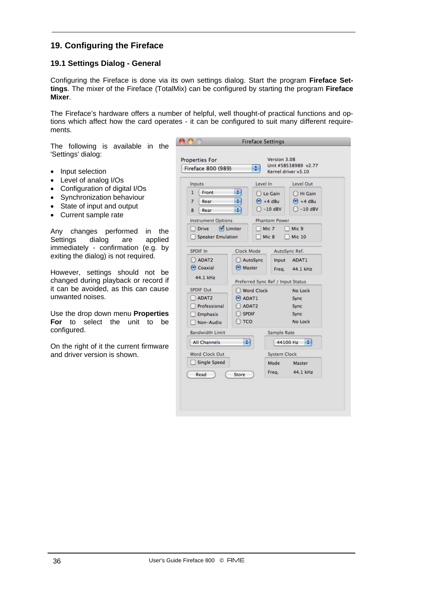# **19. Configuring the Fireface**

# **19.1 Settings Dialog - General**

Configuring the Fireface is done via its own settings dialog. Start the program **Fireface Settings**. The mixer of the Fireface (TotalMix) can be configured by starting the program **Fireface Mixer**.

The Fireface's hardware offers a number of helpful, well thought-of practical functions and options which affect how the card operates - it can be configured to suit many different requirements.

The following is available in the 'Settings' dialog:

- Input selection
- Level of analog I/Os
- Configuration of digital I/Os
- Synchronization behaviour
- State of input and output
- Current sample rate

Any changes performed in the Settings dialog are applied immediately - confirmation (e.g. by exiting the dialog) is not required.

However, settings should not be changed during playback or record if it can be avoided, as this can cause unwanted noises.

Use the drop down menu **Properties For** to select the unit to be configured.

On the right of it the current firmware and driver version is shown.

| Fireface 800 (989)                        |                              | ٠                                           |                      | Unit #5B538989 v2.77<br>Kernel driver v3.10 |  |
|-------------------------------------------|------------------------------|---------------------------------------------|----------------------|---------------------------------------------|--|
| Inputs                                    |                              | Level In                                    |                      | Level Out                                   |  |
| Front<br>1<br>÷<br>$\overline{7}$<br>Rear |                              | C Lo Gain<br>$\bigodot$ +4 dBu<br>$-10$ dBV |                      | C Hi Gain                                   |  |
|                                           |                              |                                             |                      | $\bigodot$ +4 dBu                           |  |
| ÷<br>8<br>Rear                            |                              |                                             |                      | $-10$ dBV                                   |  |
| <b>Instrument Options</b>                 |                              |                                             | <b>Phantom Power</b> |                                             |  |
| Drive                                     | $\sqrt{\phantom{a}}$ Limiter |                                             | Mic 7                | Mic 9                                       |  |
| <b>Speaker Emulation</b>                  |                              |                                             | Mic 8                | <b>Mic 10</b>                               |  |
| SPDIF In                                  | Clock Mode                   |                                             |                      | AutoSync Ref.                               |  |
| C ADAT2                                   |                              | AutoSync                                    | Input                | ADAT1                                       |  |
| $\odot$ Coaxial                           |                              | Master                                      |                      | 44.1 kHz<br>Freq.                           |  |
| 44.1 kHz                                  |                              | Preferred Sync Ref / Input Status           |                      |                                             |  |
| SPDIF Out                                 |                              | Word Clock                                  |                      | No Lock                                     |  |
| ADAT2                                     | $\odot$ ADAT1                |                                             |                      | Sync                                        |  |
| Professional                              |                              | ADAT2                                       |                      | Sync                                        |  |
| SPDIF<br>$\Box$ Emphasis                  |                              |                                             |                      | Sync                                        |  |
| Non-Audio                                 | $)$ TCO                      |                                             |                      | No Lock                                     |  |
| <b>Bandwidth Limit</b>                    |                              |                                             | Sample Rate          |                                             |  |
| All Channels                              | ٠                            |                                             |                      | H<br>44100 Hz                               |  |
| Word Clock Out                            |                              |                                             | System Clock         |                                             |  |
| Single Speed                              |                              |                                             | Mode                 | Master                                      |  |
| Read                                      | Store                        |                                             | Freq.                | 44.1 kHz                                    |  |
|                                           |                              |                                             |                      |                                             |  |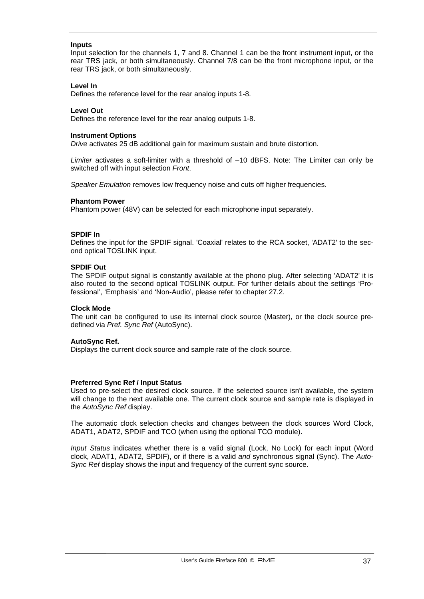#### **Inputs**

Input selection for the channels 1, 7 and 8. Channel 1 can be the front instrument input, or the rear TRS jack, or both simultaneously. Channel 7/8 can be the front microphone input, or the rear TRS jack, or both simultaneously.

#### **Level In**

Defines the reference level for the rear analog inputs 1-8.

#### **Level Out**

Defines the reference level for the rear analog outputs 1-8.

#### **Instrument Options**

*Drive* activates 25 dB additional gain for maximum sustain and brute distortion.

*Limiter* activates a soft-limiter with a threshold of –10 dBFS. Note: The Limiter can only be switched off with input selection *Front*.

*Speaker Emulation* removes low frequency noise and cuts off higher frequencies.

#### **Phantom Power**

Phantom power (48V) can be selected for each microphone input separately.

#### **SPDIF In**

Defines the input for the SPDIF signal. 'Coaxial' relates to the RCA socket, 'ADAT2' to the second optical TOSLINK input.

#### **SPDIF Out**

The SPDIF output signal is constantly available at the phono plug. After selecting 'ADAT2' it is also routed to the second optical TOSLINK output. For further details about the settings 'Professional', 'Emphasis' and 'Non-Audio', please refer to chapter 27.2.

#### **Clock Mode**

The unit can be configured to use its internal clock source (Master), or the clock source predefined via *Pref. Sync Ref* (AutoSync).

#### **AutoSync Ref.**

Displays the current clock source and sample rate of the clock source.

#### **Preferred Sync Ref / Input Status**

Used to pre-select the desired clock source. If the selected source isn't available, the system will change to the next available one. The current clock source and sample rate is displayed in the *AutoSync Ref* display.

The automatic clock selection checks and changes between the clock sources Word Clock, ADAT1, ADAT2, SPDIF and TCO (when using the optional TCO module).

*Input Status* indicates whether there is a valid signal (Lock, No Lock) for each input (Word clock, ADAT1, ADAT2, SPDIF), or if there is a valid *and* synchronous signal (Sync). The *Auto-Sync Ref* display shows the input and frequency of the current sync source.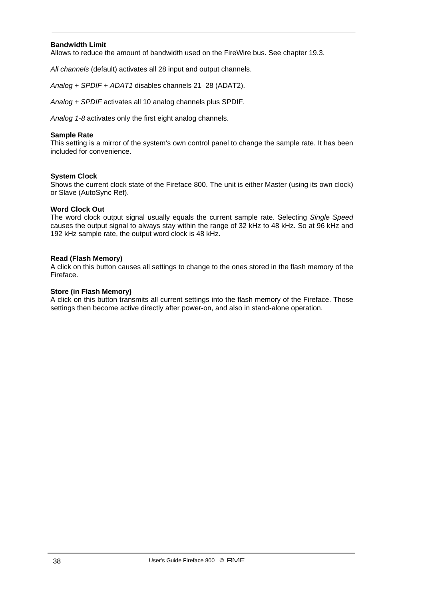#### **Bandwidth Limit**

Allows to reduce the amount of bandwidth used on the FireWire bus. See chapter 19.3.

*All channels* (default) activates all 28 input and output channels.

*Analog + SPDIF + ADAT1* disables channels 21–28 (ADAT2).

*Analog + SPDIF* activates all 10 analog channels plus SPDIF.

*Analog 1-8* activates only the first eight analog channels.

#### **Sample Rate**

This setting is a mirror of the system's own control panel to change the sample rate. It has been included for convenience.

#### **System Clock**

Shows the current clock state of the Fireface 800. The unit is either Master (using its own clock) or Slave (AutoSync Ref).

#### **Word Clock Out**

The word clock output signal usually equals the current sample rate. Selecting *Single Speed* causes the output signal to always stay within the range of 32 kHz to 48 kHz. So at 96 kHz and 192 kHz sample rate, the output word clock is 48 kHz.

#### **Read (Flash Memory)**

A click on this button causes all settings to change to the ones stored in the flash memory of the Fireface.

#### **Store (in Flash Memory)**

A click on this button transmits all current settings into the flash memory of the Fireface. Those settings then become active directly after power-on, and also in stand-alone operation.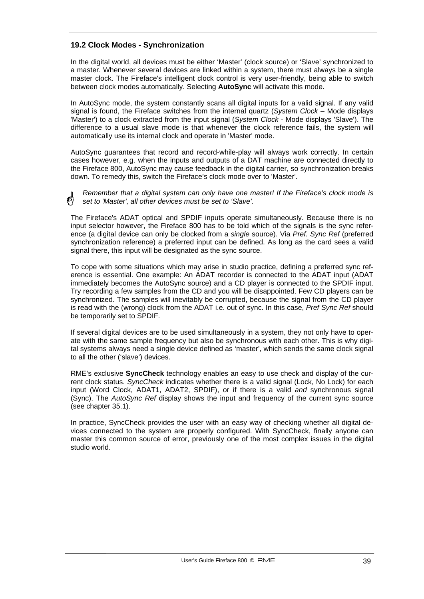## **19.2 Clock Modes - Synchronization**

In the digital world, all devices must be either 'Master' (clock source) or 'Slave' synchronized to a master. Whenever several devices are linked within a system, there must always be a single master clock. The Fireface's intelligent clock control is very user-friendly, being able to switch between clock modes automatically. Selecting **AutoSync** will activate this mode.

In AutoSync mode, the system constantly scans all digital inputs for a valid signal. If any valid signal is found, the Fireface switches from the internal quartz (*System Clock* – Mode displays 'Master') to a clock extracted from the input signal (*System Clock* - Mode displays 'Slave'). The difference to a usual slave mode is that whenever the clock reference fails, the system will automatically use its internal clock and operate in 'Master' mode.

AutoSync guarantees that record and record-while-play will always work correctly. In certain cases however, e.g. when the inputs and outputs of a DAT machine are connected directly to the Fireface 800, AutoSync may cause feedback in the digital carrier, so synchronization breaks down. To remedy this, switch the Fireface's clock mode over to 'Master'.

*Remember that a digital system can only have one master! If the Fireface's clock mode is set to 'Master', all other devices must be set to 'Slave'.*

The Fireface's ADAT optical and SPDIF inputs operate simultaneously. Because there is no input selector however, the Fireface 800 has to be told which of the signals is the sync reference (a digital device can only be clocked from a *single* source). Via *Pref. Sync Ref* (preferred synchronization reference) a preferred input can be defined. As long as the card sees a valid signal there, this input will be designated as the sync source.

To cope with some situations which may arise in studio practice, defining a preferred sync reference is essential. One example: An ADAT recorder is connected to the ADAT input (ADAT immediately becomes the AutoSync source) and a CD player is connected to the SPDIF input. Try recording a few samples from the CD and you will be disappointed. Few CD players can be synchronized. The samples will inevitably be corrupted, because the signal from the CD player is read with the (wrong) clock from the ADAT i.e. out of sync. In this case, *Pref Sync Ref* should be temporarily set to SPDIF.

If several digital devices are to be used simultaneously in a system, they not only have to operate with the same sample frequency but also be synchronous with each other. This is why digital systems always need a single device defined as 'master', which sends the same clock signal to all the other ('slave') devices.

RME's exclusive **SyncCheck** technology enables an easy to use check and display of the current clock status. *SyncCheck* indicates whether there is a valid signal (Lock, No Lock) for each input (Word Clock, ADAT1, ADAT2, SPDIF), or if there is a valid *and* synchronous signal (Sync). The *AutoSync Ref* display shows the input and frequency of the current sync source (see chapter 35.1).

In practice, SyncCheck provides the user with an easy way of checking whether all digital devices connected to the system are properly configured. With SyncCheck, finally anyone can master this common source of error, previously one of the most complex issues in the digital studio world.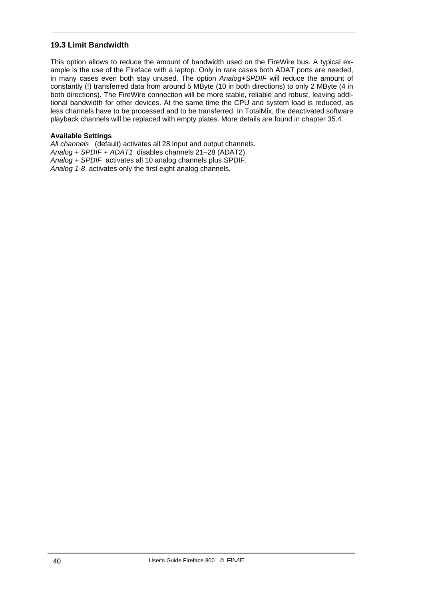## **19.3 Limit Bandwidth**

This option allows to reduce the amount of bandwidth used on the FireWire bus. A typical example is the use of the Fireface with a laptop. Only in rare cases both ADAT ports are needed, in many cases even both stay unused. The option *Analog+SPDIF* will reduce the amount of constantly (!) transferred data from around 5 MByte (10 in both directions) to only 2 MByte (4 in both directions). The FireWire connection will be more stable, reliable and robust, leaving additional bandwidth for other devices. At the same time the CPU and system load is reduced, as less channels have to be processed and to be transferred. In TotalMix, the deactivated software playback channels will be replaced with empty plates. More details are found in chapter 35.4.

#### **Available Settings**

*All channels* (default) activates all 28 input and output channels. *Analog + SPDIF + ADAT1* disables channels 21–28 (ADAT2). *Analog + SPDIF* activates all 10 analog channels plus SPDIF. *Analog 1-8* activates only the first eight analog channels.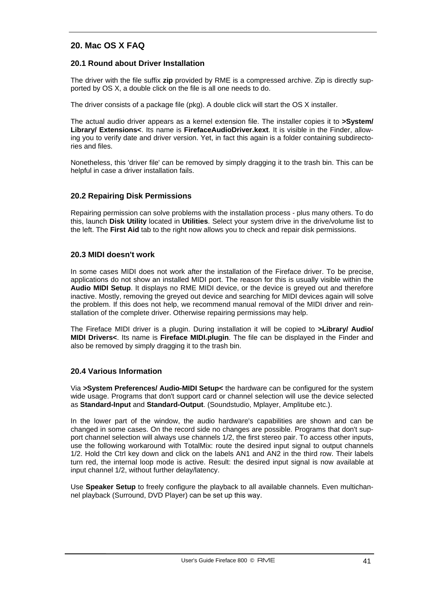## **20. Mac OS X FAQ**

## **20.1 Round about Driver Installation**

The driver with the file suffix **zip** provided by RME is a compressed archive. Zip is directly supported by OS X, a double click on the file is all one needs to do.

The driver consists of a package file (pkg). A double click will start the OS X installer.

The actual audio driver appears as a kernel extension file. The installer copies it to **>System/ Library/ Extensions<**. Its name is **FirefaceAudioDriver.kext**. It is visible in the Finder, allowing you to verify date and driver version. Yet, in fact this again is a folder containing subdirectories and files.

Nonetheless, this 'driver file' can be removed by simply dragging it to the trash bin. This can be helpful in case a driver installation fails.

## **20.2 Repairing Disk Permissions**

Repairing permission can solve problems with the installation process - plus many others. To do this, launch **Disk Utility** located in **Utilities**. Select your system drive in the drive/volume list to the left. The **First Aid** tab to the right now allows you to check and repair disk permissions.

#### **20.3 MIDI doesn't work**

In some cases MIDI does not work after the installation of the Fireface driver. To be precise, applications do not show an installed MIDI port. The reason for this is usually visible within the **Audio MIDI Setup**. It displays no RME MIDI device, or the device is greyed out and therefore inactive. Mostly, removing the greyed out device and searching for MIDI devices again will solve the problem. If this does not help, we recommend manual removal of the MIDI driver and reinstallation of the complete driver. Otherwise repairing permissions may help.

The Fireface MIDI driver is a plugin. During installation it will be copied to **>Library/ Audio/ MIDI Drivers<**. Its name is **Fireface MIDI.plugin**. The file can be displayed in the Finder and also be removed by simply dragging it to the trash bin.

## **20.4 Various Information**

Via **>System Preferences/ Audio-MIDI Setup<** the hardware can be configured for the system wide usage. Programs that don't support card or channel selection will use the device selected as **Standard-Input** and **Standard-Output**. (Soundstudio, Mplayer, Amplitube etc.).

In the lower part of the window, the audio hardware's capabilities are shown and can be changed in some cases. On the record side no changes are possible. Programs that don't support channel selection will always use channels 1/2, the first stereo pair. To access other inputs, use the following workaround with TotalMix: route the desired input signal to output channels 1/2. Hold the Ctrl key down and click on the labels AN1 and AN2 in the third row. Their labels turn red, the internal loop mode is active. Result: the desired input signal is now available at input channel 1/2, without further delay/latency.

Use **Speaker Setup** to freely configure the playback to all available channels. Even multichannel playback (Surround, DVD Player) can be set up this way.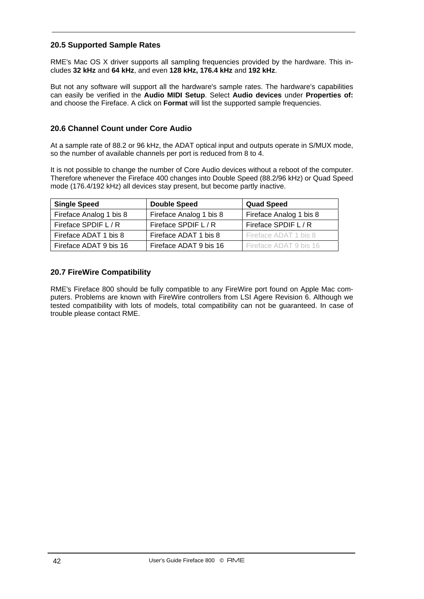## **20.5 Supported Sample Rates**

RME's Mac OS X driver supports all sampling frequencies provided by the hardware. This includes **32 kHz** and **64 kHz**, and even **128 kHz, 176.4 kHz** and **192 kHz**.

But not any software will support all the hardware's sample rates. The hardware's capabilities can easily be verified in the **Audio MIDI Setup**. Select **Audio devices** under **Properties of:** and choose the Fireface. A click on **Format** will list the supported sample frequencies.

## **20.6 Channel Count under Core Audio**

At a sample rate of 88.2 or 96 kHz, the ADAT optical input and outputs operate in S/MUX mode, so the number of available channels per port is reduced from 8 to 4.

It is not possible to change the number of Core Audio devices without a reboot of the computer. Therefore whenever the Fireface 400 changes into Double Speed (88.2/96 kHz) or Quad Speed mode (176.4/192 kHz) all devices stay present, but become partly inactive.

| <b>Single Speed</b>     | <b>Double Speed</b>     | <b>Quad Speed</b>       |
|-------------------------|-------------------------|-------------------------|
| Fireface Analog 1 bis 8 | Fireface Analog 1 bis 8 | Fireface Analog 1 bis 8 |
| Fireface SPDIF L / R    | Fireface SPDIF L / R    | Fireface SPDIF L / R    |
| Fireface ADAT 1 bis 8   | Fireface ADAT 1 bis 8   | Fireface ADAT 1 bis 8   |
| Fireface ADAT 9 bis 16  | Fireface ADAT 9 bis 16  | Fireface ADAT 9 bis 16  |

## **20.7 FireWire Compatibility**

RME's Fireface 800 should be fully compatible to any FireWire port found on Apple Mac computers. Problems are known with FireWire controllers from LSI Agere Revision 6. Although we tested compatibility with lots of models, total compatibility can not be guaranteed. In case of trouble please contact RME.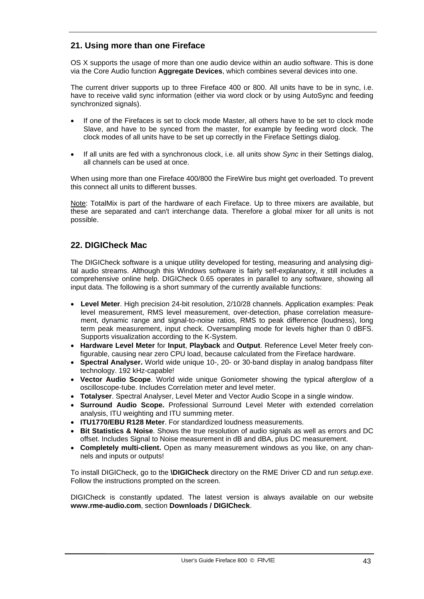# **21. Using more than one Fireface**

OS X supports the usage of more than one audio device within an audio software. This is done via the Core Audio function **Aggregate Devices**, which combines several devices into one.

The current driver supports up to three Fireface 400 or 800. All units have to be in sync, i.e. have to receive valid sync information (either via word clock or by using AutoSync and feeding synchronized signals).

- If one of the Firefaces is set to clock mode Master, all others have to be set to clock mode Slave, and have to be synced from the master, for example by feeding word clock. The clock modes of all units have to be set up correctly in the Fireface Settings dialog.
- If all units are fed with a synchronous clock, i.e. all units show *Sync* in their Settings dialog, all channels can be used at once.

When using more than one Fireface 400/800 the FireWire bus might get overloaded. To prevent this connect all units to different busses.

Note: TotalMix is part of the hardware of each Fireface. Up to three mixers are available, but these are separated and can't interchange data. Therefore a global mixer for all units is not possible.

# **22. DIGICheck Mac**

The DIGICheck software is a unique utility developed for testing, measuring and analysing digital audio streams. Although this Windows software is fairly self-explanatory, it still includes a comprehensive online help. DIGICheck 0.65 operates in parallel to any software, showing all input data. The following is a short summary of the currently available functions:

- **Level Meter**. High precision 24-bit resolution, 2/10/28 channels. Application examples: Peak level measurement, RMS level measurement, over-detection, phase correlation measurement, dynamic range and signal-to-noise ratios, RMS to peak difference (loudness), long term peak measurement, input check. Oversampling mode for levels higher than 0 dBFS. Supports visualization according to the K-System.
- **Hardware Level Meter** for **Input**, **Playback** and **Output**. Reference Level Meter freely configurable, causing near zero CPU load, because calculated from the Fireface hardware.
- **Spectral Analyser.** World wide unique 10-, 20- or 30-band display in analog bandpass filter technology. 192 kHz-capable!
- **Vector Audio Scope**. World wide unique Goniometer showing the typical afterglow of a oscilloscope-tube. Includes Correlation meter and level meter.
- **Totalyser**. Spectral Analyser, Level Meter and Vector Audio Scope in a single window.
- **Surround Audio Scope.** Professional Surround Level Meter with extended correlation analysis, ITU weighting and ITU summing meter.
- **ITU1770/EBU R128 Meter**. For standardized loudness measurements.
- **Bit Statistics & Noise**. Shows the true resolution of audio signals as well as errors and DC offset. Includes Signal to Noise measurement in dB and dBA, plus DC measurement.
- **Completely multi-client.** Open as many measurement windows as you like, on any channels and inputs or outputs!

To install DIGICheck, go to the **\DIGICheck** directory on the RME Driver CD and run *setup.exe*. Follow the instructions prompted on the screen.

DIGICheck is constantly updated. The latest version is always available on our website **www.rme-audio.com**, section **Downloads / DIGICheck**.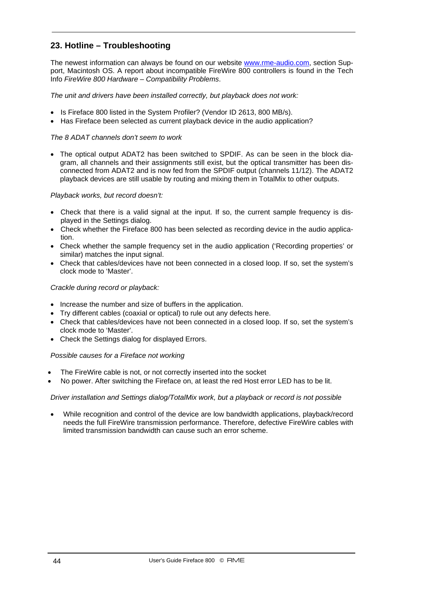# **23. Hotline – Troubleshooting**

The newest information can always be found on our website www.rme-audio.com, section Support, Macintosh OS. A report about incompatible FireWire 800 controllers is found in the Tech Info *FireWire 800 Hardware – Compatibility Problems*.

#### *The unit and drivers have been installed correctly, but playback does not work:*

- Is Fireface 800 listed in the System Profiler? (Vendor ID 2613, 800 MB/s).
- Has Fireface been selected as current playback device in the audio application?

### *The 8 ADAT channels don't seem to work*

• The optical output ADAT2 has been switched to SPDIF. As can be seen in the block diagram, all channels and their assignments still exist, but the optical transmitter has been disconnected from ADAT2 and is now fed from the SPDIF output (channels 11/12). The ADAT2 playback devices are still usable by routing and mixing them in TotalMix to other outputs.

#### *Playback works, but record doesn't:*

- Check that there is a valid signal at the input. If so, the current sample frequency is displayed in the Settings dialog.
- Check whether the Fireface 800 has been selected as recording device in the audio application.
- Check whether the sample frequency set in the audio application ('Recording properties' or similar) matches the input signal.
- Check that cables/devices have not been connected in a closed loop. If so, set the system's clock mode to 'Master'.

## *Crackle during record or playback:*

- Increase the number and size of buffers in the application.
- Try different cables (coaxial or optical) to rule out any defects here.
- Check that cables/devices have not been connected in a closed loop. If so, set the system's clock mode to 'Master'.
- Check the Settings dialog for displayed Errors.

#### *Possible causes for a Fireface not working*

- The FireWire cable is not, or not correctly inserted into the socket
- No power. After switching the Fireface on, at least the red Host error LED has to be lit.

#### *Driver installation and Settings dialog/TotalMix work, but a playback or record is not possible*

• While recognition and control of the device are low bandwidth applications, playback/record needs the full FireWire transmission performance. Therefore, defective FireWire cables with limited transmission bandwidth can cause such an error scheme.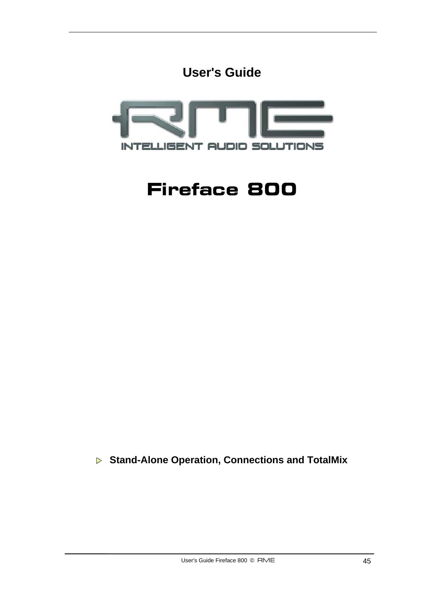



# **Fireface 800**

 **Stand-Alone Operation, Connections and TotalMix**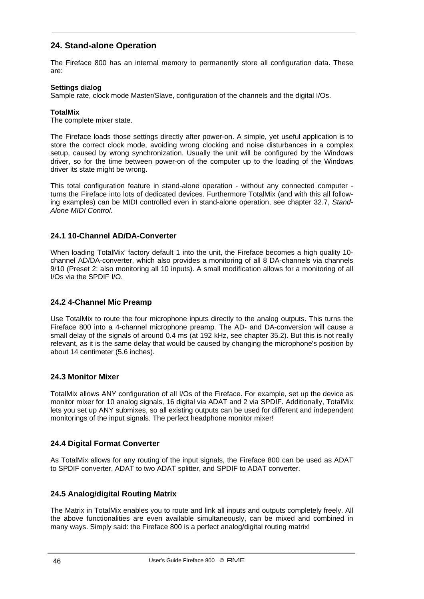# **24. Stand-alone Operation**

The Fireface 800 has an internal memory to permanently store all configuration data. These are:

#### **Settings dialog**

Sample rate, clock mode Master/Slave, configuration of the channels and the digital I/Os.

#### **TotalMix**

The complete mixer state.

The Fireface loads those settings directly after power-on. A simple, yet useful application is to store the correct clock mode, avoiding wrong clocking and noise disturbances in a complex setup, caused by wrong synchronization. Usually the unit will be configured by the Windows driver, so for the time between power-on of the computer up to the loading of the Windows driver its state might be wrong.

This total configuration feature in stand-alone operation - without any connected computer turns the Fireface into lots of dedicated devices. Furthermore TotalMix (and with this all following examples) can be MIDI controlled even in stand-alone operation, see chapter 32.7, *Stand-Alone MIDI Control*.

## **24.1 10-Channel AD/DA-Converter**

When loading TotalMix' factory default 1 into the unit, the Fireface becomes a high quality 10channel AD/DA-converter, which also provides a monitoring of all 8 DA-channels via channels 9/10 (Preset 2: also monitoring all 10 inputs). A small modification allows for a monitoring of all I/Os via the SPDIF I/O.

#### **24.2 4-Channel Mic Preamp**

Use TotalMix to route the four microphone inputs directly to the analog outputs. This turns the Fireface 800 into a 4-channel microphone preamp. The AD- and DA-conversion will cause a small delay of the signals of around 0.4 ms (at 192 kHz, see chapter 35.2). But this is not really relevant, as it is the same delay that would be caused by changing the microphone's position by about 14 centimeter (5.6 inches).

#### **24.3 Monitor Mixer**

TotalMix allows ANY configuration of all I/Os of the Fireface. For example, set up the device as monitor mixer for 10 analog signals, 16 digital via ADAT and 2 via SPDIF. Additionally, TotalMix lets you set up ANY submixes, so all existing outputs can be used for different and independent monitorings of the input signals. The perfect headphone monitor mixer!

## **24.4 Digital Format Converter**

As TotalMix allows for any routing of the input signals, the Fireface 800 can be used as ADAT to SPDIF converter, ADAT to two ADAT splitter, and SPDIF to ADAT converter.

## **24.5 Analog/digital Routing Matrix**

The Matrix in TotalMix enables you to route and link all inputs and outputs completely freely. All the above functionalities are even available simultaneously, can be mixed and combined in many ways. Simply said: the Fireface 800 is a perfect analog/digital routing matrix!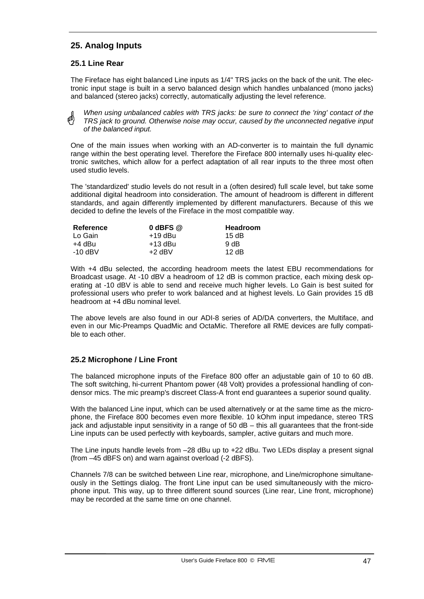# **25. Analog Inputs**

## **25.1 Line Rear**

The Fireface has eight balanced Line inputs as 1/4" TRS jacks on the back of the unit. The electronic input stage is built in a servo balanced design which handles unbalanced (mono jacks) and balanced (stereo jacks) correctly, automatically adjusting the level reference.

*When using unbalanced cables with TRS jacks: be sure to connect the 'ring' contact of the*  a\$) *TRS jack to ground. Otherwise noise may occur, caused by the unconnected negative input of the balanced input.*

One of the main issues when working with an AD-converter is to maintain the full dynamic range within the best operating level. Therefore the Fireface 800 internally uses hi-quality electronic switches, which allow for a perfect adaptation of all rear inputs to the three most often used studio levels.

The 'standardized' studio levels do not result in a (often desired) full scale level, but take some additional digital headroom into consideration. The amount of headroom is different in different standards, and again differently implemented by different manufacturers. Because of this we decided to define the levels of the Fireface in the most compatible way.

| Reference | $0$ dBFS $@$ | Headroom |
|-----------|--------------|----------|
| Lo Gain   | +19 dBu      | 15 dB    |
| +4 dBu    | +13 dBu      | 9 dB     |
| $-10$ dBV | $+2$ dBV     | 12dB     |

With +4 dBu selected, the according headroom meets the latest EBU recommendations for Broadcast usage. At -10 dBV a headroom of 12 dB is common practice, each mixing desk operating at -10 dBV is able to send and receive much higher levels. Lo Gain is best suited for professional users who prefer to work balanced and at highest levels. Lo Gain provides 15 dB headroom at +4 dBu nominal level.

The above levels are also found in our ADI-8 series of AD/DA converters, the Multiface, and even in our Mic-Preamps QuadMic and OctaMic. Therefore all RME devices are fully compatible to each other.

# **25.2 Microphone / Line Front**

The balanced microphone inputs of the Fireface 800 offer an adjustable gain of 10 to 60 dB. The soft switching, hi-current Phantom power (48 Volt) provides a professional handling of condensor mics. The mic preamp's discreet Class-A front end guarantees a superior sound quality.

With the balanced Line input, which can be used alternatively or at the same time as the microphone, the Fireface 800 becomes even more flexible. 10 kOhm input impedance, stereo TRS jack and adjustable input sensitivity in a range of 50 dB – this all guarantees that the front-side Line inputs can be used perfectly with keyboards, sampler, active guitars and much more.

The Line inputs handle levels from –28 dBu up to +22 dBu. Two LEDs display a present signal (from –45 dBFS on) and warn against overload (-2 dBFS).

Channels 7/8 can be switched between Line rear, microphone, and Line/microphone simultaneously in the Settings dialog. The front Line input can be used simultaneously with the microphone input. This way, up to three different sound sources (Line rear, Line front, microphone) may be recorded at the same time on one channel.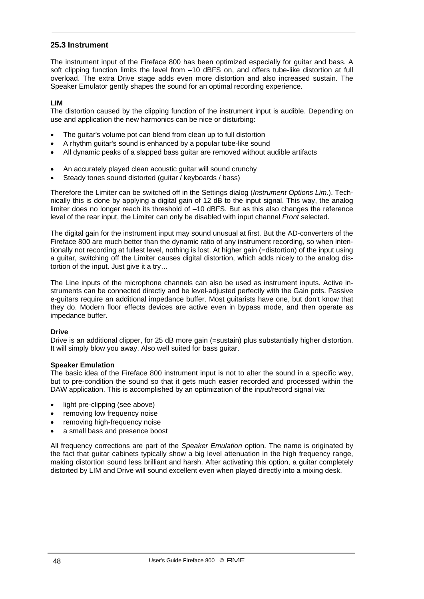### **25.3 Instrument**

The instrument input of the Fireface 800 has been optimized especially for guitar and bass. A soft clipping function limits the level from  $-10$  dBFS on, and offers tube-like distortion at full overload. The extra Drive stage adds even more distortion and also increased sustain. The Speaker Emulator gently shapes the sound for an optimal recording experience.

#### **LIM**

The distortion caused by the clipping function of the instrument input is audible. Depending on use and application the new harmonics can be nice or disturbing:

- The guitar's volume pot can blend from clean up to full distortion
- A rhythm guitar's sound is enhanced by a popular tube-like sound
- All dynamic peaks of a slapped bass guitar are removed without audible artifacts
- An accurately played clean acoustic guitar will sound crunchy
- Steady tones sound distorted (guitar / keyboards / bass)

Therefore the Limiter can be switched off in the Settings dialog (*Instrument Options Lim.*). Technically this is done by applying a digital gain of 12 dB to the input signal. This way, the analog limiter does no longer reach its threshold of –10 dBFS. But as this also changes the reference level of the rear input, the Limiter can only be disabled with input channel *Front* selected.

The digital gain for the instrument input may sound unusual at first. But the AD-converters of the Fireface 800 are much better than the dynamic ratio of any instrument recording, so when intentionally not recording at fullest level, nothing is lost. At higher gain (=distortion) of the input using a guitar, switching off the Limiter causes digital distortion, which adds nicely to the analog distortion of the input. Just give it a try…

The Line inputs of the microphone channels can also be used as instrument inputs. Active instruments can be connected directly and be level-adjusted perfectly with the Gain pots. Passive e-guitars require an additional impedance buffer. Most guitarists have one, but don't know that they do. Modern floor effects devices are active even in bypass mode, and then operate as impedance buffer.

#### **Drive**

Drive is an additional clipper, for 25 dB more gain (=sustain) plus substantially higher distortion. It will simply blow you away. Also well suited for bass guitar.

#### **Speaker Emulation**

The basic idea of the Fireface 800 instrument input is not to alter the sound in a specific way, but to pre-condition the sound so that it gets much easier recorded and processed within the DAW application. This is accomplished by an optimization of the input/record signal via:

- light pre-clipping (see above)
- removing low frequency noise
- removing high-frequency noise
- a small bass and presence boost

All frequency corrections are part of the *Speaker Emulation* option. The name is originated by the fact that guitar cabinets typically show a big level attenuation in the high frequency range, making distortion sound less brilliant and harsh. After activating this option, a guitar completely distorted by LIM and Drive will sound excellent even when played directly into a mixing desk.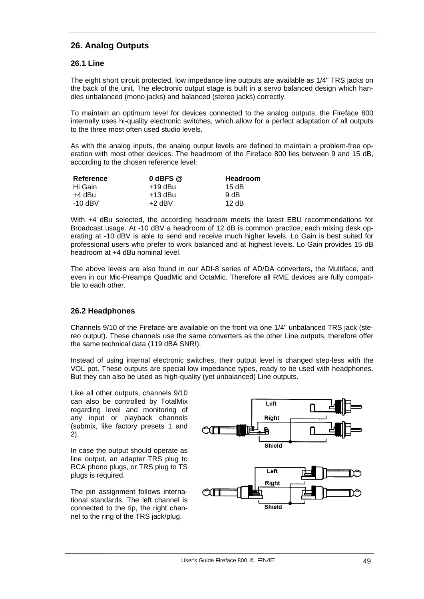# **26. Analog Outputs**

## **26.1 Line**

The eight short circuit protected, low impedance line outputs are available as 1/4" TRS jacks on the back of the unit. The electronic output stage is built in a servo balanced design which handles unbalanced (mono jacks) and balanced (stereo jacks) correctly.

To maintain an optimum level for devices connected to the analog outputs, the Fireface 800 internally uses hi-quality electronic switches, which allow for a perfect adaptation of all outputs to the three most often used studio levels.

As with the analog inputs, the analog output levels are defined to maintain a problem-free operation with most other devices. The headroom of the Fireface 800 lies between 9 and 15 dB, according to the chosen reference level:

| Reference | $0$ dBFS $@$ | <b>Headroom</b> |
|-----------|--------------|-----------------|
| Hi Gain   | $+19$ dBu    | 15 dB           |
| +4 dBu    | +13 dBu      | 9 dB            |
| -10 dBV   | $+2$ dBV     | 12 dB           |

With +4 dBu selected, the according headroom meets the latest EBU recommendations for Broadcast usage. At -10 dBV a headroom of 12 dB is common practice, each mixing desk operating at -10 dBV is able to send and receive much higher levels. Lo Gain is best suited for professional users who prefer to work balanced and at highest levels. Lo Gain provides 15 dB headroom at +4 dBu nominal level.

The above levels are also found in our ADI-8 series of AD/DA converters, the Multiface, and even in our Mic-Preamps QuadMic and OctaMic. Therefore all RME devices are fully compatible to each other.

## **26.2 Headphones**

Channels 9/10 of the Fireface are available on the front via one 1/4" unbalanced TRS jack (stereo output). These channels use the same converters as the other Line outputs, therefore offer the same technical data (119 dBA SNR!).

Instead of using internal electronic switches, their output level is changed step-less with the VOL pot. These outputs are special low impedance types, ready to be used with headphones. But they can also be used as high-quality (yet unbalanced) Line outputs.

Like all other outputs, channels 9/10 can also be controlled by TotalMix regarding level and monitoring of any input or playback channels (submix, like factory presets 1 and 2).

In case the output should operate as line output, an adapter TRS plug to RCA phono plugs, or TRS plug to TS plugs is required.

The pin assignment follows international standards. The left channel is connected to the tip, the right channel to the ring of the TRS jack/plug.

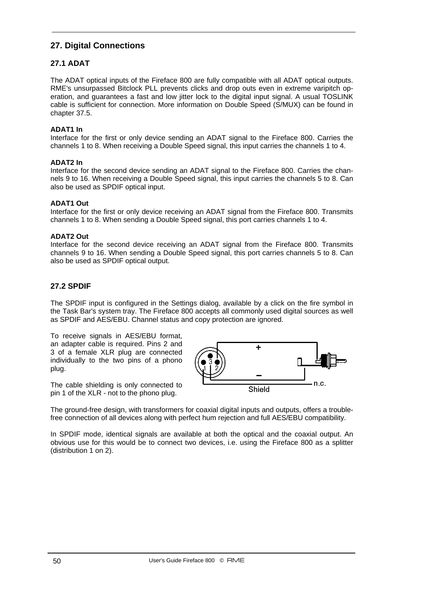# **27. Digital Connections**

# **27.1 ADAT**

The ADAT optical inputs of the Fireface 800 are fully compatible with all ADAT optical outputs. RME's unsurpassed Bitclock PLL prevents clicks and drop outs even in extreme varipitch operation, and guarantees a fast and low jitter lock to the digital input signal. A usual TOSLINK cable is sufficient for connection. More information on Double Speed (S/MUX) can be found in chapter 37.5.

#### **ADAT1 In**

Interface for the first or only device sending an ADAT signal to the Fireface 800. Carries the channels 1 to 8. When receiving a Double Speed signal, this input carries the channels 1 to 4.

#### **ADAT2 In**

Interface for the second device sending an ADAT signal to the Fireface 800. Carries the channels 9 to 16. When receiving a Double Speed signal, this input carries the channels 5 to 8. Can also be used as SPDIF optical input.

#### **ADAT1 Out**

Interface for the first or only device receiving an ADAT signal from the Fireface 800. Transmits channels 1 to 8. When sending a Double Speed signal, this port carries channels 1 to 4.

#### **ADAT2 Out**

Interface for the second device receiving an ADAT signal from the Fireface 800. Transmits channels 9 to 16. When sending a Double Speed signal, this port carries channels 5 to 8. Can also be used as SPDIF optical output.

## **27.2 SPDIF**

The SPDIF input is configured in the Settings dialog, available by a click on the fire symbol in the Task Bar's system tray. The Fireface 800 accepts all commonly used digital sources as well as SPDIF and AES/EBU. Channel status and copy protection are ignored.

To receive signals in AES/EBU format, an adapter cable is required. Pins 2 and 3 of a female XLR plug are connected individually to the two pins of a phono plug.

4  $n.c.$ **Shield** 

The cable shielding is only connected to pin 1 of the XLR - not to the phono plug.

The ground-free design, with transformers for coaxial digital inputs and outputs, offers a troublefree connection of all devices along with perfect hum rejection and full AES/EBU compatibility.

In SPDIF mode, identical signals are available at both the optical and the coaxial output. An obvious use for this would be to connect two devices, i.e. using the Fireface 800 as a splitter (distribution 1 on 2).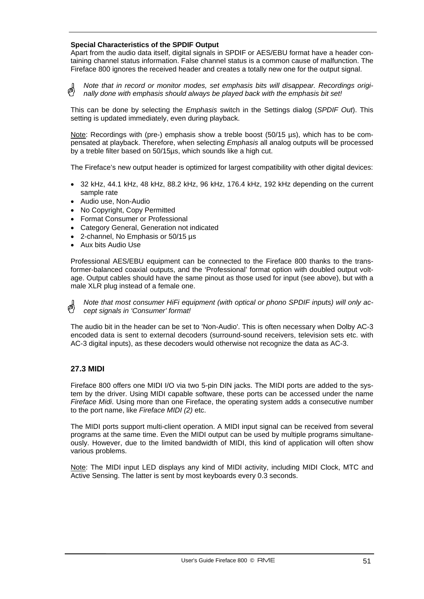#### **Special Characteristics of the SPDIF Output**

Apart from the audio data itself, digital signals in SPDIF or AES/EBU format have a header containing channel status information. False channel status is a common cause of malfunction. The Fireface 800 ignores the received header and creates a totally new one for the output signal.

*Note that in record or monitor modes, set emphasis bits will disappear. Recordings origi-*๗ *nally done with emphasis should always be played back with the emphasis bit set!*

This can be done by selecting the *Emphasis* switch in the Settings dialog (*SPDIF Out*). This setting is updated immediately, even during playback.

Note: Recordings with (pre-) emphasis show a treble boost (50/15 µs), which has to be compensated at playback. Therefore, when selecting *Emphasis* all analog outputs will be processed by a treble filter based on 50/15µs, which sounds like a high cut.

The Fireface's new output header is optimized for largest compatibility with other digital devices:

- 32 kHz, 44.1 kHz, 48 kHz, 88.2 kHz, 96 kHz, 176.4 kHz, 192 kHz depending on the current sample rate
- Audio use, Non-Audio
- No Copyright, Copy Permitted
- Format Consumer or Professional
- Category General, Generation not indicated
- 2-channel, No Emphasis or 50/15 µs
- Aux bits Audio Use

Professional AES/EBU equipment can be connected to the Fireface 800 thanks to the transformer-balanced coaxial outputs, and the 'Professional' format option with doubled output voltage. Output cables should have the same pinout as those used for input (see above), but with a male XLR plug instead of a female one.

*Note that most consumer HiFi equipment (with optical or phono SPDIF inputs) will only accept signals in 'Consumer' format!*

The audio bit in the header can be set to 'Non-Audio'. This is often necessary when Dolby AC-3 encoded data is sent to external decoders (surround-sound receivers, television sets etc. with AC-3 digital inputs), as these decoders would otherwise not recognize the data as AC-3.

## **27.3 MIDI**

Fireface 800 offers one MIDI I/O via two 5-pin DIN jacks. The MIDI ports are added to the system by the driver. Using MIDI capable software, these ports can be accessed under the name *Fireface Midi*. Using more than one Fireface, the operating system adds a consecutive number to the port name, like *Fireface MIDI (2)* etc.

The MIDI ports support multi-client operation. A MIDI input signal can be received from several programs at the same time. Even the MIDI output can be used by multiple programs simultaneously. However, due to the limited bandwidth of MIDI, this kind of application will often show various problems.

Note: The MIDI input LED displays any kind of MIDI activity, including MIDI Clock, MTC and Active Sensing. The latter is sent by most keyboards every 0.3 seconds.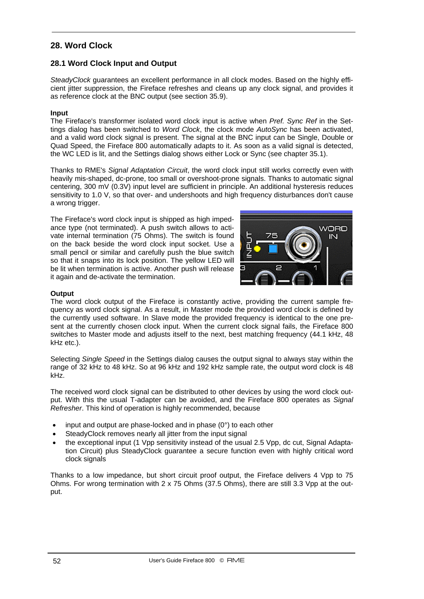# **28. Word Clock**

## **28.1 Word Clock Input and Output**

*SteadyClock* guarantees an excellent performance in all clock modes. Based on the highly efficient jitter suppression, the Fireface refreshes and cleans up any clock signal, and provides it as reference clock at the BNC output (see section 35.9).

#### **Input**

The Fireface's transformer isolated word clock input is active when *Pref. Sync Ref* in the Settings dialog has been switched to *Word Clock*, the clock mode *AutoSync* has been activated, and a valid word clock signal is present. The signal at the BNC input can be Single, Double or Quad Speed, the Fireface 800 automatically adapts to it. As soon as a valid signal is detected, the WC LED is lit, and the Settings dialog shows either Lock or Sync (see chapter 35.1).

Thanks to RME's *Signal Adaptation Circuit*, the word clock input still works correctly even with heavily mis-shaped, dc-prone, too small or overshoot-prone signals. Thanks to automatic signal centering, 300 mV (0.3V) input level are sufficient in principle. An additional hysteresis reduces sensitivity to 1.0 V, so that over- and undershoots and high frequency disturbances don't cause a wrong trigger.

The Fireface's word clock input is shipped as high impedance type (not terminated). A push switch allows to activate internal termination (75 Ohms). The switch is found on the back beside the word clock input socket. Use a small pencil or similar and carefully push the blue switch so that it snaps into its lock position. The yellow LED will be lit when termination is active. Another push will release it again and de-activate the termination.



#### **Output**

The word clock output of the Fireface is constantly active, providing the current sample frequency as word clock signal. As a result, in Master mode the provided word clock is defined by the currently used software. In Slave mode the provided frequency is identical to the one present at the currently chosen clock input. When the current clock signal fails, the Fireface 800 switches to Master mode and adjusts itself to the next, best matching frequency (44.1 kHz, 48 kHz etc.).

Selecting *Single Speed* in the Settings dialog causes the output signal to always stay within the range of 32 kHz to 48 kHz. So at 96 kHz and 192 kHz sample rate, the output word clock is 48 kHz.

The received word clock signal can be distributed to other devices by using the word clock output. With this the usual T-adapter can be avoided, and the Fireface 800 operates as *Signal Refresher*. This kind of operation is highly recommended, because

- input and output are phase-locked and in phase  $(0^{\circ})$  to each other
- SteadyClock removes nearly all jitter from the input signal
- the exceptional input (1 Vpp sensitivity instead of the usual 2.5 Vpp, dc cut, Signal Adaptation Circuit) plus SteadyClock guarantee a secure function even with highly critical word clock signals

Thanks to a low impedance, but short circuit proof output, the Fireface delivers 4 Vpp to 75 Ohms. For wrong termination with 2 x 75 Ohms (37.5 Ohms), there are still 3.3 Vpp at the output.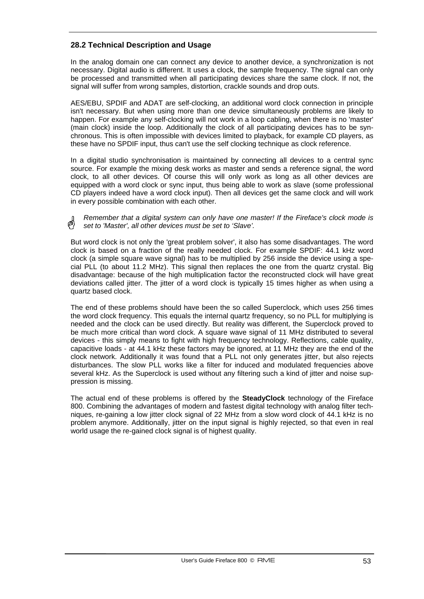## **28.2 Technical Description and Usage**

In the analog domain one can connect any device to another device, a synchronization is not necessary. Digital audio is different. It uses a clock, the sample frequency. The signal can only be processed and transmitted when all participating devices share the same clock. If not, the signal will suffer from wrong samples, distortion, crackle sounds and drop outs.

AES/EBU, SPDIF and ADAT are self-clocking, an additional word clock connection in principle isn't necessary. But when using more than one device simultaneously problems are likely to happen. For example any self-clocking will not work in a loop cabling, when there is no 'master' (main clock) inside the loop. Additionally the clock of all participating devices has to be synchronous. This is often impossible with devices limited to playback, for example CD players, as these have no SPDIF input, thus can't use the self clocking technique as clock reference.

In a digital studio synchronisation is maintained by connecting all devices to a central sync source. For example the mixing desk works as master and sends a reference signal, the word clock, to all other devices. Of course this will only work as long as all other devices are equipped with a word clock or sync input, thus being able to work as slave (some professional CD players indeed have a word clock input). Then all devices get the same clock and will work in every possible combination with each other.

*Remember that a digital system can only have one master! If the Fireface's clock mode is set to 'Master', all other devices must be set to 'Slave'.*

But word clock is not only the 'great problem solver', it also has some disadvantages. The word clock is based on a fraction of the really needed clock. For example SPDIF: 44.1 kHz word clock (a simple square wave signal) has to be multiplied by 256 inside the device using a special PLL (to about 11.2 MHz). This signal then replaces the one from the quartz crystal. Big disadvantage: because of the high multiplication factor the reconstructed clock will have great deviations called jitter. The jitter of a word clock is typically 15 times higher as when using a quartz based clock.

The end of these problems should have been the so called Superclock, which uses 256 times the word clock frequency. This equals the internal quartz frequency, so no PLL for multiplying is needed and the clock can be used directly. But reality was different, the Superclock proved to be much more critical than word clock. A square wave signal of 11 MHz distributed to several devices - this simply means to fight with high frequency technology. Reflections, cable quality, capacitive loads - at 44.1 kHz these factors may be ignored, at 11 MHz they are the end of the clock network. Additionally it was found that a PLL not only generates jitter, but also rejects disturbances. The slow PLL works like a filter for induced and modulated frequencies above several kHz. As the Superclock is used without any filtering such a kind of jitter and noise suppression is missing.

The actual end of these problems is offered by the **SteadyClock** technology of the Fireface 800. Combining the advantages of modern and fastest digital technology with analog filter techniques, re-gaining a low jitter clock signal of 22 MHz from a slow word clock of 44.1 kHz is no problem anymore. Additionally, jitter on the input signal is highly rejected, so that even in real world usage the re-gained clock signal is of highest quality.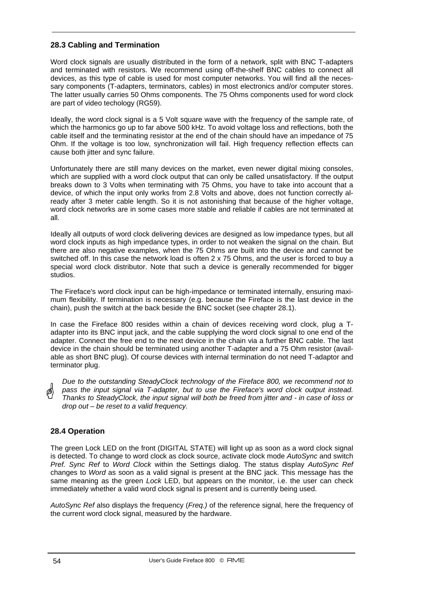## **28.3 Cabling and Termination**

Word clock signals are usually distributed in the form of a network, split with BNC T-adapters and terminated with resistors. We recommend using off-the-shelf BNC cables to connect all devices, as this type of cable is used for most computer networks. You will find all the necessary components (T-adapters, terminators, cables) in most electronics and/or computer stores. The latter usually carries 50 Ohms components. The 75 Ohms components used for word clock are part of video techology (RG59).

Ideally, the word clock signal is a 5 Volt square wave with the frequency of the sample rate, of which the harmonics go up to far above 500 kHz. To avoid voltage loss and reflections, both the cable itself and the terminating resistor at the end of the chain should have an impedance of 75 Ohm. If the voltage is too low, synchronization will fail. High frequency reflection effects can cause both jitter and sync failure.

Unfortunately there are still many devices on the market, even newer digital mixing consoles, which are supplied with a word clock output that can only be called unsatisfactory. If the output breaks down to 3 Volts when terminating with 75 Ohms, you have to take into account that a device, of which the input only works from 2.8 Volts and above, does not function correctly already after 3 meter cable length. So it is not astonishing that because of the higher voltage, word clock networks are in some cases more stable and reliable if cables are not terminated at all.

Ideally all outputs of word clock delivering devices are designed as low impedance types, but all word clock inputs as high impedance types, in order to not weaken the signal on the chain. But there are also negative examples, when the 75 Ohms are built into the device and cannot be switched off. In this case the network load is often 2 x 75 Ohms, and the user is forced to buy a special word clock distributor. Note that such a device is generally recommended for bigger studios.

The Fireface's word clock input can be high-impedance or terminated internally, ensuring maximum flexibility. If termination is necessary (e.g. because the Fireface is the last device in the chain), push the switch at the back beside the BNC socket (see chapter 28.1).

In case the Fireface 800 resides within a chain of devices receiving word clock, plug a Tadapter into its BNC input jack, and the cable supplying the word clock signal to one end of the adapter. Connect the free end to the next device in the chain via a further BNC cable. The last device in the chain should be terminated using another T-adapter and a 75 Ohm resistor (available as short BNC plug). Of course devices with internal termination do not need T-adaptor and terminator plug.

*Due to the outstanding SteadyClock technology of the Fireface 800, we recommend not to pass the input signal via T-adapter, but to use the Fireface's word clock output instead. Thanks to SteadyClock, the input signal will both be freed from jitter and - in case of loss or drop out – be reset to a valid frequency.* 

#### **28.4 Operation**

The green Lock LED on the front (DIGITAL STATE) will light up as soon as a word clock signal is detected. To change to word clock as clock source, activate clock mode *AutoSync* and switch *Pref. Sync Ref* to *Word Clock* within the Settings dialog. The status display *AutoSync Ref* changes to *Word* as soon as a valid signal is present at the BNC jack. This message has the same meaning as the green *Lock* LED, but appears on the monitor, i.e. the user can check immediately whether a valid word clock signal is present and is currently being used.

*AutoSync Ref* also displays the frequency (*Freq.)* of the reference signal, here the frequency of the current word clock signal, measured by the hardware.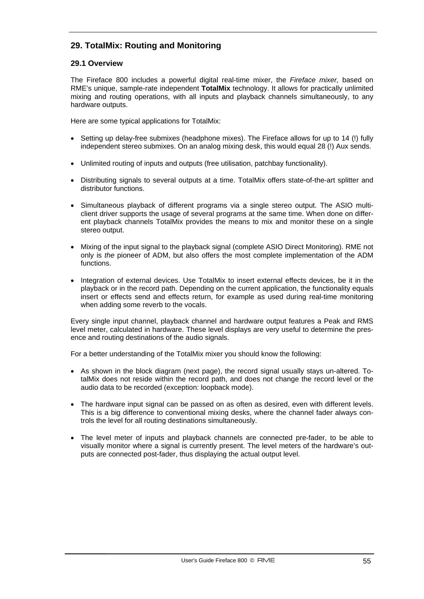# **29. TotalMix: Routing and Monitoring**

## **29.1 Overview**

The Fireface 800 includes a powerful digital real-time mixer, the *Fireface mixer,* based on RME's unique, sample-rate independent **TotalMix** technology. It allows for practically unlimited mixing and routing operations, with all inputs and playback channels simultaneously, to any hardware outputs.

Here are some typical applications for TotalMix:

- Setting up delay-free submixes (headphone mixes). The Fireface allows for up to 14 (!) fully independent stereo submixes. On an analog mixing desk, this would equal 28 (!) Aux sends.
- Unlimited routing of inputs and outputs (free utilisation, patchbay functionality).
- Distributing signals to several outputs at a time. TotalMix offers state-of-the-art splitter and distributor functions.
- Simultaneous playback of different programs via a single stereo output. The ASIO multiclient driver supports the usage of several programs at the same time. When done on different playback channels TotalMix provides the means to mix and monitor these on a single stereo output.
- Mixing of the input signal to the playback signal (complete ASIO Direct Monitoring). RME not only is *the* pioneer of ADM, but also offers the most complete implementation of the ADM functions.
- Integration of external devices. Use TotalMix to insert external effects devices, be it in the playback or in the record path. Depending on the current application, the functionality equals insert or effects send and effects return, for example as used during real-time monitoring when adding some reverb to the vocals.

Every single input channel, playback channel and hardware output features a Peak and RMS level meter, calculated in hardware. These level displays are very useful to determine the presence and routing destinations of the audio signals.

For a better understanding of the TotalMix mixer you should know the following:

- As shown in the block diagram (next page), the record signal usually stays un-altered. TotalMix does not reside within the record path, and does not change the record level or the audio data to be recorded (exception: loopback mode).
- The hardware input signal can be passed on as often as desired, even with different levels. This is a big difference to conventional mixing desks, where the channel fader always controls the level for all routing destinations simultaneously.
- The level meter of inputs and playback channels are connected pre-fader, to be able to visually monitor where a signal is currently present. The level meters of the hardware's outputs are connected post-fader, thus displaying the actual output level.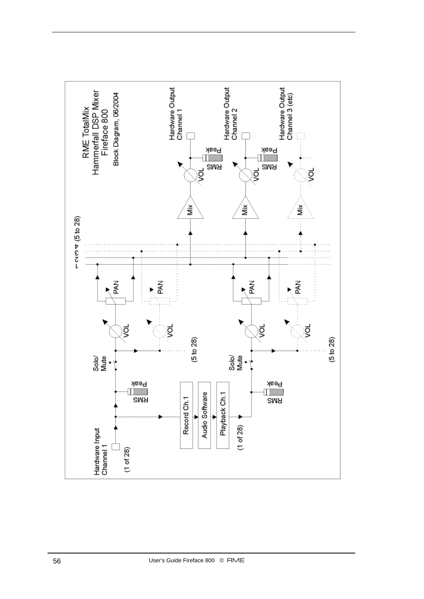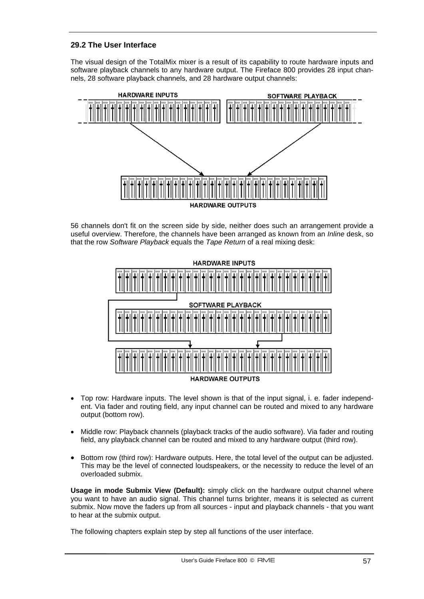## **29.2 The User Interface**

The visual design of the TotalMix mixer is a result of its capability to route hardware inputs and software playback channels to any hardware output. The Fireface 800 provides 28 input channels, 28 software playback channels, and 28 hardware output channels:



56 channels don't fit on the screen side by side, neither does such an arrangement provide a useful overview. Therefore, the channels have been arranged as known from an *Inline* desk, so that the row *Software Playback* equals the *Tape Return* of a real mixing desk:



- Top row: Hardware inputs. The level shown is that of the input signal, i. e. fader independent. Via fader and routing field, any input channel can be routed and mixed to any hardware output (bottom row).
- Middle row: Playback channels (playback tracks of the audio software). Via fader and routing field, any playback channel can be routed and mixed to any hardware output (third row).
- Bottom row (third row): Hardware outputs. Here, the total level of the output can be adjusted. This may be the level of connected loudspeakers, or the necessity to reduce the level of an overloaded submix.

**Usage in mode Submix View (Default):** simply click on the hardware output channel where you want to have an audio signal. This channel turns brighter, means it is selected as current submix. Now move the faders up from all sources - input and playback channels - that you want to hear at the submix output.

The following chapters explain step by step all functions of the user interface.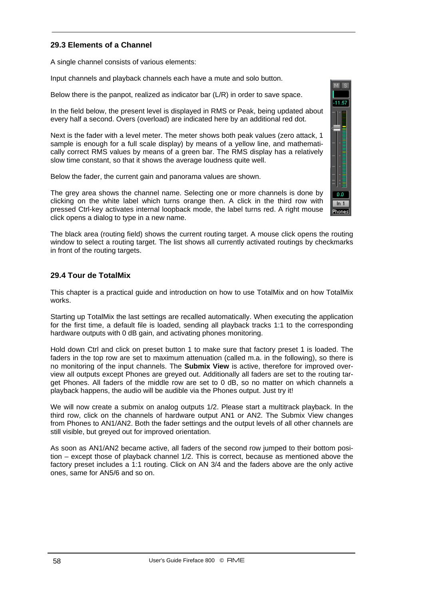## **29.3 Elements of a Channel**

A single channel consists of various elements:

Input channels and playback channels each have a mute and solo button.

Below there is the panpot, realized as indicator bar (L/R) in order to save space.

In the field below, the present level is displayed in RMS or Peak, being updated about every half a second. Overs (overload) are indicated here by an additional red dot.

Next is the fader with a level meter. The meter shows both peak values (zero attack, 1 sample is enough for a full scale display) by means of a yellow line, and mathematically correct RMS values by means of a green bar. The RMS display has a relatively slow time constant, so that it shows the average loudness quite well.

Below the fader, the current gain and panorama values are shown.

The grey area shows the channel name. Selecting one or more channels is done by clicking on the white label which turns orange then. A click in the third row with pressed Ctrl-key activates internal loopback mode, the label turns red. A right mouse click opens a dialog to type in a new name.

The black area (routing field) shows the current routing target. A mouse click opens the routing window to select a routing target. The list shows all currently activated routings by checkmarks in front of the routing targets.

#### **29.4 Tour de TotalMix**

This chapter is a practical guide and introduction on how to use TotalMix and on how TotalMix works.

Starting up TotalMix the last settings are recalled automatically. When executing the application for the first time, a default file is loaded, sending all playback tracks 1:1 to the corresponding hardware outputs with 0 dB gain, and activating phones monitoring.

Hold down Ctrl and click on preset button 1 to make sure that factory preset 1 is loaded. The faders in the top row are set to maximum attenuation (called m.a. in the following), so there is no monitoring of the input channels. The **Submix View** is active, therefore for improved overview all outputs except Phones are greyed out. Additionally all faders are set to the routing target Phones. All faders of the middle row are set to 0 dB, so no matter on which channels a playback happens, the audio will be audible via the Phones output. Just try it!

We will now create a submix on analog outputs 1/2. Please start a multitrack playback. In the third row, click on the channels of hardware output AN1 or AN2. The Submix View changes from Phones to AN1/AN2. Both the fader settings and the output levels of all other channels are still visible, but greyed out for improved orientation.

As soon as AN1/AN2 became active, all faders of the second row jumped to their bottom position – except those of playback channel 1/2. This is correct, because as mentioned above the factory preset includes a 1:1 routing. Click on AN 3/4 and the faders above are the only active ones, same for AN5/6 and so on.

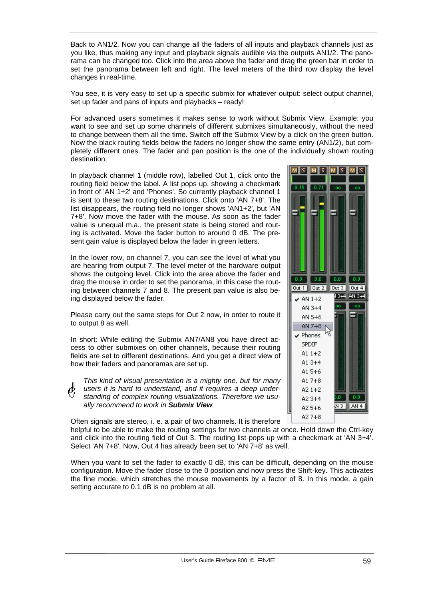Back to AN1/2. Now you can change all the faders of all inputs and playback channels just as you like, thus making any input and playback signals audible via the outputs AN1/2. The panorama can be changed too. Click into the area above the fader and drag the green bar in order to set the panorama between left and right. The level meters of the third row display the level changes in real-time.

You see, it is very easy to set up a specific submix for whatever output: select output channel, set up fader and pans of inputs and playbacks – ready!

For advanced users sometimes it makes sense to work without Submix View. Example: you want to see and set up some channels of different submixes simultaneously, without the need to change between them all the time. Switch off the Submix View by a click on the green button. Now the black routing fields below the faders no longer show the same entry (AN1/2), but completely different ones. The fader and pan position is the one of the individually shown routing destination.

In playback channel 1 (middle row), labelled Out 1, click onto the routing field below the label. A list pops up, showing a checkmark in front of 'AN 1+2' and 'Phones'. So currently playback channel 1 is sent to these two routing destinations. Click onto 'AN 7+8'. The list disappears, the routing field no longer shows 'AN1+2', but 'AN 7+8'. Now move the fader with the mouse. As soon as the fader value is unequal m.a., the present state is being stored and routing is activated. Move the fader button to around 0 dB. The present gain value is displayed below the fader in green letters.

In the lower row, on channel 7, you can see the level of what you are hearing from output 7. The level meter of the hardware output shows the outgoing level. Click into the area above the fader and drag the mouse in order to set the panorama, in this case the routing between channels 7 and 8. The present pan value is also being displayed below the fader.

Please carry out the same steps for Out 2 now, in order to route it to output 8 as well.

In short: While editing the Submix AN7/AN8 you have direct access to other submixes on other channels, because their routing fields are set to different destinations. And you get a direct view of how their faders and panoramas are set up.

*This kind of visual presentation is a mighty one, but for many users it is hard to understand, and it requires a deep understanding of complex routing visualizations. Therefore we usually recommend to work in Submix View.* 

Often signals are stereo, i. e. a pair of two channels. It is therefore

helpful to be able to make the routing settings for two channels at once. Hold down the Ctrl-key and click into the routing field of Out 3. The routing list pops up with a checkmark at 'AN 3+4'. Select 'AN 7+8'. Now, Out 4 has already been set to 'AN 7+8' as well.

When you want to set the fader to exactly 0 dB, this can be difficult, depending on the mouse configuration. Move the fader close to the 0 position and now press the Shift-key. This activates the fine mode, which stretches the mouse movements by a factor of 8. In this mode, a gain setting accurate to 0.1 dB is no problem at all.

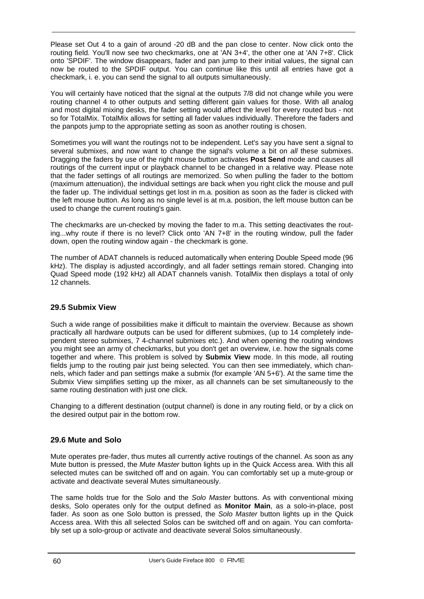Please set Out 4 to a gain of around -20 dB and the pan close to center. Now click onto the routing field. You'll now see two checkmarks, one at 'AN 3+4', the other one at 'AN 7+8'. Click onto 'SPDIF'. The window disappears, fader and pan jump to their initial values, the signal can now be routed to the SPDIF output. You can continue like this until all entries have got a checkmark, i. e. you can send the signal to all outputs simultaneously.

You will certainly have noticed that the signal at the outputs 7/8 did not change while you were routing channel 4 to other outputs and setting different gain values for those. With all analog and most digital mixing desks, the fader setting would affect the level for every routed bus - not so for TotalMix. TotalMix allows for setting all fader values individually. Therefore the faders and the panpots jump to the appropriate setting as soon as another routing is chosen.

Sometimes you will want the routings not to be independent. Let's say you have sent a signal to several submixes, and now want to change the signal's volume a bit on *all* these submixes. Dragging the faders by use of the right mouse button activates **Post Send** mode and causes all routings of the current input or playback channel to be changed in a relative way. Please note that the fader settings of all routings are memorized. So when pulling the fader to the bottom (maximum attenuation), the individual settings are back when you right click the mouse and pull the fader up. The individual settings get lost in m.a. position as soon as the fader is clicked with the left mouse button. As long as no single level is at m.a. position, the left mouse button can be used to change the current routing's gain.

The checkmarks are un-checked by moving the fader to m.a. This setting deactivates the routing...why route if there is no level? Click onto 'AN 7+8' in the routing window, pull the fader down, open the routing window again - the checkmark is gone.

The number of ADAT channels is reduced automatically when entering Double Speed mode (96 kHz). The display is adjusted accordingly, and all fader settings remain stored. Changing into Quad Speed mode (192 kHz) all ADAT channels vanish. TotalMix then displays a total of only 12 channels.

## **29.5 Submix View**

Such a wide range of possibilities make it difficult to maintain the overview. Because as shown practically all hardware outputs can be used for different submixes, (up to 14 completely independent stereo submixes, 7 4-channel submixes etc.). And when opening the routing windows you might see an army of checkmarks, but you don't get an overview, i.e. how the signals come together and where. This problem is solved by **Submix View** mode. In this mode, all routing fields jump to the routing pair just being selected. You can then see immediately, which channels, which fader and pan settings make a submix (for example 'AN 5+6'). At the same time the Submix View simplifies setting up the mixer, as all channels can be set simultaneously to the same routing destination with just one click.

Changing to a different destination (output channel) is done in any routing field, or by a click on the desired output pair in the bottom row.

## **29.6 Mute and Solo**

Mute operates pre-fader, thus mutes all currently active routings of the channel. As soon as any Mute button is pressed, the *Mute Master* button lights up in the Quick Access area. With this all selected mutes can be switched off and on again. You can comfortably set up a mute-group or activate and deactivate several Mutes simultaneously.

The same holds true for the Solo and the *Solo Master* buttons. As with conventional mixing desks, Solo operates only for the output defined as **Monitor Main**, as a solo-in-place, post fader. As soon as one Solo button is pressed, the *Solo Master* button lights up in the Quick Access area. With this all selected Solos can be switched off and on again. You can comfortably set up a solo-group or activate and deactivate several Solos simultaneously.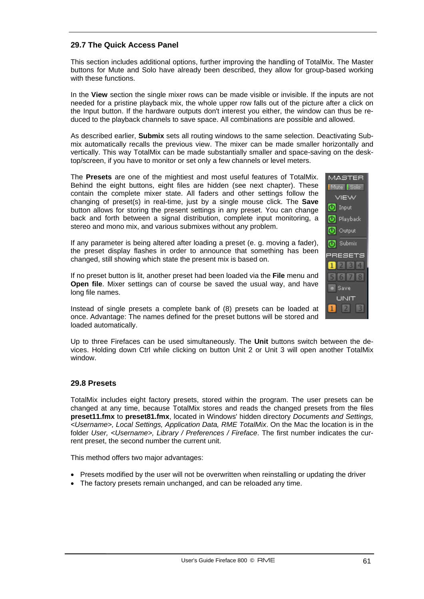## **29.7 The Quick Access Panel**

This section includes additional options, further improving the handling of TotalMix. The Master buttons for Mute and Solo have already been described, they allow for group-based working with these functions.

In the **View** section the single mixer rows can be made visible or invisible. If the inputs are not needed for a pristine playback mix, the whole upper row falls out of the picture after a click on the Input button. If the hardware outputs don't interest you either, the window can thus be reduced to the playback channels to save space. All combinations are possible and allowed.

As described earlier, **Submix** sets all routing windows to the same selection. Deactivating Submix automatically recalls the previous view. The mixer can be made smaller horizontally and vertically. This way TotalMix can be made substantially smaller and space-saving on the desktop/screen, if you have to monitor or set only a few channels or level meters.

The **Presets** are one of the mightiest and most useful features of TotalMix. Behind the eight buttons, eight files are hidden (see next chapter). These contain the complete mixer state. All faders and other settings follow the changing of preset(s) in real-time, just by a single mouse click. The **Save** button allows for storing the present settings in any preset. You can change back and forth between a signal distribution, complete input monitoring, a stereo and mono mix, and various submixes without any problem.

If any parameter is being altered after loading a preset (e. g. moving a fader), the preset display flashes in order to announce that something has been changed, still showing which state the present mix is based on.

If no preset button is lit, another preset had been loaded via the **File** menu and **Open file**. Mixer settings can of course be saved the usual way, and have long file names.

Instead of single presets a complete bank of (8) presets can be loaded at once. Advantage: The names defined for the preset buttons will be stored and loaded automatically.

Up to three Firefaces can be used simultaneously. The **Unit** buttons switch between the devices. Holding down Ctrl while clicking on button Unit 2 or Unit 3 will open another TotalMix window.

## **29.8 Presets**

TotalMix includes eight factory presets, stored within the program. The user presets can be changed at any time, because TotalMix stores and reads the changed presets from the files **preset11.fmx** to **preset81.fmx**, located in Windows' hidden directory *Documents and Settings, <Username>, Local Settings, Application Data, RME TotalMix*. On the Mac the location is in the folder *User, <Username>, Library / Preferences / Fireface*. The first number indicates the current preset, the second number the current unit.

This method offers two major advantages:

- Presets modified by the user will not be overwritten when reinstalling or updating the driver
- The factory presets remain unchanged, and can be reloaded any time.

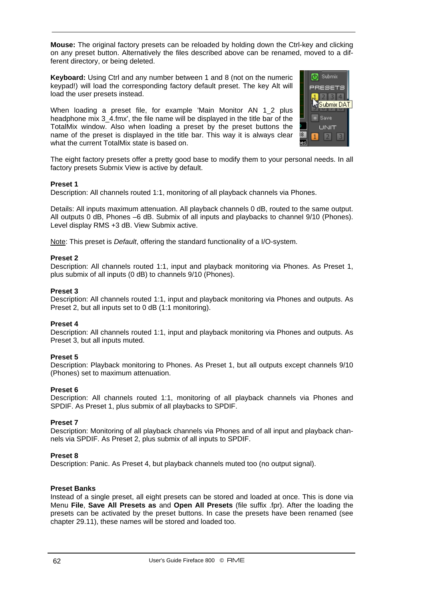**Mouse:** The original factory presets can be reloaded by holding down the Ctrl-key and clicking on any preset button. Alternatively the files described above can be renamed, moved to a different directory, or being deleted.

**Keyboard:** Using Ctrl and any number between 1 and 8 (not on the numeric keypad!) will load the corresponding factory default preset. The key Alt will load the user presets instead.

When loading a preset file, for example 'Main Monitor AN 1 2 plus headphone mix 3\_4.fmx', the file name will be displayed in the title bar of the TotalMix window. Also when loading a preset by the preset buttons the name of the preset is displayed in the title bar. This way it is always clear what the current TotalMix state is based on.



The eight factory presets offer a pretty good base to modify them to your personal needs. In all factory presets Submix View is active by default.

#### **Preset 1**

Description: All channels routed 1:1, monitoring of all playback channels via Phones.

Details: All inputs maximum attenuation. All playback channels 0 dB, routed to the same output. All outputs 0 dB, Phones –6 dB. Submix of all inputs and playbacks to channel 9/10 (Phones). Level display RMS +3 dB. View Submix active.

Note: This preset is *Default*, offering the standard functionality of a I/O-system.

#### **Preset 2**

Description: All channels routed 1:1, input and playback monitoring via Phones. As Preset 1, plus submix of all inputs (0 dB) to channels 9/10 (Phones).

#### **Preset 3**

Description: All channels routed 1:1, input and playback monitoring via Phones and outputs. As Preset 2, but all inputs set to 0 dB (1:1 monitoring).

#### **Preset 4**

Description: All channels routed 1:1, input and playback monitoring via Phones and outputs. As Preset 3, but all inputs muted.

#### **Preset 5**

Description: Playback monitoring to Phones. As Preset 1, but all outputs except channels 9/10 (Phones) set to maximum attenuation.

#### **Preset 6**

Description: All channels routed 1:1, monitoring of all playback channels via Phones and SPDIF. As Preset 1, plus submix of all playbacks to SPDIF.

#### **Preset 7**

Description: Monitoring of all playback channels via Phones and of all input and playback channels via SPDIF. As Preset 2, plus submix of all inputs to SPDIF.

#### **Preset 8**

Description: Panic. As Preset 4, but playback channels muted too (no output signal).

#### **Preset Banks**

Instead of a single preset, all eight presets can be stored and loaded at once. This is done via Menu **File**, **Save All Presets as** and **Open All Presets** (file suffix .fpr). After the loading the presets can be activated by the preset buttons. In case the presets have been renamed (see chapter 29.11), these names will be stored and loaded too.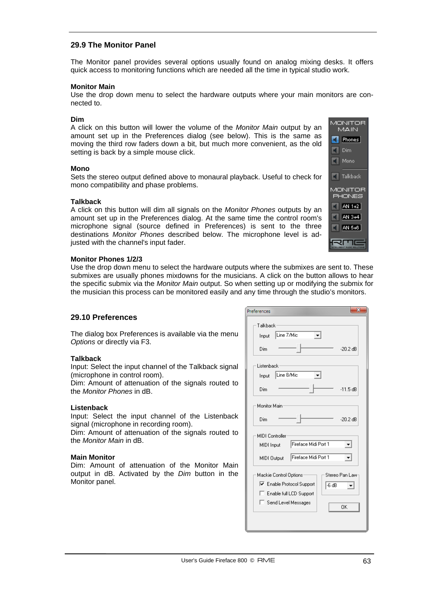## **29.9 The Monitor Panel**

The Monitor panel provides several options usually found on analog mixing desks. It offers quick access to monitoring functions which are needed all the time in typical studio work.

#### **Monitor Main**

Use the drop down menu to select the hardware outputs where your main monitors are connected to.

#### **Dim**

A click on this button will lower the volume of the *Monitor Main* output by an amount set up in the Preferences dialog (see below). This is the same as moving the third row faders down a bit, but much more convenient, as the old setting is back by a simple mouse click.

#### **Mono**

Sets the stereo output defined above to monaural playback. Useful to check for mono compatibility and phase problems.

#### **Talkback**

A click on this button will dim all signals on the *Monitor Phones* outputs by an amount set up in the Preferences dialog. At the same time the control room's microphone signal (source defined in Preferences) is sent to the three destinations *Monitor Phones* described below. The microphone level is adjusted with the channel's input fader.

#### **Monitor Phones 1/2/3**

Use the drop down menu to select the hardware outputs where the submixes are sent to. These submixes are usually phones mixdowns for the musicians. A click on the button allows to hear the specific submix via the *Monitor Main* output. So when setting up or modifying the submix for the musician this process can be monitored easily and any time through the studio's monitors.

#### **29.10 Preferences**

The dialog box Preferences is available via the menu *Options* or directly via F3.

#### **Talkback**

Input: Select the input channel of the Talkback signal (microphone in control room).

Dim: Amount of attenuation of the signals routed to the *Monitor Phones* in dB.

#### **Listenback**

Input: Select the input channel of the Listenback signal (microphone in recording room).

Dim: Amount of attenuation of the signals routed to the *Monitor Main* in dB.

#### **Main Monitor**

Dim: Amount of attenuation of the Monitor Main output in dB. Activated by the *Dim* button in the Monitor panel.

| references                                 |
|--------------------------------------------|
| Talkback                                   |
| Line 7/Mic<br>Input                        |
| Dim<br>$-20.2$ dB                          |
| Listenback                                 |
| Line 8/Mic<br>Input                        |
| Dim<br>$-11.5$ dB                          |
| Monitor Main                               |
| $-20.2$ dB<br>Dim                          |
| MIDI Controller                            |
| Fireface Midi Port 1<br>MIDI Input         |
| Fireface Midi Port 1<br>MIDI Output        |
| Stereo Pan Law<br>Mackie Control Options:  |
| <b>▽</b> Enable Protocol Support<br>l-6 dB |
| E Enable full LCD Support                  |
| □ Send Level Messages<br>OΚ                |
|                                            |
|                                            |

**MONITOR MAIN**  $\blacksquare$  Phones  $\Box$  Dim  $\Box$  Mono

 $\blacksquare$  Talkback MONITOR **PHONES**  $\Box$  AN 1+2  $\blacksquare$  AN 3+4  $\Box$  AN 5+6

रागा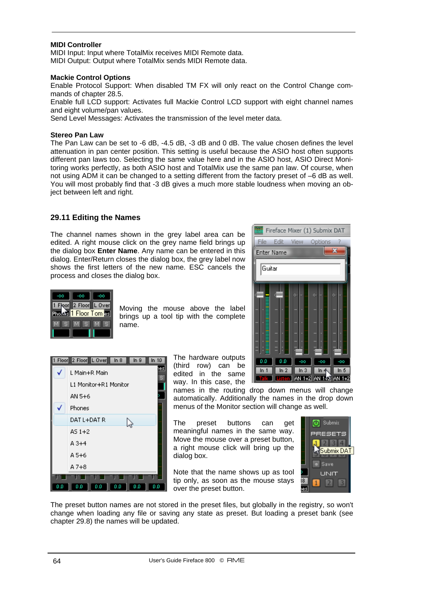#### **MIDI Controller**

MIDI Input: Input where TotalMix receives MIDI Remote data. MIDI Output: Output where TotalMix sends MIDI Remote data.

#### **Mackie Control Options**

Enable Protocol Support: When disabled TM FX will only react on the Control Change commands of chapter 28.5.

Enable full LCD support: Activates full Mackie Control LCD support with eight channel names and eight volume/pan values.

Send Level Messages: Activates the transmission of the level meter data.

#### **Stereo Pan Law**

The Pan Law can be set to -6 dB, -4.5 dB, -3 dB and 0 dB. The value chosen defines the level attenuation in pan center position. This setting is useful because the ASIO host often supports different pan laws too. Selecting the same value here and in the ASIO host, ASIO Direct Monitoring works perfectly, as both ASIO host and TotalMix use the same pan law. Of course, when not using ADM it can be changed to a setting different from the factory preset of –6 dB as well. You will most probably find that -3 dB gives a much more stable loudness when moving an object between left and right.

#### **29.11 Editing the Names**

The channel names shown in the grey label area can be edited. A right mouse click on the grey name field brings up the dialog box **Enter Name**. Any name can be entered in this dialog. Enter/Return closes the dialog box, the grey label now shows the first letters of the new name. ESC cancels the process and closes the dialog box.





Moving the mouse above the label brings up a tool tip with the complete name.



The hardware outputs (third row) can be edited in the same way. In this case, the

names in the routing drop down menus will change automatically. Additionally the names in the drop down menus of the Monitor section will change as well.

The preset buttons can get meaningful names in the same way. Move the mouse over a preset button, a right mouse click will bring up the dialog box.

Note that the name shows up as tool tip only, as soon as the mouse stays over the preset button.



The preset button names are not stored in the preset files, but globally in the registry, so won't change when loading any file or saving any state as preset. But loading a preset bank (see chapter 29.8) the names will be updated.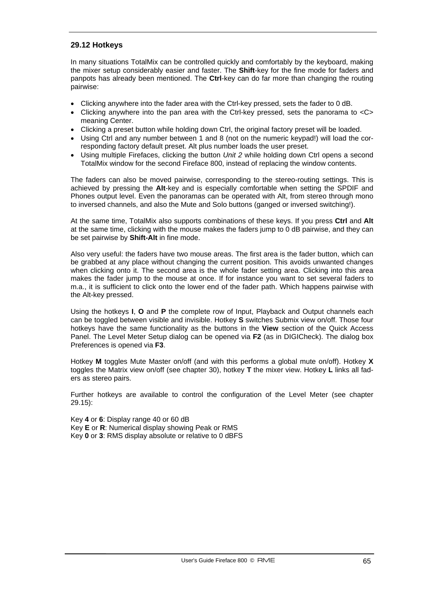## **29.12 Hotkeys**

In many situations TotalMix can be controlled quickly and comfortably by the keyboard, making the mixer setup considerably easier and faster. The **Shift**-key for the fine mode for faders and panpots has already been mentioned. The **Ctrl**-key can do far more than changing the routing pairwise:

- Clicking anywhere into the fader area with the Ctrl-key pressed, sets the fader to 0 dB.
- Clicking anywhere into the pan area with the Ctrl-key pressed, sets the panorama to <C> meaning Center.
- Clicking a preset button while holding down Ctrl, the original factory preset will be loaded.
- Using Ctrl and any number between 1 and 8 (not on the numeric keypad!) will load the corresponding factory default preset. Alt plus number loads the user preset.
- Using multiple Firefaces, clicking the button *Unit 2* while holding down Ctrl opens a second TotalMix window for the second Fireface 800, instead of replacing the window contents.

The faders can also be moved pairwise, corresponding to the stereo-routing settings. This is achieved by pressing the **Alt**-key and is especially comfortable when setting the SPDIF and Phones output level. Even the panoramas can be operated with Alt, from stereo through mono to inversed channels, and also the Mute and Solo buttons (ganged or inversed switching!).

At the same time, TotalMix also supports combinations of these keys. If you press **Ctrl** and **Alt** at the same time, clicking with the mouse makes the faders jump to 0 dB pairwise, and they can be set pairwise by **Shift-Alt** in fine mode.

Also very useful: the faders have two mouse areas. The first area is the fader button, which can be grabbed at any place without changing the current position. This avoids unwanted changes when clicking onto it. The second area is the whole fader setting area. Clicking into this area makes the fader jump to the mouse at once. If for instance you want to set several faders to m.a., it is sufficient to click onto the lower end of the fader path. Which happens pairwise with the Alt-key pressed.

Using the hotkeys **I**, **O** and **P** the complete row of Input, Playback and Output channels each can be toggled between visible and invisible. Hotkey **S** switches Submix view on/off. Those four hotkeys have the same functionality as the buttons in the **View** section of the Quick Access Panel. The Level Meter Setup dialog can be opened via **F2** (as in DIGICheck). The dialog box Preferences is opened via **F3**.

Hotkey **M** toggles Mute Master on/off (and with this performs a global mute on/off). Hotkey **X** toggles the Matrix view on/off (see chapter 30), hotkey **T** the mixer view. Hotkey **L** links all faders as stereo pairs.

Further hotkeys are available to control the configuration of the Level Meter (see chapter 29.15):

Key **4** or **6**: Display range 40 or 60 dB Key **E** or **R**: Numerical display showing Peak or RMS Key **0** or **3**: RMS display absolute or relative to 0 dBFS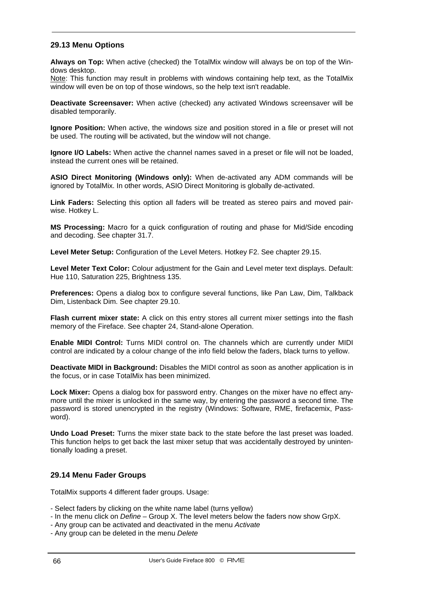## **29.13 Menu Options**

**Always on Top:** When active (checked) the TotalMix window will always be on top of the Windows desktop.

Note: This function may result in problems with windows containing help text, as the TotalMix window will even be on top of those windows, so the help text isn't readable.

**Deactivate Screensaver:** When active (checked) any activated Windows screensaver will be disabled temporarily.

**Ignore Position:** When active, the windows size and position stored in a file or preset will not be used. The routing will be activated, but the window will not change.

**Ignore I/O Labels:** When active the channel names saved in a preset or file will not be loaded, instead the current ones will be retained.

**ASIO Direct Monitoring (Windows only):** When de-activated any ADM commands will be ignored by TotalMix. In other words, ASIO Direct Monitoring is globally de-activated.

**Link Faders:** Selecting this option all faders will be treated as stereo pairs and moved pairwise. Hotkey L.

**MS Processing:** Macro for a quick configuration of routing and phase for Mid/Side encoding and decoding. See chapter 31.7.

**Level Meter Setup:** Configuration of the Level Meters. Hotkey F2. See chapter 29.15.

**Level Meter Text Color:** Colour adjustment for the Gain and Level meter text displays. Default: Hue 110, Saturation 225, Brightness 135.

**Preferences:** Opens a dialog box to configure several functions, like Pan Law, Dim, Talkback Dim, Listenback Dim. See chapter 29.10.

**Flash current mixer state:** A click on this entry stores all current mixer settings into the flash memory of the Fireface. See chapter 24, Stand-alone Operation.

**Enable MIDI Control:** Turns MIDI control on. The channels which are currently under MIDI control are indicated by a colour change of the info field below the faders, black turns to yellow.

**Deactivate MIDI in Background:** Disables the MIDI control as soon as another application is in the focus, or in case TotalMix has been minimized.

**Lock Mixer:** Opens a dialog box for password entry. Changes on the mixer have no effect anymore until the mixer is unlocked in the same way, by entering the password a second time. The password is stored unencrypted in the registry (Windows: Software, RME, firefacemix, Password).

**Undo Load Preset:** Turns the mixer state back to the state before the last preset was loaded. This function helps to get back the last mixer setup that was accidentally destroyed by unintentionally loading a preset.

#### **29.14 Menu Fader Groups**

TotalMix supports 4 different fader groups. Usage:

- Select faders by clicking on the white name label (turns yellow)
- In the menu click on *Define* Group X. The level meters below the faders now show GrpX.
- Any group can be activated and deactivated in the menu *Activate*
- Any group can be deleted in the menu *Delete*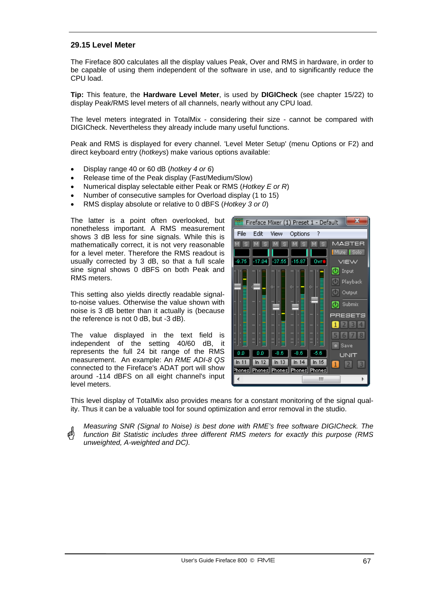## **29.15 Level Meter**

The Fireface 800 calculates all the display values Peak, Over and RMS in hardware, in order to be capable of using them independent of the software in use, and to significantly reduce the CPU load.

**Tip:** This feature, the **Hardware Level Meter**, is used by **DIGICheck** (see chapter 15/22) to display Peak/RMS level meters of all channels, nearly without any CPU load.

The level meters integrated in TotalMix - considering their size - cannot be compared with DIGICheck. Nevertheless they already include many useful functions.

Peak and RMS is displayed for every channel. 'Level Meter Setup' (menu Options or F2) and direct keyboard entry (*hotkeys*) make various options available:

- Display range 40 or 60 dB (*hotkey 4 or 6*)
- Release time of the Peak display (Fast/Medium/Slow)
- Numerical display selectable either Peak or RMS (*Hotkey E or R*)
- Number of consecutive samples for Overload display (1 to 15)
- RMS display absolute or relative to 0 dBFS (*Hotkey 3 or 0*)

The latter is a point often overlooked, but nonetheless important. A RMS measurement shows 3 dB less for sine signals. While this is mathematically correct, it is not very reasonable for a level meter. Therefore the RMS readout is usually corrected by 3 dB, so that a full scale sine signal shows 0 dBFS on both Peak and RMS meters.

This setting also yields directly readable signalto-noise values. Otherwise the value shown with noise is 3 dB better than it actually is (because the reference is not 0 dB, but -3 dB).

The value displayed in the text field is independent of the setting 40/60 dB, it represents the full 24 bit range of the RMS measurement. An example: An *RME ADI-8 QS* connected to the Fireface's ADAT port will show around -114 dBFS on all eight channel's input level meters.



This level display of TotalMix also provides means for a constant monitoring of the signal quality. Thus it can be a valuable tool for sound optimization and error removal in the studio.

*Measuring SNR (Signal to Noise) is best done with RME's free software DIGICheck. The function Bit Statistic includes three different RMS meters for exactly this purpose (RMS unweighted, A-weighted and DC).*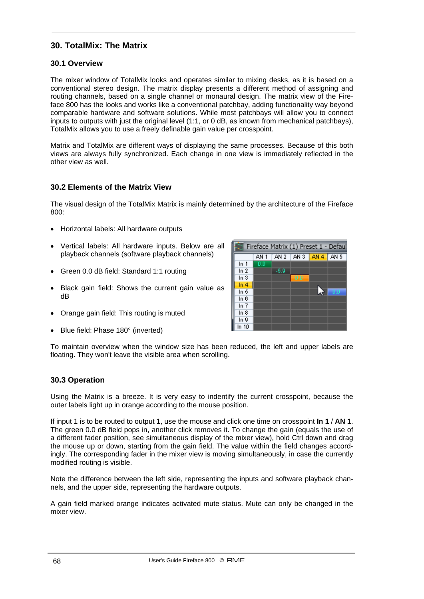# **30. TotalMix: The Matrix**

## **30.1 Overview**

The mixer window of TotalMix looks and operates similar to mixing desks, as it is based on a conventional stereo design. The matrix display presents a different method of assigning and routing channels, based on a single channel or monaural design. The matrix view of the Fireface 800 has the looks and works like a conventional patchbay, adding functionality way beyond comparable hardware and software solutions. While most patchbays will allow you to connect inputs to outputs with just the original level (1:1, or 0 dB, as known from mechanical patchbays), TotalMix allows you to use a freely definable gain value per crosspoint.

Matrix and TotalMix are different ways of displaying the same processes. Because of this both views are always fully synchronized. Each change in one view is immediately reflected in the other view as well.

## **30.2 Elements of the Matrix View**

The visual design of the TotalMix Matrix is mainly determined by the architecture of the Fireface 800:

- Horizontal labels: All hardware outputs
- Vertical labels: All hardware inputs. Below are all playback channels (software playback channels)
- Green 0.0 dB field: Standard 1:1 routing
- Black gain field: Shows the current gain value as dB
- Orange gain field: This routing is muted
- Blue field: Phase 180° (inverted)



To maintain overview when the window size has been reduced, the left and upper labels are floating. They won't leave the visible area when scrolling.

## **30.3 Operation**

Using the Matrix is a breeze. It is very easy to indentify the current crosspoint, because the outer labels light up in orange according to the mouse position.

If input 1 is to be routed to output 1, use the mouse and click one time on crosspoint **In 1** / **AN 1**. The green 0.0 dB field pops in, another click removes it. To change the gain (equals the use of a different fader position, see simultaneous display of the mixer view), hold Ctrl down and drag the mouse up or down, starting from the gain field. The value within the field changes accordingly. The corresponding fader in the mixer view is moving simultaneously, in case the currently modified routing is visible.

Note the difference between the left side, representing the inputs and software playback channels, and the upper side, representing the hardware outputs.

A gain field marked orange indicates activated mute status. Mute can only be changed in the mixer view.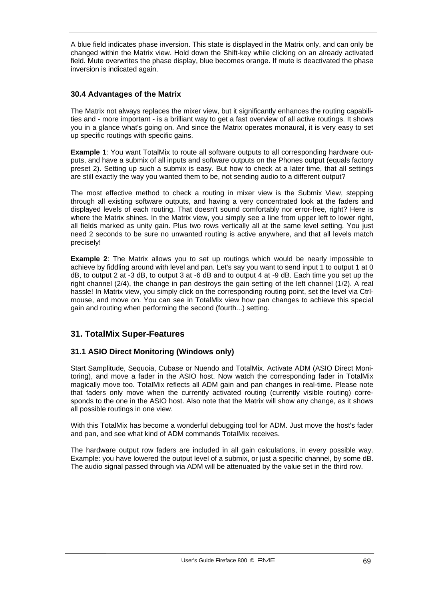A blue field indicates phase inversion. This state is displayed in the Matrix only, and can only be changed within the Matrix view. Hold down the Shift-key while clicking on an already activated field. Mute overwrites the phase display, blue becomes orange. If mute is deactivated the phase inversion is indicated again.

## **30.4 Advantages of the Matrix**

The Matrix not always replaces the mixer view, but it significantly enhances the routing capabilities and - more important - is a brilliant way to get a fast overview of all active routings. It shows you in a glance what's going on. And since the Matrix operates monaural, it is very easy to set up specific routings with specific gains.

**Example 1**: You want TotalMix to route all software outputs to all corresponding hardware outputs, and have a submix of all inputs and software outputs on the Phones output (equals factory preset 2). Setting up such a submix is easy. But how to check at a later time, that all settings are still exactly the way you wanted them to be, not sending audio to a different output?

The most effective method to check a routing in mixer view is the Submix View, stepping through all existing software outputs, and having a very concentrated look at the faders and displayed levels of each routing. That doesn't sound comfortably nor error-free, right? Here is where the Matrix shines. In the Matrix view, you simply see a line from upper left to lower right, all fields marked as unity gain. Plus two rows vertically all at the same level setting. You just need 2 seconds to be sure no unwanted routing is active anywhere, and that all levels match precisely!

**Example 2**: The Matrix allows you to set up routings which would be nearly impossible to achieve by fiddling around with level and pan. Let's say you want to send input 1 to output 1 at 0 dB, to output 2 at -3 dB, to output 3 at -6 dB and to output 4 at -9 dB. Each time you set up the right channel (2/4), the change in pan destroys the gain setting of the left channel (1/2). A real hassle! In Matrix view, you simply click on the corresponding routing point, set the level via Ctrlmouse, and move on. You can see in TotalMix view how pan changes to achieve this special gain and routing when performing the second (fourth...) setting.

# **31. TotalMix Super-Features**

## **31.1 ASIO Direct Monitoring (Windows only)**

Start Samplitude, Sequoia, Cubase or Nuendo and TotalMix. Activate ADM (ASIO Direct Monitoring), and move a fader in the ASIO host. Now watch the corresponding fader in TotalMix magically move too. TotalMix reflects all ADM gain and pan changes in real-time. Please note that faders only move when the currently activated routing (currently visible routing) corresponds to the one in the ASIO host. Also note that the Matrix will show any change, as it shows all possible routings in one view.

With this TotalMix has become a wonderful debugging tool for ADM. Just move the host's fader and pan, and see what kind of ADM commands TotalMix receives.

The hardware output row faders are included in all gain calculations, in every possible way. Example: you have lowered the output level of a submix, or just a specific channel, by some dB. The audio signal passed through via ADM will be attenuated by the value set in the third row.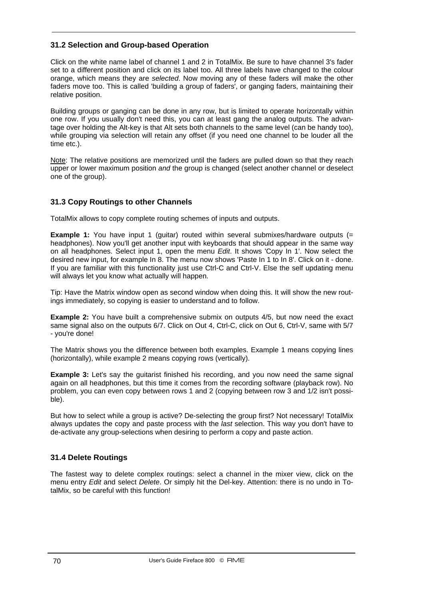## **31.2 Selection and Group-based Operation**

Click on the white name label of channel 1 and 2 in TotalMix. Be sure to have channel 3's fader set to a different position and click on its label too. All three labels have changed to the colour orange, which means they are *selected*. Now moving any of these faders will make the other faders move too. This is called 'building a group of faders', or ganging faders, maintaining their relative position.

Building groups or ganging can be done in any row, but is limited to operate horizontally within one row. If you usually don't need this, you can at least gang the analog outputs. The advantage over holding the Alt-key is that Alt sets both channels to the same level (can be handy too), while grouping via selection will retain any offset (if you need one channel to be louder all the time etc.).

Note: The relative positions are memorized until the faders are pulled down so that they reach upper or lower maximum position *and* the group is changed (select another channel or deselect one of the group).

## **31.3 Copy Routings to other Channels**

TotalMix allows to copy complete routing schemes of inputs and outputs.

**Example 1:** You have input 1 (quitar) routed within several submixes/hardware outputs (= headphones). Now you'll get another input with keyboards that should appear in the same way on all headphones. Select input 1, open the menu *Edit*. It shows 'Copy In 1'. Now select the desired new input, for example In 8. The menu now shows 'Paste In 1 to In 8'. Click on it - done. If you are familiar with this functionality just use Ctrl-C and Ctrl-V. Else the self updating menu will always let you know what actually will happen.

Tip: Have the Matrix window open as second window when doing this. It will show the new routings immediately, so copying is easier to understand and to follow.

**Example 2:** You have built a comprehensive submix on outputs 4/5, but now need the exact same signal also on the outputs 6/7. Click on Out 4, Ctrl-C, click on Out 6, Ctrl-V, same with 5/7 - you're done!

The Matrix shows you the difference between both examples. Example 1 means copying lines (horizontally), while example 2 means copying rows (vertically).

**Example 3:** Let's say the quitarist finished his recording, and you now need the same signal again on all headphones, but this time it comes from the recording software (playback row). No problem, you can even copy between rows 1 and 2 (copying between row 3 and 1/2 isn't possible).

But how to select while a group is active? De-selecting the group first? Not necessary! TotalMix always updates the copy and paste process with the *last* selection. This way you don't have to de-activate any group-selections when desiring to perform a copy and paste action.

## **31.4 Delete Routings**

The fastest way to delete complex routings: select a channel in the mixer view, click on the menu entry *Edit* and select *Delete*. Or simply hit the Del-key. Attention: there is no undo in TotalMix, so be careful with this function!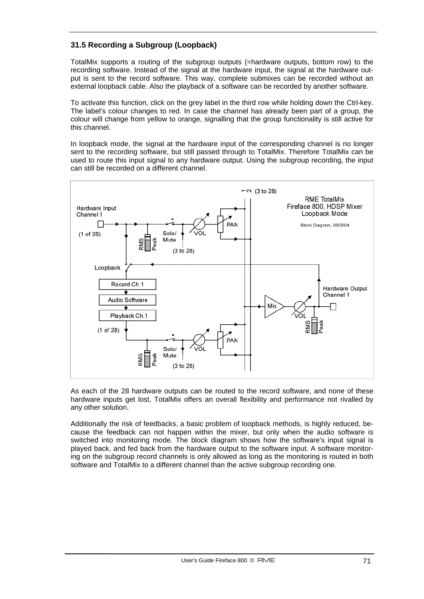# **31.5 Recording a Subgroup (Loopback)**

TotalMix supports a routing of the subgroup outputs (=hardware outputs, bottom row) to the recording software. Instead of the signal at the hardware input, the signal at the hardware output is sent to the record software. This way, complete submixes can be recorded without an external loopback cable. Also the playback of a software can be recorded by another software.

To activate this function, click on the grey label in the third row while holding down the Ctrl-key. The label's colour changes to red. In case the channel has already been part of a group, the colour will change from yellow to orange, signalling that the group functionality is still active for this channel.

In loopback mode, the signal at the hardware input of the corresponding channel is no longer sent to the recording software, but still passed through to TotalMix. Therefore TotalMix can be used to route this input signal to any hardware output. Using the subgroup recording, the input can still be recorded on a different channel.



As each of the 28 hardware outputs can be routed to the record software, and none of these hardware inputs get lost, TotalMix offers an overall flexibility and performance not rivalled by any other solution.

Additionally the risk of feedbacks, a basic problem of loopback methods, is highly reduced, because the feedback can not happen within the mixer, but only when the audio software is switched into monitoring mode. The block diagram shows how the software's input signal is played back, and fed back from the hardware output to the software input. A software monitoring on the subgroup record channels is only allowed as long as the monitoring is routed in both software and TotalMix to a different channel than the active subgroup recording one.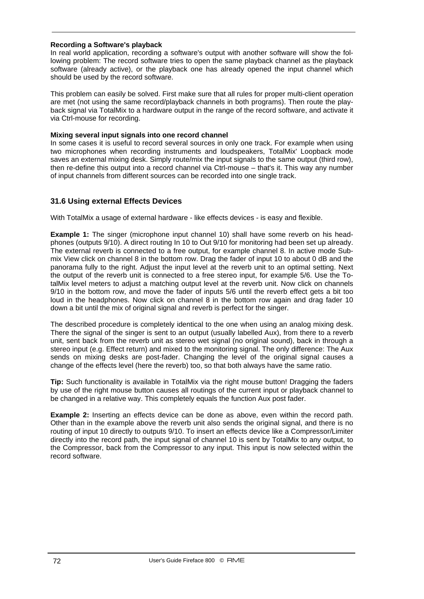#### **Recording a Software's playback**

In real world application, recording a software's output with another software will show the following problem: The record software tries to open the same playback channel as the playback software (already active), or the playback one has already opened the input channel which should be used by the record software.

This problem can easily be solved. First make sure that all rules for proper multi-client operation are met (not using the same record/playback channels in both programs). Then route the playback signal via TotalMix to a hardware output in the range of the record software, and activate it via Ctrl-mouse for recording.

#### **Mixing several input signals into one record channel**

In some cases it is useful to record several sources in only one track. For example when using two microphones when recording instruments and loudspeakers, TotalMix' Loopback mode saves an external mixing desk. Simply route/mix the input signals to the same output (third row), then re-define this output into a record channel via Ctrl-mouse – that's it. This way any number of input channels from different sources can be recorded into one single track.

## **31.6 Using external Effects Devices**

With TotalMix a usage of external hardware - like effects devices - is easy and flexible.

**Example 1:** The singer (microphone input channel 10) shall have some reverb on his headphones (outputs 9/10). A direct routing In 10 to Out 9/10 for monitoring had been set up already. The external reverb is connected to a free output, for example channel 8. In active mode Submix View click on channel 8 in the bottom row. Drag the fader of input 10 to about 0 dB and the panorama fully to the right. Adjust the input level at the reverb unit to an optimal setting. Next the output of the reverb unit is connected to a free stereo input, for example 5/6. Use the TotalMix level meters to adjust a matching output level at the reverb unit. Now click on channels 9/10 in the bottom row, and move the fader of inputs 5/6 until the reverb effect gets a bit too loud in the headphones. Now click on channel 8 in the bottom row again and drag fader 10 down a bit until the mix of original signal and reverb is perfect for the singer.

The described procedure is completely identical to the one when using an analog mixing desk. There the signal of the singer is sent to an output (usually labelled Aux), from there to a reverb unit, sent back from the reverb unit as stereo wet signal (no original sound), back in through a stereo input (e.g. Effect return) and mixed to the monitoring signal. The only difference: The Aux sends on mixing desks are post-fader. Changing the level of the original signal causes a change of the effects level (here the reverb) too, so that both always have the same ratio.

**Tip:** Such functionality is available in TotalMix via the right mouse button! Dragging the faders by use of the right mouse button causes all routings of the current input or playback channel to be changed in a relative way. This completely equals the function Aux post fader.

**Example 2:** Inserting an effects device can be done as above, even within the record path. Other than in the example above the reverb unit also sends the original signal, and there is no routing of input 10 directly to outputs 9/10. To insert an effects device like a Compressor/Limiter directly into the record path, the input signal of channel 10 is sent by TotalMix to any output, to the Compressor, back from the Compressor to any input. This input is now selected within the record software.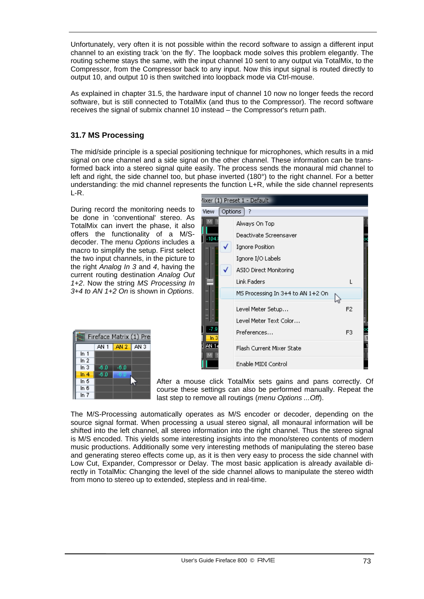Unfortunately, very often it is not possible within the record software to assign a different input channel to an existing track 'on the fly'. The loopback mode solves this problem elegantly. The routing scheme stays the same, with the input channel 10 sent to any output via TotalMix, to the Compressor, from the Compressor back to any input. Now this input signal is routed directly to output 10, and output 10 is then switched into loopback mode via Ctrl-mouse.

As explained in chapter 31.5, the hardware input of channel 10 now no longer feeds the record software, but is still connected to TotalMix (and thus to the Compressor). The record software receives the signal of submix channel 10 instead – the Compressor's return path.

# **31.7 MS Processing**

The mid/side principle is a special positioning technique for microphones, which results in a mid signal on one channel and a side signal on the other channel. These information can be transformed back into a stereo signal quite easily. The process sends the monaural mid channel to left and right, the side channel too, but phase inverted (180°) to the right channel. For a better understanding: the mid channel represents the function L+R, while the side channel represents L-R.

During record the monitoring needs to be done in 'conventional' stereo. As TotalMix can invert the phase, it also offers the functionality of a M/Sdecoder. The menu *Options* includes a macro to simplify the setup. First select the two input channels, in the picture to the right *Analog In 3* and *4*, having the current routing destination *Analog Out 1+2*. Now the string *MS Processing In 3+4 to AN 1+2 On* is shown in *Options*.

| Fireface Matrix (1) Pre |        |                      |  |  |  |  |  |
|-------------------------|--------|----------------------|--|--|--|--|--|
|                         |        | AN $1$ $AN 2$ $AN 3$ |  |  |  |  |  |
| ln 1                    |        |                      |  |  |  |  |  |
| In $2$                  |        |                      |  |  |  |  |  |
| In $3$                  | -6.0   | -6.0                 |  |  |  |  |  |
| ln 4                    | $-6.0$ | -6.1                 |  |  |  |  |  |
| In 5                    |        |                      |  |  |  |  |  |
| In 6                    |        |                      |  |  |  |  |  |
| In $7$                  |        |                      |  |  |  |  |  |



After a mouse click TotalMix sets gains and pans correctly. Of course these settings can also be performed manually. Repeat the last step to remove all routings (*menu Options ...Off*).

The M/S-Processing automatically operates as M/S encoder or decoder, depending on the source signal format. When processing a usual stereo signal, all monaural information will be shifted into the left channel, all stereo information into the right channel. Thus the stereo signal is M/S encoded. This yields some interesting insights into the mono/stereo contents of modern music productions. Additionally some very interesting methods of manipulating the stereo base and generating stereo effects come up, as it is then very easy to process the side channel with Low Cut, Expander, Compressor or Delay. The most basic application is already available directly in TotalMix: Changing the level of the side channel allows to manipulate the stereo width from mono to stereo up to extended, stepless and in real-time.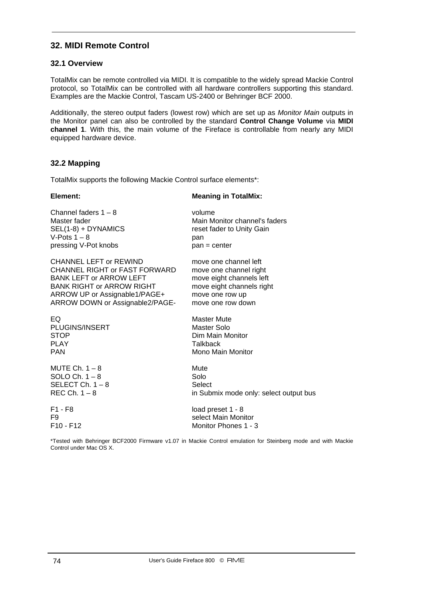# **32. MIDI Remote Control**

### **32.1 Overview**

TotalMix can be remote controlled via MIDI. It is compatible to the widely spread Mackie Control protocol, so TotalMix can be controlled with all hardware controllers supporting this standard. Examples are the Mackie Control, Tascam US-2400 or Behringer BCF 2000.

Additionally, the stereo output faders (lowest row) which are set up as *Monitor Main* outputs in the Monitor panel can also be controlled by the standard **Control Change Volume** via **MIDI channel 1**. With this, the main volume of the Fireface is controllable from nearly any MIDI equipped hardware device.

# **32.2 Mapping**

TotalMix supports the following Mackie Control surface elements\*:

# **Element: Meaning in TotalMix:**

| Channel faders $1 - 8$           | volume                                 |
|----------------------------------|----------------------------------------|
| Master fader                     | Main Monitor channel's faders          |
| SEL(1-8) + DYNAMICS              | reset fader to Unity Gain              |
| V-Pots $1 - 8$                   | pan                                    |
| pressing V-Pot knobs             | pan = center                           |
| <b>CHANNEL LEFT or REWIND</b>    | move one channel left                  |
| CHANNEL RIGHT or FAST FORWARD    | move one channel right                 |
| BANK LEFT or ARROW LEFT          | move eight channels left               |
| <b>BANK RIGHT or ARROW RIGHT</b> | move eight channels right              |
| ARROW UP or Assignable1/PAGE+    | move one row up                        |
| ARROW DOWN or Assignable2/PAGE-  | move one row down                      |
| EQ.                              | <b>Master Mute</b>                     |
| PLUGINS/INSERT                   | Master Solo                            |
| <b>STOP</b>                      | Dim Main Monitor                       |
| <b>PLAY</b>                      | <b>Talkback</b>                        |
| <b>PAN</b>                       | Mono Main Monitor                      |
| MUTE Ch. $1 - 8$                 | Mute                                   |
| SOLO Ch. $1 - 8$                 | Solo                                   |
| SELECT Ch. $1 - 8$               | Select                                 |
| REC Ch. $1 - 8$                  | in Submix mode only: select output bus |
| $F1 - F8$                        | load preset 1 - 8                      |
| F9                               | select Main Monitor                    |
| $F10 - F12$                      | Monitor Phones 1 - 3                   |

\*Tested with Behringer BCF2000 Firmware v1.07 in Mackie Control emulation for Steinberg mode and with Mackie Control under Mac OS X.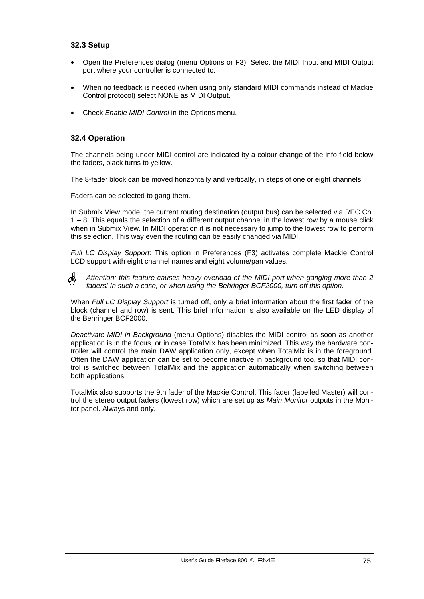# **32.3 Setup**

- Open the Preferences dialog (menu Options or F3). Select the MIDI Input and MIDI Output port where your controller is connected to.
- When no feedback is needed (when using only standard MIDI commands instead of Mackie Control protocol) select NONE as MIDI Output.
- Check *Enable MIDI Control* in the Options menu.

### **32.4 Operation**

The channels being under MIDI control are indicated by a colour change of the info field below the faders, black turns to yellow.

The 8-fader block can be moved horizontally and vertically, in steps of one or eight channels.

Faders can be selected to gang them.

In Submix View mode, the current routing destination (output bus) can be selected via REC Ch.  $1 - 8$ . This equals the selection of a different output channel in the lowest row by a mouse click when in Submix View. In MIDI operation it is not necessary to jump to the lowest row to perform this selection. This way even the routing can be easily changed via MIDI.

*Full LC Display Support*: This option in Preferences (F3) activates complete Mackie Control LCD support with eight channel names and eight volume/pan values.

ال<br>إنان *Attention: this feature causes heavy overload of the MIDI port when ganging more than 2 faders! In such a case, or when using the Behringer BCF2000, turn off this option.* 

When *Full LC Display Support* is turned off, only a brief information about the first fader of the block (channel and row) is sent. This brief information is also available on the LED display of the Behringer BCF2000.

*Deactivate MIDI in Background* (menu Options) disables the MIDI control as soon as another application is in the focus, or in case TotalMix has been minimized. This way the hardware controller will control the main DAW application only, except when TotalMix is in the foreground. Often the DAW application can be set to become inactive in background too, so that MIDI control is switched between TotalMix and the application automatically when switching between both applications.

TotalMix also supports the 9th fader of the Mackie Control. This fader (labelled Master) will control the stereo output faders (lowest row) which are set up as *Main Monitor* outputs in the Monitor panel. Always and only.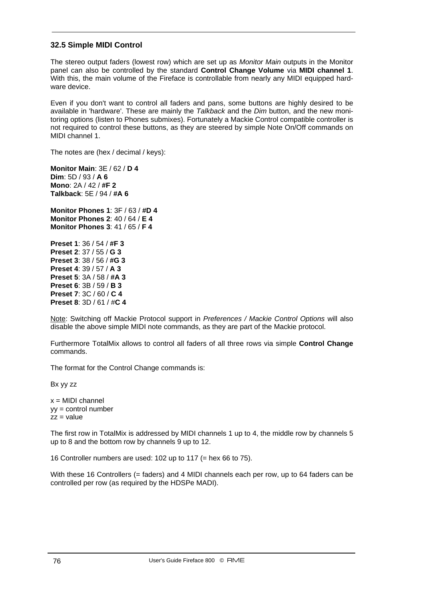# **32.5 Simple MIDI Control**

The stereo output faders (lowest row) which are set up as *Monitor Main* outputs in the Monitor panel can also be controlled by the standard **Control Change Volume** via **MIDI channel 1**. With this, the main volume of the Fireface is controllable from nearly any MIDI equipped hardware device.

Even if you don't want to control all faders and pans, some buttons are highly desired to be available in 'hardware'. These are mainly the *Talkback* and the *Dim* button, and the new monitoring options (listen to Phones submixes). Fortunately a Mackie Control compatible controller is not required to control these buttons, as they are steered by simple Note On/Off commands on MIDI channel 1.

The notes are (hex / decimal / keys):

**Monitor Main**: 3E / 62 / **D 4 Dim**: 5D / 93 / **A 6 Mono**: 2A / 42 / **#F 2 Talkback**: 5E / 94 / **#A 6** 

**Monitor Phones 1**: 3F / 63 / **#D 4 Monitor Phones 2**: 40 / 64 / **E 4 Monitor Phones 3**: 41 / 65 / **F 4**

**Preset 1**: 36 / 54 / **#F 3 Preset 2**: 37 / 55 / **G 3 Preset 3**: 38 / 56 / **#G 3 Preset 4**: 39 / 57 / **A 3 Preset 5**: 3A / 58 / **#A 3 Preset 6**: 3B / 59 / **B 3 Preset 7**: 3C / 60 / **C 4 Preset 8**: 3D / 61 / #**C 4**

Note: Switching off Mackie Protocol support in *Preferences / Mackie Control Options* will also disable the above simple MIDI note commands, as they are part of the Mackie protocol.

Furthermore TotalMix allows to control all faders of all three rows via simple **Control Change** commands.

The format for the Control Change commands is:

Bx yy zz

 $x = MIDI$  channel yy = control number  $zz = value$ 

The first row in TotalMix is addressed by MIDI channels 1 up to 4, the middle row by channels 5 up to 8 and the bottom row by channels 9 up to 12.

16 Controller numbers are used: 102 up to 117 (= hex 66 to 75).

With these 16 Controllers (= faders) and 4 MIDI channels each per row, up to 64 faders can be controlled per row (as required by the HDSPe MADI).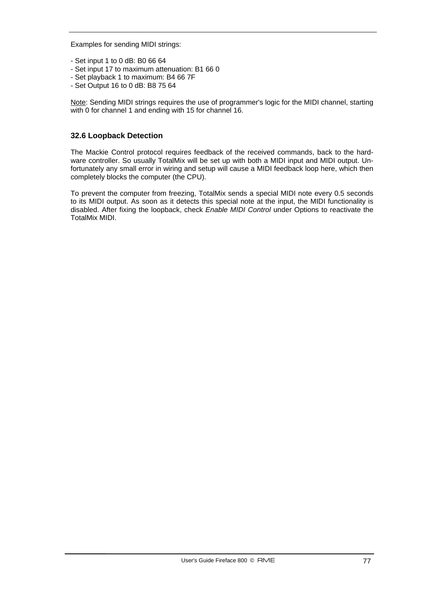Examples for sending MIDI strings:

- Set input 1 to 0 dB: B0 66 64
- Set input 17 to maximum attenuation: B1 66 0
- Set playback 1 to maximum: B4 66 7F
- Set Output 16 to 0 dB: B8 75 64

Note: Sending MIDI strings requires the use of programmer's logic for the MIDI channel, starting with 0 for channel 1 and ending with 15 for channel 16.

### **32.6 Loopback Detection**

The Mackie Control protocol requires feedback of the received commands, back to the hardware controller. So usually TotalMix will be set up with both a MIDI input and MIDI output. Unfortunately any small error in wiring and setup will cause a MIDI feedback loop here, which then completely blocks the computer (the CPU).

To prevent the computer from freezing, TotalMix sends a special MIDI note every 0.5 seconds to its MIDI output. As soon as it detects this special note at the input, the MIDI functionality is disabled. After fixing the loopback, check *Enable MIDI Control* under Options to reactivate the TotalMix MIDI.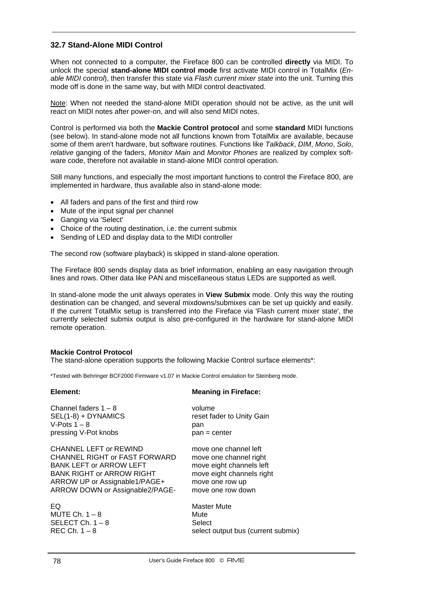# **32.7 Stand-Alone MIDI Control**

When not connected to a computer, the Fireface 800 can be controlled **directly** via MIDI. To unlock the special **stand-alone MIDI control mode** first activate MIDI control in TotalMix (*Enable MIDI control*), then transfer this state via *Flash current mixer state* into the unit. Turning this mode off is done in the same way, but with MIDI control deactivated.

Note: When not needed the stand-alone MIDI operation should not be active, as the unit will react on MIDI notes after power-on, and will also send MIDI notes.

Control is performed via both the **Mackie Control protocol** and some **standard** MIDI functions (see below). In stand-alone mode not all functions known from TotalMix are available, because some of them aren't hardware, but software routines. Functions like *Talkback*, *DIM*, *Mono*, *Solo*, *relative* ganging of the faders, *Monitor Main* and *Monitor Phones* are realized by complex software code, therefore not available in stand-alone MIDI control operation.

Still many functions, and especially the most important functions to control the Fireface 800, are implemented in hardware, thus available also in stand-alone mode:

- All faders and pans of the first and third row
- Mute of the input signal per channel
- Ganging via 'Select'
- Choice of the routing destination, i.e. the current submix
- Sending of LED and display data to the MIDI controller

The second row (software playback) is skipped in stand-alone operation.

The Fireface 800 sends display data as brief information, enabling an easy navigation through lines and rows. Other data like PAN and miscellaneous status LEDs are supported as well.

In stand-alone mode the unit always operates in **View Submix** mode. Only this way the routing destination can be changed, and several mixdowns/submixes can be set up quickly and easily. If the current TotalMix setup is transferred into the Fireface via 'Flash current mixer state', the currently selected submix output is also pre-configured in the hardware for stand-alone MIDI remote operation.

#### **Mackie Control Protocol**

The stand-alone operation supports the following Mackie Control surface elements\*:

\*Tested with Behringer BCF2000 Firmware v1.07 in Mackie Control emulation for Steinberg mode.

#### **Element: Meaning in Fireface:**

| Channel faders $1 - 8$           | volume                             |
|----------------------------------|------------------------------------|
| SEL(1-8) + DYNAMICS              | reset fader to Unity Gain          |
| V-Pots $1 - 8$                   | pan                                |
| pressing V-Pot knobs             | $pan = center$                     |
| <b>CHANNEL LEFT or REWIND</b>    | move one channel left              |
| CHANNEL RIGHT or FAST FORWARD    | move one channel right             |
| <b>BANK LEFT or ARROW LEFT</b>   | move eight channels left           |
| <b>BANK RIGHT or ARROW RIGHT</b> | move eight channels right          |
| ARROW UP or Assignable1/PAGE+    | move one row up                    |
| ARROW DOWN or Assignable2/PAGE-  | move one row down                  |
| EQ                               | <b>Master Mute</b>                 |
| MUTE Ch. $1-8$                   | Mute                               |
| SELECT Ch. $1 - 8$               | Select                             |
| REC Ch. $1-8$                    | select output bus (current submix) |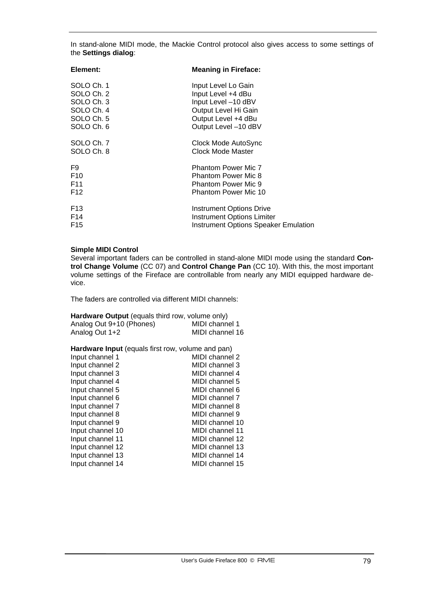In stand-alone MIDI mode, the Mackie Control protocol also gives access to some settings of the **Settings dialog**:

| Element:        | <b>Meaning in Fireface:</b>                 |
|-----------------|---------------------------------------------|
| SOLO Ch. 1      | Input Level Lo Gain                         |
| SOLO Ch. 2      | Input Level +4 dBu                          |
| SOLO Ch. 3      | Input Level -10 dBV                         |
| SOLO Ch. 4      | Output Level Hi Gain                        |
| SOLO Ch. 5      | Output Level +4 dBu                         |
| SOLO Ch. 6      | Output Level -10 dBV                        |
| SOLO Ch. 7      | Clock Mode AutoSync                         |
| SOLO Ch. 8      | Clock Mode Master                           |
| F9              | <b>Phantom Power Mic 7</b>                  |
| F10             | <b>Phantom Power Mic 8</b>                  |
| F11             | <b>Phantom Power Mic 9</b>                  |
| F12             | <b>Phantom Power Mic 10</b>                 |
| F <sub>13</sub> | <b>Instrument Options Drive</b>             |
| F14             | <b>Instrument Options Limiter</b>           |
| F15             | <b>Instrument Options Speaker Emulation</b> |

#### **Simple MIDI Control**

Several important faders can be controlled in stand-alone MIDI mode using the standard **Control Change Volume** (CC 07) and **Control Change Pan** (CC 10). With this, the most important volume settings of the Fireface are controllable from nearly any MIDI equipped hardware device.

The faders are controlled via different MIDI channels:

| Hardware Output (equals third row, volume only) |                 |  |  |  |  |
|-------------------------------------------------|-----------------|--|--|--|--|
| Analog Out 9+10 (Phones)                        | MIDI channel 1  |  |  |  |  |
| Analog Out 1+2                                  | MIDI channel 16 |  |  |  |  |

#### **Hardware Input** (equals first row, volume and pan)

| MIDI channel 2  |
|-----------------|
| MIDI channel 3  |
| MIDI channel 4  |
| MIDI channel 5  |
| MIDI channel 6  |
| MIDI channel 7  |
| MIDI channel 8  |
| MIDI channel 9  |
| MIDI channel 10 |
| MIDI channel 11 |
| MIDI channel 12 |
| MIDI channel 13 |
| MIDI channel 14 |
| MIDI channel 15 |
|                 |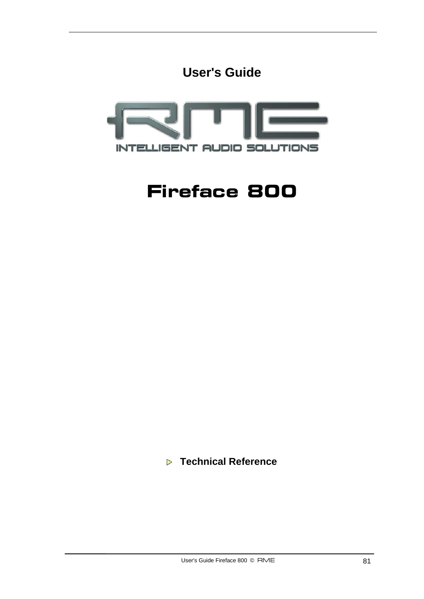



# **Fireface 800**

 **Technical Reference**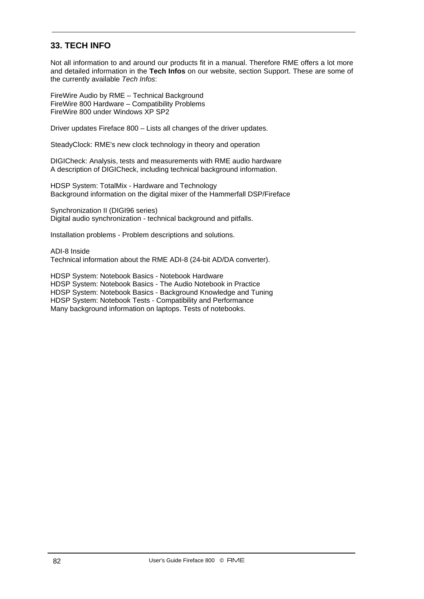# **33. TECH INFO**

Not all information to and around our products fit in a manual. Therefore RME offers a lot more and detailed information in the **Tech Infos** on our website, section Support. These are some of the currently available *Tech Infos*:

FireWire Audio by RME – Technical Background FireWire 800 Hardware – Compatibility Problems FireWire 800 under Windows XP SP2

Driver updates Fireface 800 – Lists all changes of the driver updates.

SteadyClock: RME's new clock technology in theory and operation

DIGICheck: Analysis, tests and measurements with RME audio hardware A description of DIGICheck, including technical background information.

HDSP System: TotalMix - Hardware and Technology Background information on the digital mixer of the Hammerfall DSP/Fireface

Synchronization II (DIGI96 series) Digital audio synchronization - technical background and pitfalls.

Installation problems - Problem descriptions and solutions.

ADI-8 Inside Technical information about the RME ADI-8 (24-bit AD/DA converter).

HDSP System: Notebook Basics - Notebook Hardware HDSP System: Notebook Basics - The Audio Notebook in Practice HDSP System: Notebook Basics - Background Knowledge and Tuning HDSP System: Notebook Tests - Compatibility and Performance Many background information on laptops. Tests of notebooks.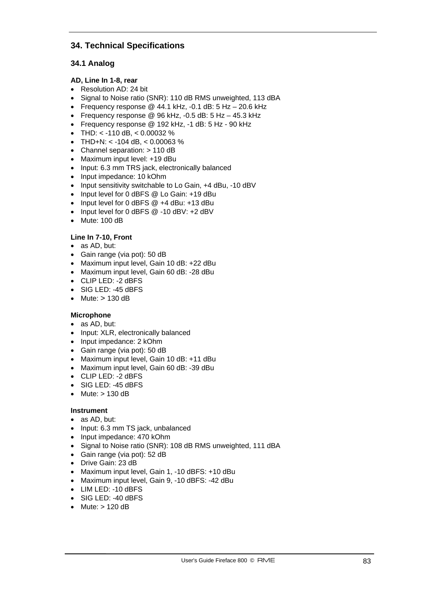# **34. Technical Specifications**

# **34.1 Analog**

#### **AD, Line In 1-8, rear**

- Resolution AD: 24 bit
- Signal to Noise ratio (SNR): 110 dB RMS unweighted, 113 dBA
- Frequency response  $@$  44.1 kHz, -0.1 dB: 5 Hz 20.6 kHz
- Frequency response @ 96 kHz, -0.5 dB: 5 Hz 45.3 kHz
- Frequency response @ 192 kHz, -1 dB: 5 Hz 90 kHz
- THD:  $<$  -110 dB,  $<$  0.00032 %
- THD+N: < -104 dB. < 0.00063  $%$
- Channel separation: > 110 dB
- Maximum input level: +19 dBu
- Input: 6.3 mm TRS jack, electronically balanced
- Input impedance: 10 kOhm
- Input sensitivity switchable to Lo Gain, +4 dBu, -10 dBV
- Input level for 0 dBFS @ Lo Gain: +19 dBu
- Input level for 0 dBFS @ +4 dBu: +13 dBu
- Input level for 0 dBFS @ -10 dBV: +2 dBV
- Mute: 100 dB

#### **Line In 7-10, Front**

- as AD, but:
- Gain range (via pot): 50 dB
- Maximum input level, Gain 10 dB: +22 dBu
- Maximum input level, Gain 60 dB: -28 dBu
- CLIP LED: -2 dBFS
- SIG LED: -45 dBFS
- Mute: > 130 dB

#### **Microphone**

- as AD, but:
- Input: XLR, electronically balanced
- Input impedance: 2 kOhm
- Gain range (via pot): 50 dB
- Maximum input level, Gain 10 dB: +11 dBu
- Maximum input level, Gain 60 dB: -39 dBu
- CLIP LED: -2 dBFS
- SIG LED: -45 dBFS
- Mute: > 130 dB

#### **Instrument**

- as AD, but:
- Input: 6.3 mm TS jack, unbalanced
- Input impedance: 470 kOhm
- Signal to Noise ratio (SNR): 108 dB RMS unweighted, 111 dBA
- Gain range (via pot): 52 dB
- Drive Gain: 23 dB
- Maximum input level, Gain 1, -10 dBFS: +10 dBu
- Maximum input level, Gain 9, -10 dBFS: -42 dBu
- LIM LED: -10 dBFS
- SIG LED: -40 dBFS
- Mute:  $> 120$  dB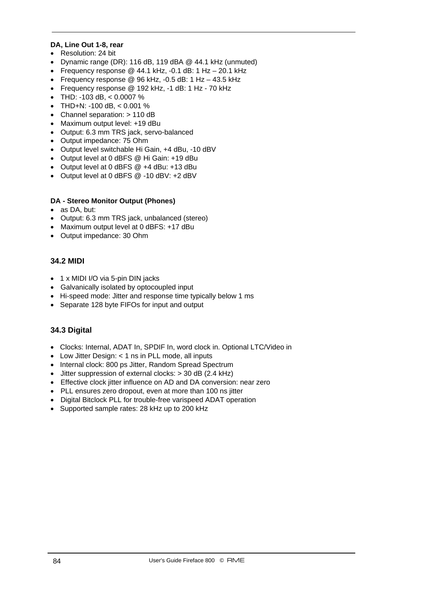# **DA, Line Out 1-8, rear**

- Resolution: 24 bit
- Dynamic range (DR): 116 dB, 119 dBA @ 44.1 kHz (unmuted)
- Frequency response @ 44.1 kHz, -0.1 dB: 1 Hz 20.1 kHz
- Frequency response  $@$  96 kHz,  $-0.5$  dB: 1 Hz  $-$  43.5 kHz
- Frequency response @ 192 kHz, -1 dB: 1 Hz 70 kHz
- THD: -103 dB, < 0.0007 %
- THD+N: -100 dB,  $< 0.001$  %
- Channel separation: > 110 dB
- Maximum output level: +19 dBu
- Output: 6.3 mm TRS jack, servo-balanced
- Output impedance: 75 Ohm
- Output level switchable Hi Gain, +4 dBu, -10 dBV
- Output level at 0 dBFS @ Hi Gain: +19 dBu
- Output level at 0 dBFS @ +4 dBu: +13 dBu
- Output level at 0 dBFS @ -10 dBV: +2 dBV

### **DA - Stereo Monitor Output (Phones)**

- as DA, but:
- Output: 6.3 mm TRS jack, unbalanced (stereo)
- Maximum output level at 0 dBFS: +17 dBu
- Output impedance: 30 Ohm

# **34.2 MIDI**

- 1 x MIDI I/O via 5-pin DIN jacks
- Galvanically isolated by optocoupled input
- Hi-speed mode: Jitter and response time typically below 1 ms
- Separate 128 byte FIFOs for input and output

# **34.3 Digital**

- Clocks: Internal, ADAT In, SPDIF In, word clock in. Optional LTC/Video in
- Low Jitter Design: < 1 ns in PLL mode, all inputs
- Internal clock: 800 ps Jitter, Random Spread Spectrum
- Jitter suppression of external clocks: > 30 dB (2.4 kHz)
- Effective clock jitter influence on AD and DA conversion: near zero
- PLL ensures zero dropout, even at more than 100 ns jitter
- Digital Bitclock PLL for trouble-free varispeed ADAT operation
- Supported sample rates: 28 kHz up to 200 kHz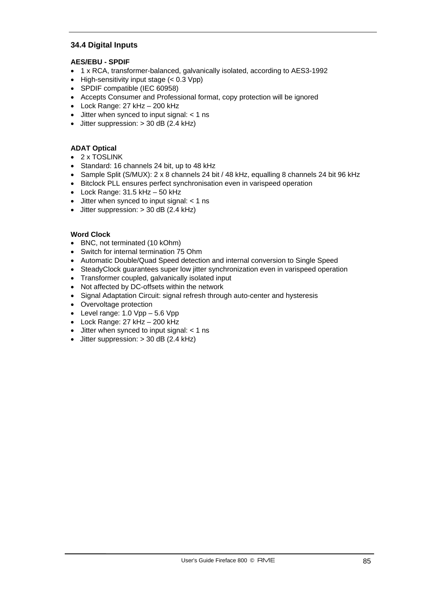# **34.4 Digital Inputs**

### **AES/EBU - SPDIF**

- 1 x RCA, transformer-balanced, galvanically isolated, according to AES3-1992
- High-sensitivity input stage (< 0.3 Vpp)
- SPDIF compatible (IEC 60958)
- Accepts Consumer and Professional format, copy protection will be ignored
- Lock Range: 27 kHz 200 kHz
- Jitter when synced to input signal: < 1 ns
- Jitter suppression: > 30 dB (2.4 kHz)

### **ADAT Optical**

- 2 x TOSLINK
- Standard: 16 channels 24 bit, up to 48 kHz
- Sample Split (S/MUX): 2 x 8 channels 24 bit / 48 kHz, equalling 8 channels 24 bit 96 kHz
- Bitclock PLL ensures perfect synchronisation even in varispeed operation
- Lock Range:  $31.5$  kHz  $-50$  kHz
- $\bullet$  Jitter when synced to input signal:  $<$  1 ns
- Jitter suppression:  $>$  30 dB (2.4 kHz)

#### **Word Clock**

- BNC, not terminated (10 kOhm)
- Switch for internal termination 75 Ohm
- Automatic Double/Quad Speed detection and internal conversion to Single Speed
- SteadyClock guarantees super low jitter synchronization even in varispeed operation
- Transformer coupled, galvanically isolated input
- Not affected by DC-offsets within the network
- Signal Adaptation Circuit: signal refresh through auto-center and hysteresis
- Overvoltage protection
- Level range:  $1.0 \text{ Vpp} 5.6 \text{ Vpp}$
- Lock Range: 27 kHz 200 kHz
- Jitter when synced to input signal: < 1 ns
- Jitter suppression:  $>$  30 dB (2.4 kHz)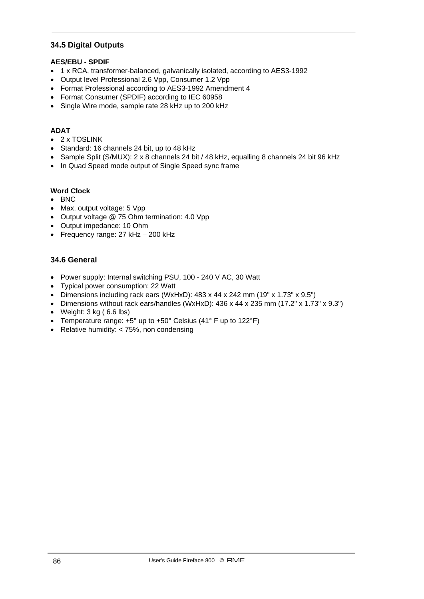# **34.5 Digital Outputs**

### **AES/EBU - SPDIF**

- 1 x RCA, transformer-balanced, galvanically isolated, according to AES3-1992
- Output level Professional 2.6 Vpp, Consumer 1.2 Vpp
- Format Professional according to AES3-1992 Amendment 4
- Format Consumer (SPDIF) according to IEC 60958
- Single Wire mode, sample rate 28 kHz up to 200 kHz

## **ADAT**

- 2 x TOSLINK
- Standard: 16 channels 24 bit, up to 48 kHz
- Sample Split (S/MUX): 2 x 8 channels 24 bit / 48 kHz, equalling 8 channels 24 bit 96 kHz
- In Quad Speed mode output of Single Speed sync frame

### **Word Clock**

- BNC
- Max. output voltage: 5 Vpp
- Output voltage @ 75 Ohm termination: 4.0 Vpp
- Output impedance: 10 Ohm
- Frequency range: 27 kHz 200 kHz

### **34.6 General**

- Power supply: Internal switching PSU, 100 240 V AC, 30 Watt
- Typical power consumption: 22 Watt
- Dimensions including rack ears (WxHxD): 483 x 44 x 242 mm (19" x 1.73" x 9.5")
- Dimensions without rack ears/handles (WxHxD): 436 x 44 x 235 mm (17.2" x 1.73" x 9.3")
- Weight: 3 kg ( 6.6 lbs)
- Temperature range: +5° up to +50° Celsius (41° F up to 122°F)
- Relative humidity: < 75%, non condensing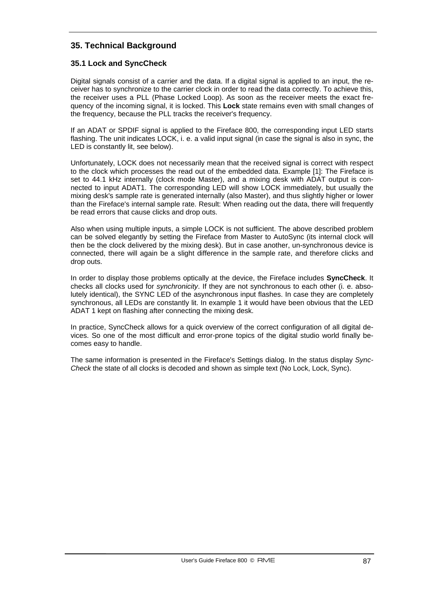# **35. Technical Background**

# **35.1 Lock and SyncCheck**

Digital signals consist of a carrier and the data. If a digital signal is applied to an input, the receiver has to synchronize to the carrier clock in order to read the data correctly. To achieve this, the receiver uses a PLL (Phase Locked Loop). As soon as the receiver meets the exact frequency of the incoming signal, it is locked. This **Lock** state remains even with small changes of the frequency, because the PLL tracks the receiver's frequency.

If an ADAT or SPDIF signal is applied to the Fireface 800, the corresponding input LED starts flashing. The unit indicates LOCK, i. e. a valid input signal (in case the signal is also in sync, the LED is constantly lit, see below).

Unfortunately, LOCK does not necessarily mean that the received signal is correct with respect to the clock which processes the read out of the embedded data. Example [1]: The Fireface is set to 44.1 kHz internally (clock mode Master), and a mixing desk with ADAT output is connected to input ADAT1. The corresponding LED will show LOCK immediately, but usually the mixing desk's sample rate is generated internally (also Master), and thus slightly higher or lower than the Fireface's internal sample rate. Result: When reading out the data, there will frequently be read errors that cause clicks and drop outs.

Also when using multiple inputs, a simple LOCK is not sufficient. The above described problem can be solved elegantly by setting the Fireface from Master to AutoSync (its internal clock will then be the clock delivered by the mixing desk). But in case another, un-synchronous device is connected, there will again be a slight difference in the sample rate, and therefore clicks and drop outs.

In order to display those problems optically at the device, the Fireface includes **SyncCheck**. It checks all clocks used for *synchronicity*. If they are not synchronous to each other (i. e. absolutely identical), the SYNC LED of the asynchronous input flashes. In case they are completely synchronous, all LEDs are constantly lit. In example 1 it would have been obvious that the LED ADAT 1 kept on flashing after connecting the mixing desk.

In practice, SyncCheck allows for a quick overview of the correct configuration of all digital devices. So one of the most difficult and error-prone topics of the digital studio world finally becomes easy to handle.

The same information is presented in the Fireface's Settings dialog. In the status display *Sync-Check* the state of all clocks is decoded and shown as simple text (No Lock, Lock, Sync).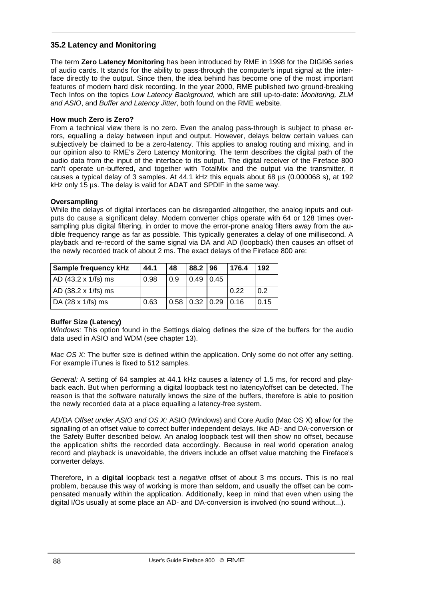# **35.2 Latency and Monitoring**

The term **Zero Latency Monitoring** has been introduced by RME in 1998 for the DIGI96 series of audio cards. It stands for the ability to pass-through the computer's input signal at the interface directly to the output. Since then, the idea behind has become one of the most important features of modern hard disk recording. In the year 2000, RME published two ground-breaking Tech Infos on the topics *Low Latency Background*, which are still up-to-date: *Monitoring, ZLM and ASIO*, and *Buffer and Latency Jitter*, both found on the RME website.

### **How much Zero is Zero?**

From a technical view there is no zero. Even the analog pass-through is subject to phase errors, equalling a delay between input and output. However, delays below certain values can subjectively be claimed to be a zero-latency. This applies to analog routing and mixing, and in our opinion also to RME's Zero Latency Monitoring. The term describes the digital path of the audio data from the input of the interface to its output. The digital receiver of the Fireface 800 can't operate un-buffered, and together with TotalMix and the output via the transmitter, it causes a typical delay of 3 samples. At 44.1 kHz this equals about 68 µs (0.000068 s), at 192 kHz only 15 µs. The delay is valid for ADAT and SPDIF in the same way.

### **Oversampling**

While the delays of digital interfaces can be disregarded altogether, the analog inputs and outputs do cause a significant delay. Modern converter chips operate with 64 or 128 times oversampling plus digital filtering, in order to move the error-prone analog filters away from the audible frequency range as far as possible. This typically generates a delay of one millisecond. A playback and re-record of the same signal via DA and AD (loopback) then causes an offset of the newly recorded track of about 2 ms. The exact delays of the Fireface 800 are:

| <b>Sample frequency kHz</b> | 44.1 | 48                        | 88.2   96   | 176.4 | 192  |
|-----------------------------|------|---------------------------|-------------|-------|------|
| AD (43.2 x 1/fs) ms         | 0.98 | 0.9                       | $0.49$ 0.45 |       |      |
| AD (38.2 x 1/fs) ms         |      |                           |             | 0.22  | 0.2  |
| DA (28 x 1/fs) ms           | 0.63 | 0.58   0.32   0.29   0.16 |             |       | 0.15 |

# **Buffer Size (Latency)**

*Windows:* This option found in the Settings dialog defines the size of the buffers for the audio data used in ASIO and WDM (see chapter 13).

*Mac OS X:* The buffer size is defined within the application. Only some do not offer any setting. For example iTunes is fixed to 512 samples.

*General:* A setting of 64 samples at 44.1 kHz causes a latency of 1.5 ms, for record and playback each. But when performing a digital loopback test no latency/offset can be detected. The reason is that the software naturally knows the size of the buffers, therefore is able to position the newly recorded data at a place equalling a latency-free system.

*AD/DA Offset under ASIO and OS X:* ASIO (Windows) and Core Audio (Mac OS X) allow for the signalling of an offset value to correct buffer independent delays, like AD- and DA-conversion or the Safety Buffer described below. An analog loopback test will then show no offset, because the application shifts the recorded data accordingly. Because in real world operation analog record and playback is unavoidable, the drivers include an offset value matching the Fireface's converter delays.

Therefore, in a **digital** loopback test a *negative* offset of about 3 ms occurs. This is no real problem, because this way of working is more than seldom, and usually the offset can be compensated manually within the application. Additionally, keep in mind that even when using the digital I/Os usually at some place an AD- and DA-conversion is involved (no sound without...).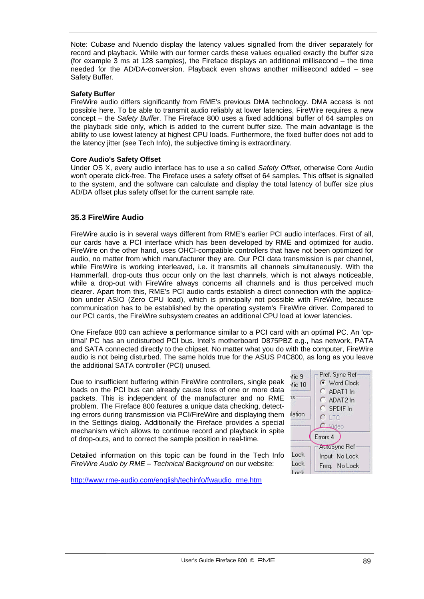Note: Cubase and Nuendo display the latency values signalled from the driver separately for record and playback. While with our former cards these values equalled exactly the buffer size (for example 3 ms at 128 samples), the Fireface displays an additional millisecond – the time needed for the AD/DA-conversion. Playback even shows another millisecond added – see Safety Buffer.

#### **Safety Buffer**

FireWire audio differs significantly from RME's previous DMA technology. DMA access is not possible here. To be able to transmit audio reliably at lower latencies, FireWire requires a new concept – the *Safety Buffer*. The Fireface 800 uses a fixed additional buffer of 64 samples on the playback side only, which is added to the current buffer size. The main advantage is the ability to use lowest latency at highest CPU loads. Furthermore, the fixed buffer does not add to the latency jitter (see Tech Info), the subjective timing is extraordinary.

### **Core Audio's Safety Offset**

Under OS X, every audio interface has to use a so called *Safety Offset*, otherwise Core Audio won't operate click-free. The Fireface uses a safety offset of 64 samples. This offset is signalled to the system, and the software can calculate and display the total latency of buffer size plus AD/DA offset plus safety offset for the current sample rate.

# **35.3 FireWire Audio**

FireWire audio is in several ways different from RME's earlier PCI audio interfaces. First of all, our cards have a PCI interface which has been developed by RME and optimized for audio. FireWire on the other hand, uses OHCI-compatible controllers that have not been optimized for audio, no matter from which manufacturer they are. Our PCI data transmission is per channel, while FireWire is working interleaved, i.e. it transmits all channels simultaneously. With the Hammerfall, drop-outs thus occur only on the last channels, which is not always noticeable, while a drop-out with FireWire always concerns all channels and is thus perceived much clearer. Apart from this, RME's PCI audio cards establish a direct connection with the application under ASIO (Zero CPU load), which is principally not possible with FireWire, because communication has to be established by the operating system's FireWire driver. Compared to our PCI cards, the FireWire subsystem creates an additional CPU load at lower latencies.

One Fireface 800 can achieve a performance similar to a PCI card with an optimal PC. An 'optimal' PC has an undisturbed PCI bus. Intel's motherboard D875PBZ e.g., has network, PATA and SATA connected directly to the chipset. No matter what you do with the computer, FireWire audio is not being disturbed. The same holds true for the ASUS P4C800, as long as you leave the additional SATA controller (PCI) unused.

Due to insufficient buffering within FireWire controllers, single peak loads on the PCI bus can already cause loss of one or more data packets. This is independent of the manufacturer and no RME problem. The Fireface 800 features a unique data checking, detecting errors during transmission via PCI/FireWire and displaying them in the Settings dialog. Additionally the Fireface provides a special mechanism which allows to continue record and playback in spite of drop-outs, and to correct the sample position in real-time.

Detailed information on this topic can be found in the Tech Info *FireWire Audio by RME – Technical Background* on our website:



http://www.rme-audio.com/english/techinfo/fwaudio\_rme.htm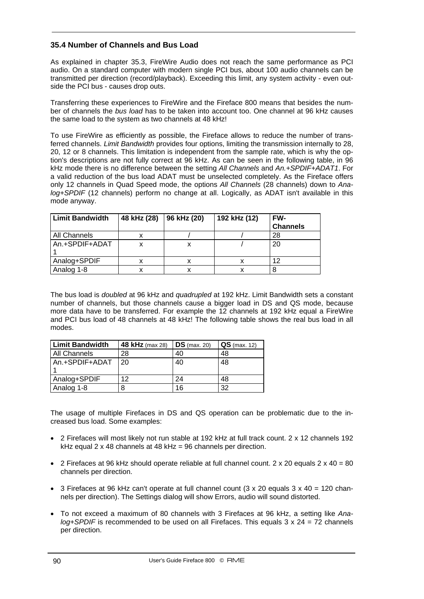# **35.4 Number of Channels and Bus Load**

As explained in chapter 35.3, FireWire Audio does not reach the same performance as PCI audio. On a standard computer with modern single PCI bus, about 100 audio channels can be transmitted per direction (record/playback). Exceeding this limit, any system activity - even outside the PCI bus - causes drop outs.

Transferring these experiences to FireWire and the Fireface 800 means that besides the number of channels the *bus load* has to be taken into account too. One channel at 96 kHz causes the same load to the system as two channels at 48 kHz!

To use FireWire as efficiently as possible, the Fireface allows to reduce the number of transferred channels. *Limit Bandwidth* provides four options, limiting the transmission internally to 28, 20, 12 or 8 channels. This limitation is independent from the sample rate, which is why the option's descriptions are not fully correct at 96 kHz. As can be seen in the following table, in 96 kHz mode there is no difference between the setting *All Channels* and *An.+SPDIF+ADAT1*. For a valid reduction of the bus load ADAT must be unselected completely. As the Fireface offers only 12 channels in Quad Speed mode, the options *All Channels* (28 channels) down to *Analog+SPDIF* (12 channels) perform no change at all. Logically, as ADAT isn't available in this mode anyway.

| <b>Limit Bandwidth</b> | 48 kHz (28) | 96 kHz (20) | 192 kHz (12) | FW-             |
|------------------------|-------------|-------------|--------------|-----------------|
|                        |             |             |              | <b>Channels</b> |
| All Channels           |             |             |              | 28              |
| An.+SPDIF+ADAT         |             | х           |              | 20              |
|                        |             |             |              |                 |
| Analog+SPDIF           |             | x           |              | 12              |
| Analog 1-8             |             | ⋏           |              |                 |

The bus load is *doubled* at 96 kHz and *quadrupled* at 192 kHz. Limit Bandwidth sets a constant number of channels, but those channels cause a bigger load in DS and QS mode, because more data have to be transferred. For example the 12 channels at 192 kHz equal a FireWire and PCI bus load of 48 channels at 48 kHz! The following table shows the real bus load in all modes.

| <b>Limit Bandwidth</b> | <b>48 kHz</b> (max 28) | $DS$ (max. 20) | $QS$ (max. 12) |
|------------------------|------------------------|----------------|----------------|
| All Channels           | 28                     | 40             | 48             |
| An.+SPDIF+ADAT         | 20                     | 40             | 48             |
| Analog+SPDIF           | 12                     | 24             | 48             |
| Analog 1-8             | 8                      | 16             | 32             |

The usage of multiple Firefaces in DS and QS operation can be problematic due to the increased bus load. Some examples:

- 2 Firefaces will most likely not run stable at 192 kHz at full track count. 2 x 12 channels 192 kHz equal 2 x 48 channels at 48 kHz = 96 channels per direction.
- 2 Firefaces at 96 kHz should operate reliable at full channel count.  $2 \times 20$  equals  $2 \times 40 = 80$ channels per direction.
- 3 Firefaces at 96 kHz can't operate at full channel count  $(3 \times 20)$  equals  $(3 \times 40) = 120$  channels per direction). The Settings dialog will show Errors, audio will sound distorted.
- To not exceed a maximum of 80 channels with 3 Firefaces at 96 kHz, a setting like *Analog+SPDIF* is recommended to be used on all Firefaces. This equals 3 x 24 = 72 channels per direction.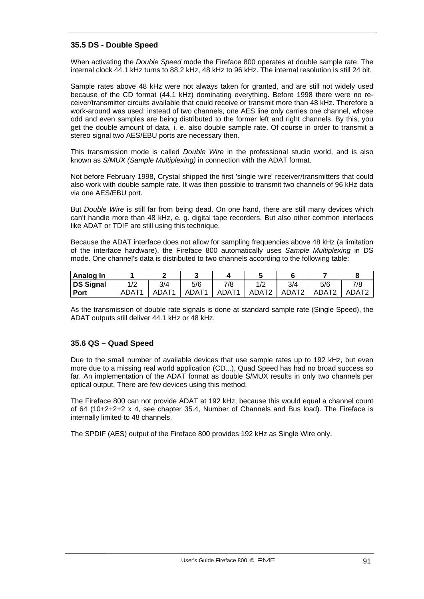# **35.5 DS - Double Speed**

When activating the *Double Speed* mode the Fireface 800 operates at double sample rate. The internal clock 44.1 kHz turns to 88.2 kHz, 48 kHz to 96 kHz. The internal resolution is still 24 bit.

Sample rates above 48 kHz were not always taken for granted, and are still not widely used because of the CD format (44.1 kHz) dominating everything. Before 1998 there were no receiver/transmitter circuits available that could receive or transmit more than 48 kHz. Therefore a work-around was used: instead of two channels, one AES line only carries one channel, whose odd and even samples are being distributed to the former left and right channels. By this, you get the double amount of data, i. e. also double sample rate. Of course in order to transmit a stereo signal two AES/EBU ports are necessary then.

This transmission mode is called *Double Wire* in the professional studio world, and is also known as *S/MUX (Sample Multiplexing)* in connection with the ADAT format.

Not before February 1998, Crystal shipped the first 'single wire' receiver/transmitters that could also work with double sample rate. It was then possible to transmit two channels of 96 kHz data via one AES/EBU port.

But *Double Wire* is still far from being dead. On one hand, there are still many devices which can't handle more than 48 kHz, e. g. digital tape recorders. But also other common interfaces like ADAT or TDIF are still using this technique.

Because the ADAT interface does not allow for sampling frequencies above 48 kHz (a limitation of the interface hardware), the Fireface 800 automatically uses *Sample Multiplexing* in DS mode. One channel's data is distributed to two channels according to the following table:

| Analog In   |       |                   |                   |                   |                   |                   |                   |                   |
|-------------|-------|-------------------|-------------------|-------------------|-------------------|-------------------|-------------------|-------------------|
| DS Signal   | 1/2   | 3/4               | 5/6               | 7/8               |                   | 3/4               | 5/6               | 7/8               |
| <b>Port</b> | ADAT1 | ADAT <sub>1</sub> | ADAT <sub>1</sub> | ADAT <sub>1</sub> | ADAT <sub>2</sub> | ADAT <sub>2</sub> | ADAT <sub>2</sub> | ADAT <sub>2</sub> |

As the transmission of double rate signals is done at standard sample rate (Single Speed), the ADAT outputs still deliver 44.1 kHz or 48 kHz.

# **35.6 QS – Quad Speed**

Due to the small number of available devices that use sample rates up to 192 kHz, but even more due to a missing real world application (CD...), Quad Speed has had no broad success so far. An implementation of the ADAT format as double S/MUX results in only two channels per optical output. There are few devices using this method.

The Fireface 800 can not provide ADAT at 192 kHz, because this would equal a channel count of 64 (10+2+2+2 x 4, see chapter 35.4, Number of Channels and Bus load). The Fireface is internally limited to 48 channels.

The SPDIF (AES) output of the Fireface 800 provides 192 kHz as Single Wire only.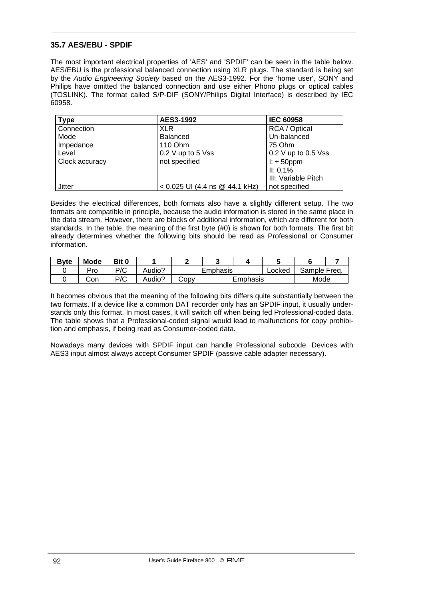# **35.7 AES/EBU - SPDIF**

The most important electrical properties of 'AES' and 'SPDIF' can be seen in the table below. AES/EBU is the professional balanced connection using XLR plugs. The standard is being set by the *Audio Engineering Society* based on the AES3-1992. For the 'home user', SONY and Philips have omitted the balanced connection and use either Phono plugs or optical cables (TOSLINK). The format called S/P-DIF (SONY/Philips Digital Interface) is described by IEC 60958.

| <b>Type</b>    | AES3-1992                        | <b>IEC 60958</b>    |
|----------------|----------------------------------|---------------------|
| Connection     | <b>XLR</b>                       | RCA / Optical       |
| Mode           | <b>Balanced</b>                  | Un-balanced         |
| Impedance      | 110 Ohm                          | 75 Ohm              |
| Level          | 0.2 V up to 5 Vss                | 0.2 V up to 0.5 Vss |
| Clock accuracy | not specified                    | I: $\pm$ 50ppm      |
|                |                                  | II: 0,1%            |
|                |                                  | III: Variable Pitch |
| Jitter         | $< 0.025$ UI (4.4 ns @ 44.1 kHz) | not specified       |

Besides the electrical differences, both formats also have a slightly different setup. The two formats are compatible in principle, because the audio information is stored in the same place in the data stream. However, there are blocks of additional information, which are different for both standards. In the table, the meaning of the first byte (#0) is shown for both formats. The first bit already determines whether the following bits should be read as Professional or Consumer information.

| <b>Byte</b> | Mode | Bit 0 |        |          |          |        |              |  |  |
|-------------|------|-------|--------|----------|----------|--------|--------------|--|--|
|             | Pro  | P/C   | Audio? | Emphasis |          | Locked | Sample Freq. |  |  |
|             | Con  | P/C   | Audio? | JODV     | Emphasis |        | Mode         |  |  |

It becomes obvious that the meaning of the following bits differs quite substantially between the two formats. If a device like a common DAT recorder only has an SPDIF input, it usually understands only this format. In most cases, it will switch off when being fed Professional-coded data. The table shows that a Professional-coded signal would lead to malfunctions for copy prohibition and emphasis, if being read as Consumer-coded data.

Nowadays many devices with SPDIF input can handle Professional subcode. Devices with AES3 input almost always accept Consumer SPDIF (passive cable adapter necessary).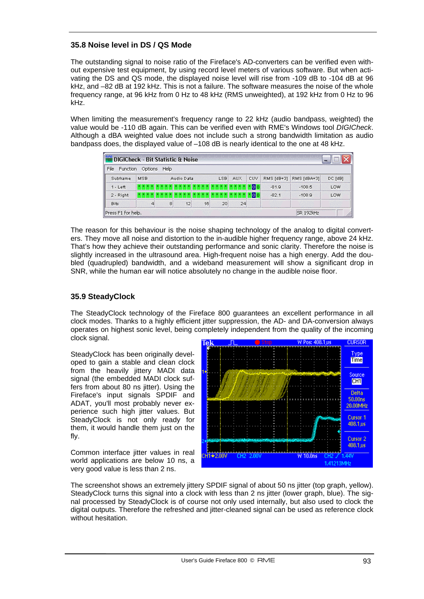# **35.8 Noise level in DS / QS Mode**

The outstanding signal to noise ratio of the Fireface's AD-converters can be verified even without expensive test equipment, by using record level meters of various software. But when activating the DS and QS mode, the displayed noise level will rise from -109 dB to -104 dB at 96 kHz, and –82 dB at 192 kHz. This is not a failure. The software measures the noise of the whole frequency range, at 96 kHz from 0 Hz to 48 kHz (RMS unweighted), at 192 kHz from 0 Hz to 96 kHz.

When limiting the measurement's frequency range to 22 kHz (audio bandpass, weighted) the value would be -110 dB again. This can be verified even with RME's Windows tool *DIGICheck*. Although a dBA weighted value does not include such a strong bandwidth limitation as audio bandpass does, the displayed value of –108 dB is nearly identical to the one at 48 kHz.

| File<br>Function | Options           |   | Help |    |    |                  |            |             |            |             |         |
|------------------|-------------------|---|------|----|----|------------------|------------|-------------|------------|-------------|---------|
| Subframe         | MSB<br>Audio Data |   |      |    |    | LSB <sup>1</sup> | <b>AUX</b> | <b>CUV</b>  | RMS [dB+3] | RMS [dBA+3] | DC [dB] |
| $1 - Left$       | $x \mid x \mid x$ |   |      |    |    |                  |            | 100         | $-81.9$    | $-108.5$    | LOW     |
| 2 - Right        | $x - x$           |   |      |    |    |                  |            | <b>NOON</b> | $-82.1$    | $-108.9$    | LOW     |
| <b>Bits</b>      |                   | 4 | 8    | 12 | 16 | 20               | 24         |             |            |             |         |

The reason for this behaviour is the noise shaping technology of the analog to digital converters. They move all noise and distortion to the in-audible higher frequency range, above 24 kHz. That's how they achieve their outstanding performance and sonic clarity. Therefore the noise is slightly increased in the ultrasound area. High-frequent noise has a high energy. Add the doubled (quadrupled) bandwidth, and a wideband measurement will show a significant drop in SNR, while the human ear will notice absolutely no change in the audible noise floor.

# **35.9 SteadyClock**

The SteadyClock technology of the Fireface 800 guarantees an excellent performance in all clock modes. Thanks to a highly efficient jitter suppression, the AD- and DA-conversion always operates on highest sonic level, being completely independent from the quality of the incoming clock signal.

SteadyClock has been originally developed to gain a stable and clean clock from the heavily jittery MADI data signal (the embedded MADI clock suffers from about 80 ns jitter). Using the Fireface's input signals SPDIF and ADAT, you'll most probably never experience such high jitter values. But SteadyClock is not only ready for them, it would handle them just on the fly.

Common interface jitter values in real world applications are below 10 ns, a very good value is less than 2 ns.



The screenshot shows an extremely jittery SPDIF signal of about 50 ns jitter (top graph, yellow). SteadyClock turns this signal into a clock with less than 2 ns jitter (lower graph, blue). The signal processed by SteadyClock is of course not only used internally, but also used to clock the digital outputs. Therefore the refreshed and jitter-cleaned signal can be used as reference clock without hesitation.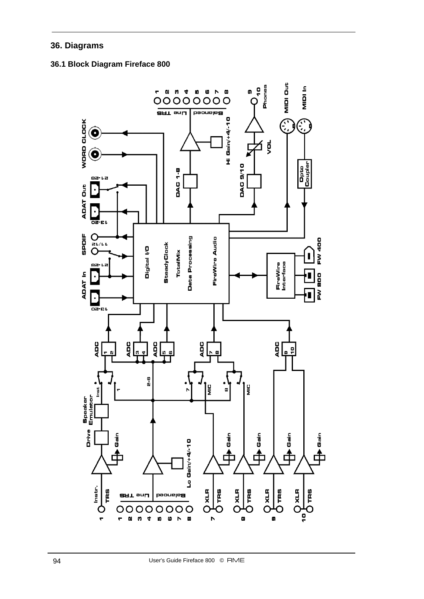# **36. Diagrams**

# **36.1 Block Diagram Fireface 800**